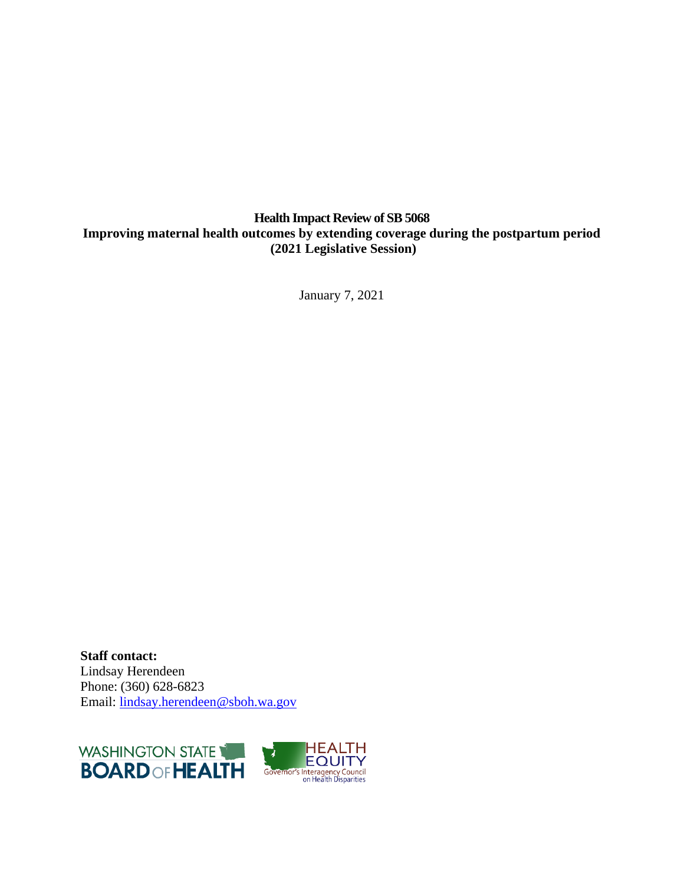# **Health Impact Review of SB 5068 Improving maternal health outcomes by extending coverage during the postpartum period (2021 Legislative Session)**

January 7, 2021

**Staff contact:** Lindsay Herendeen Phone: (360) 628-6823 Email: [lindsay.herendeen@sboh.wa.gov](mailto:lindsay.herendeen@sboh.wa.gov)



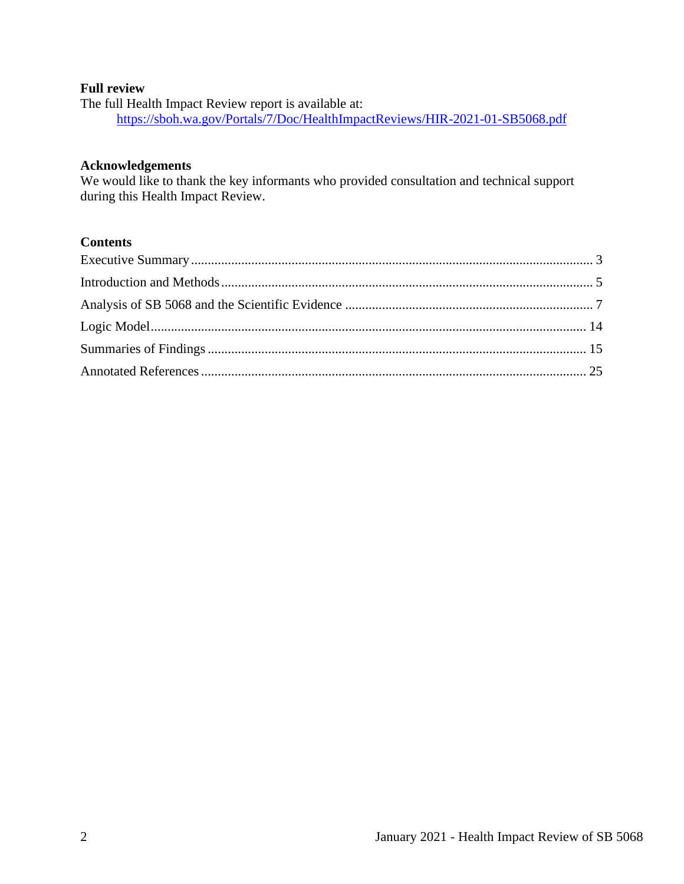# **Full review**

The full Health Impact Review report is available at: <https://sboh.wa.gov/Portals/7/Doc/HealthImpactReviews/HIR-2021-01-SB5068.pdf>

# **Acknowledgements**

We would like to thank the key informants who provided consultation and technical support during this Health Impact Review.

## **Contents**

<span id="page-1-0"></span>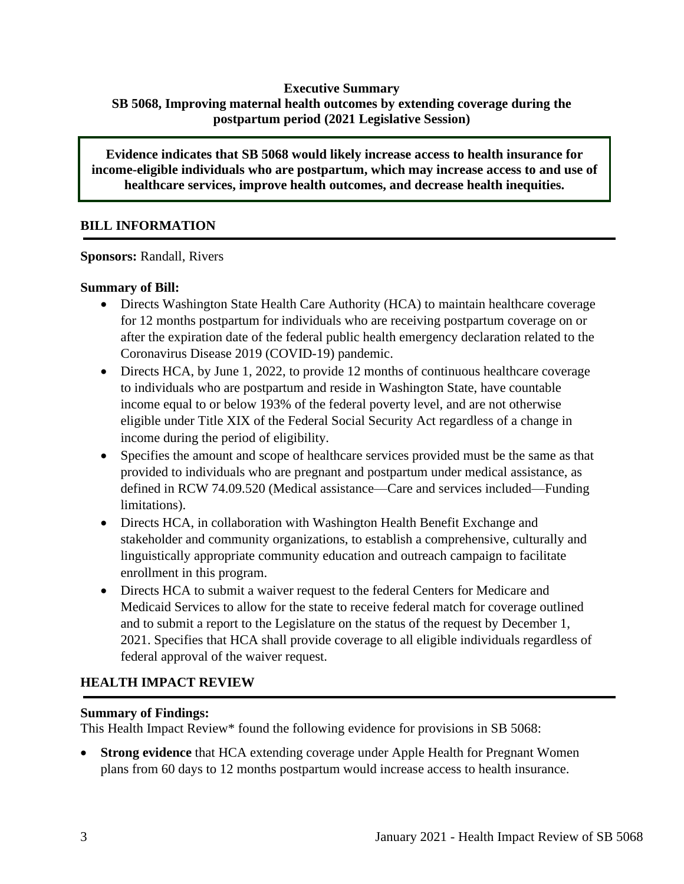# **Executive Summary SB 5068, Improving maternal health outcomes by extending coverage during the postpartum period (2021 Legislative Session)**

**Evidence indicates that SB 5068 would likely increase access to health insurance for income-eligible individuals who are postpartum, which may increase access to and use of healthcare services, improve health outcomes, and decrease health inequities.**

# **BILL INFORMATION**

**Sponsors:** Randall, Rivers

# **Summary of Bill:**

- Directs Washington State Health Care Authority (HCA) to maintain healthcare coverage for 12 months postpartum for individuals who are receiving postpartum coverage on or after the expiration date of the federal public health emergency declaration related to the Coronavirus Disease 2019 (COVID-19) pandemic.
- Directs HCA, by June 1, 2022, to provide 12 months of continuous healthcare coverage to individuals who are postpartum and reside in Washington State, have countable income equal to or below 193% of the federal poverty level, and are not otherwise eligible under Title XIX of the Federal Social Security Act regardless of a change in income during the period of eligibility.
- Specifies the amount and scope of healthcare services provided must be the same as that provided to individuals who are pregnant and postpartum under medical assistance, as defined in RCW 74.09.520 (Medical assistance—Care and services included—Funding limitations).
- Directs HCA, in collaboration with Washington Health Benefit Exchange and stakeholder and community organizations, to establish a comprehensive, culturally and linguistically appropriate community education and outreach campaign to facilitate enrollment in this program.
- Directs HCA to submit a waiver request to the federal Centers for Medicare and Medicaid Services to allow for the state to receive federal match for coverage outlined and to submit a report to the Legislature on the status of the request by December 1, 2021. Specifies that HCA shall provide coverage to all eligible individuals regardless of federal approval of the waiver request.

# **HEALTH IMPACT REVIEW**

# **Summary of Findings:**

This Health Impact Review\* found the following evidence for provisions in SB 5068:

**Strong evidence** that HCA extending coverage under Apple Health for Pregnant Women plans from 60 days to 12 months postpartum would increase access to health insurance.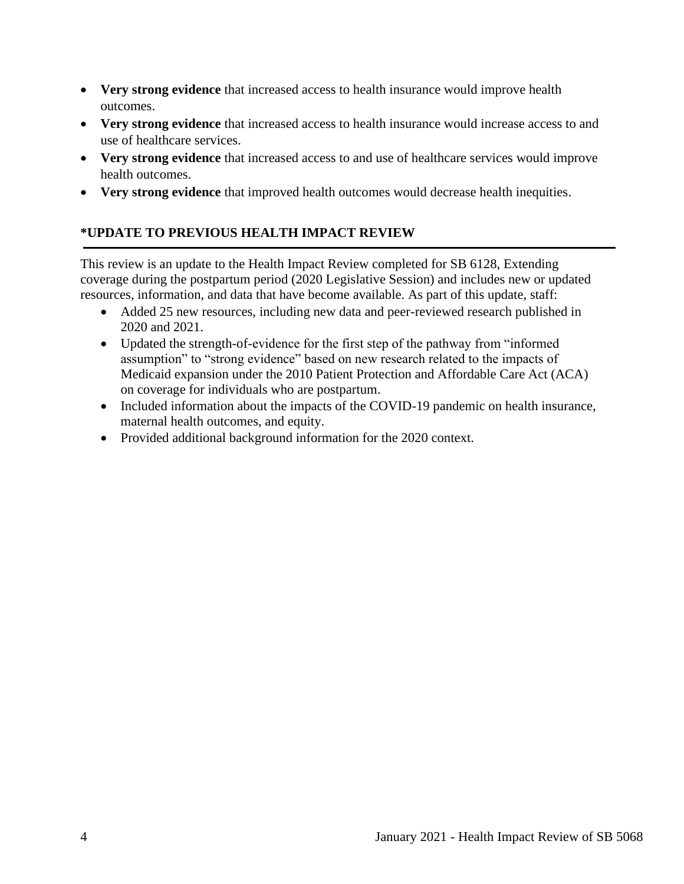- **Very strong evidence** that increased access to health insurance would improve health outcomes.
- **Very strong evidence** that increased access to health insurance would increase access to and use of healthcare services.
- **Very strong evidence** that increased access to and use of healthcare services would improve health outcomes.
- **Very strong evidence** that improved health outcomes would decrease health inequities.

# **\*UPDATE TO PREVIOUS HEALTH IMPACT REVIEW**

This review is an update to the Health Impact Review completed for SB 6128, Extending coverage during the postpartum period (2020 Legislative Session) and includes new or updated resources, information, and data that have become available. As part of this update, staff:

- Added 25 new resources, including new data and peer-reviewed research published in 2020 and 2021.
- Updated the strength-of-evidence for the first step of the pathway from "informed assumption" to "strong evidence" based on new research related to the impacts of Medicaid expansion under the 2010 Patient Protection and Affordable Care Act (ACA) on coverage for individuals who are postpartum.
- Included information about the impacts of the COVID-19 pandemic on health insurance, maternal health outcomes, and equity.
- Provided additional background information for the 2020 context.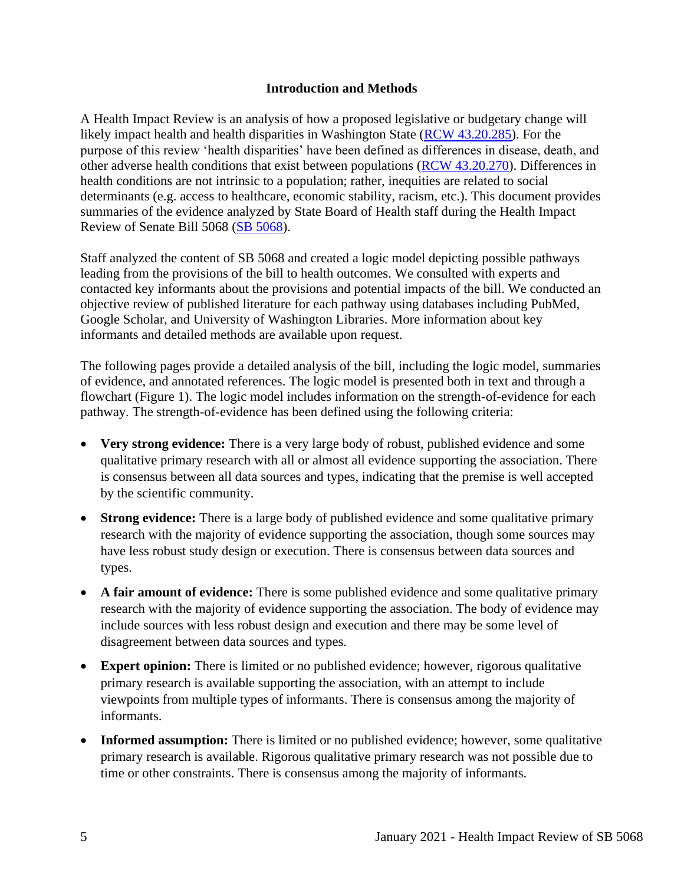## **Introduction and Methods**

<span id="page-4-0"></span>A Health Impact Review is an analysis of how a proposed legislative or budgetary change will likely impact health and health disparities in Washington State [\(RCW 43.20.285\)](http://apps.leg.wa.gov/rcw/default.aspx?cite=43.20.285). For the purpose of this review 'health disparities' have been defined as differences in disease, death, and other adverse health conditions that exist between populations [\(RCW 43.20.270\)](http://apps.leg.wa.gov/rcw/default.aspx?cite=43.20.270). Differences in health conditions are not intrinsic to a population; rather, inequities are related to social determinants (e.g. access to healthcare, economic stability, racism, etc.). This document provides summaries of the evidence analyzed by State Board of Health staff during the Health Impact Review of Senate Bill 5068 [\(SB 5068\)](https://app.leg.wa.gov/billsummary?BillNumber=5068&Year=2021&Initiative=false).

Staff analyzed the content of SB 5068 and created a logic model depicting possible pathways leading from the provisions of the bill to health outcomes. We consulted with experts and contacted key informants about the provisions and potential impacts of the bill. We conducted an objective review of published literature for each pathway using databases including PubMed, Google Scholar, and University of Washington Libraries. More information about key informants and detailed methods are available upon request.

The following pages provide a detailed analysis of the bill, including the logic model, summaries of evidence, and annotated references. The logic model is presented both in text and through a flowchart (Figure 1). The logic model includes information on the strength-of-evidence for each pathway. The strength-of-evidence has been defined using the following criteria:

- **Very strong evidence:** There is a very large body of robust, published evidence and some qualitative primary research with all or almost all evidence supporting the association. There is consensus between all data sources and types, indicating that the premise is well accepted by the scientific community.
- **Strong evidence:** There is a large body of published evidence and some qualitative primary research with the majority of evidence supporting the association, though some sources may have less robust study design or execution. There is consensus between data sources and types.
- A fair amount of evidence: There is some published evidence and some qualitative primary research with the majority of evidence supporting the association. The body of evidence may include sources with less robust design and execution and there may be some level of disagreement between data sources and types.
- **Expert opinion:** There is limited or no published evidence; however, rigorous qualitative primary research is available supporting the association, with an attempt to include viewpoints from multiple types of informants. There is consensus among the majority of informants.
- **Informed assumption:** There is limited or no published evidence; however, some qualitative primary research is available. Rigorous qualitative primary research was not possible due to time or other constraints. There is consensus among the majority of informants.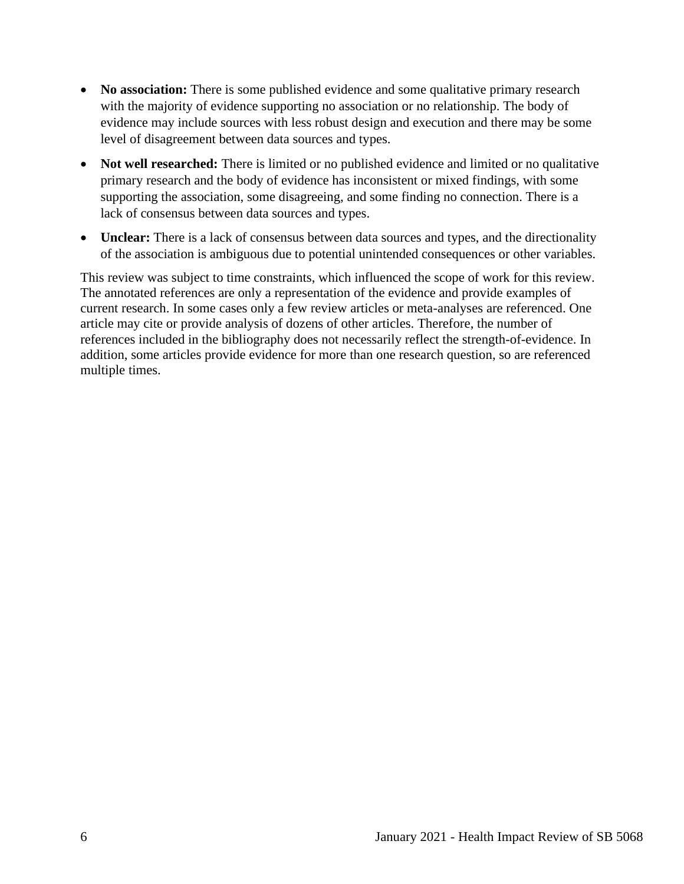- **No association:** There is some published evidence and some qualitative primary research with the majority of evidence supporting no association or no relationship. The body of evidence may include sources with less robust design and execution and there may be some level of disagreement between data sources and types.
- **Not well researched:** There is limited or no published evidence and limited or no qualitative primary research and the body of evidence has inconsistent or mixed findings, with some supporting the association, some disagreeing, and some finding no connection. There is a lack of consensus between data sources and types.
- **Unclear:** There is a lack of consensus between data sources and types, and the directionality of the association is ambiguous due to potential unintended consequences or other variables.

This review was subject to time constraints, which influenced the scope of work for this review. The annotated references are only a representation of the evidence and provide examples of current research. In some cases only a few review articles or meta-analyses are referenced. One article may cite or provide analysis of dozens of other articles. Therefore, the number of references included in the bibliography does not necessarily reflect the strength-of-evidence. In addition, some articles provide evidence for more than one research question, so are referenced multiple times.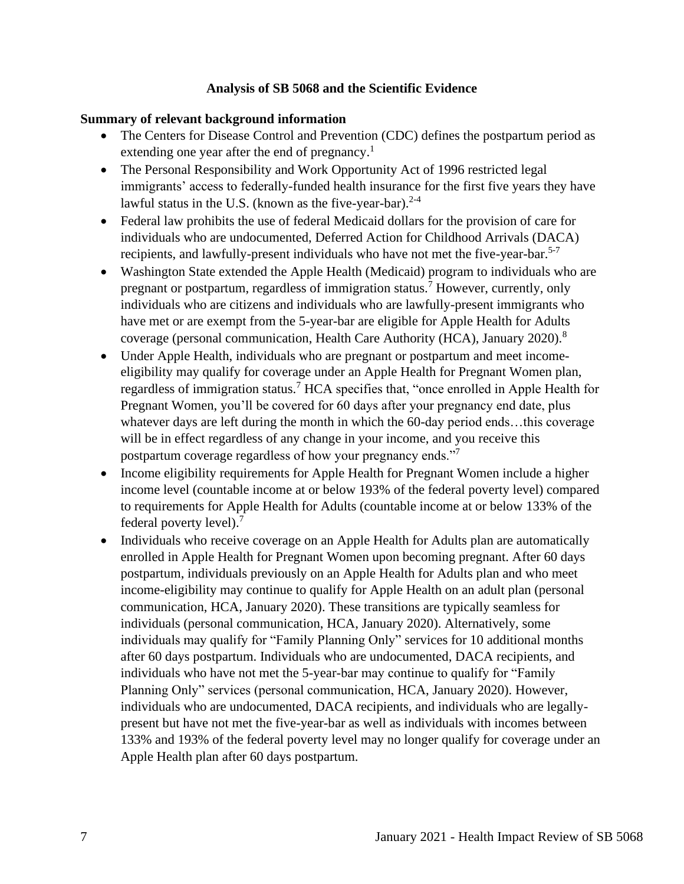# **Analysis of SB 5068 and the Scientific Evidence**

### <span id="page-6-0"></span>**Summary of relevant background information**

- The Centers for Disease Control and Prevention (CDC) defines the postpartum period as extending one year after the end of pregnancy.<sup>1</sup>
- The Personal Responsibility and Work Opportunity Act of 1996 restricted legal immigrants' access to federally-funded health insurance for the first five years they have lawful status in the U.S. (known as the five-year-bar). $2-4$
- Federal law prohibits the use of federal Medicaid dollars for the provision of care for individuals who are undocumented, Deferred Action for Childhood Arrivals (DACA) recipients, and lawfully-present individuals who have not met the five-year-bar. 5-7
- Washington State extended the Apple Health (Medicaid) program to individuals who are pregnant or postpartum, regardless of immigration status.<sup>7</sup> However, currently, only individuals who are citizens and individuals who are lawfully-present immigrants who have met or are exempt from the 5-year-bar are eligible for Apple Health for Adults coverage (personal communication, Health Care Authority (HCA), January 2020).<sup>8</sup>
- Under Apple Health, individuals who are pregnant or postpartum and meet incomeeligibility may qualify for coverage under an Apple Health for Pregnant Women plan, regardless of immigration status.<sup>7</sup> HCA specifies that, "once enrolled in Apple Health for Pregnant Women, you'll be covered for 60 days after your pregnancy end date, plus whatever days are left during the month in which the 60-day period ends...this coverage will be in effect regardless of any change in your income, and you receive this postpartum coverage regardless of how your pregnancy ends."<sup>7</sup>
- Income eligibility requirements for Apple Health for Pregnant Women include a higher income level (countable income at or below 193% of the federal poverty level) compared to requirements for Apple Health for Adults (countable income at or below 133% of the federal poverty level).<sup>7</sup>
- Individuals who receive coverage on an Apple Health for Adults plan are automatically enrolled in Apple Health for Pregnant Women upon becoming pregnant. After 60 days postpartum, individuals previously on an Apple Health for Adults plan and who meet income-eligibility may continue to qualify for Apple Health on an adult plan (personal communication, HCA, January 2020). These transitions are typically seamless for individuals (personal communication, HCA, January 2020). Alternatively, some individuals may qualify for "Family Planning Only" services for 10 additional months after 60 days postpartum. Individuals who are undocumented, DACA recipients, and individuals who have not met the 5-year-bar may continue to qualify for "Family Planning Only" services (personal communication, HCA, January 2020). However, individuals who are undocumented, DACA recipients, and individuals who are legallypresent but have not met the five-year-bar as well as individuals with incomes between 133% and 193% of the federal poverty level may no longer qualify for coverage under an Apple Health plan after 60 days postpartum.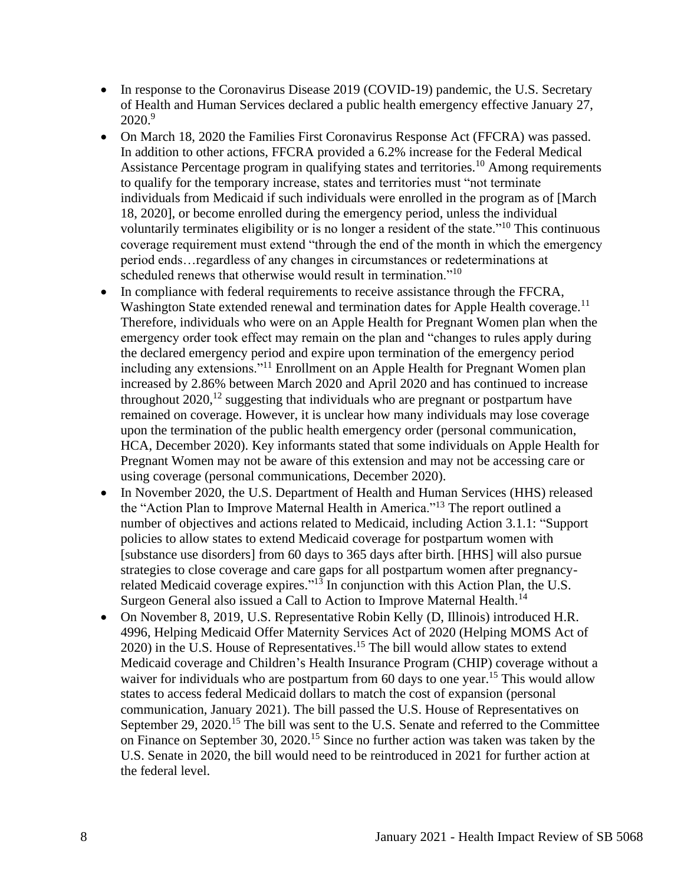- In response to the Coronavirus Disease 2019 (COVID-19) pandemic, the U.S. Secretary of Health and Human Services declared a public health emergency effective January 27,  $2020.<sup>9</sup>$
- On March 18, 2020 the Families First Coronavirus Response Act (FFCRA) was passed. In addition to other actions, FFCRA provided a 6.2% increase for the Federal Medical Assistance Percentage program in qualifying states and territories.<sup>10</sup> Among requirements to qualify for the temporary increase, states and territories must "not terminate individuals from Medicaid if such individuals were enrolled in the program as of [March 18, 2020], or become enrolled during the emergency period, unless the individual voluntarily terminates eligibility or is no longer a resident of the state."<sup>10</sup> This continuous coverage requirement must extend "through the end of the month in which the emergency period ends…regardless of any changes in circumstances or redeterminations at scheduled renews that otherwise would result in termination."<sup>10</sup>
- In compliance with federal requirements to receive assistance through the FFCRA, Washington State extended renewal and termination dates for Apple Health coverage.<sup>11</sup> Therefore, individuals who were on an Apple Health for Pregnant Women plan when the emergency order took effect may remain on the plan and "changes to rules apply during the declared emergency period and expire upon termination of the emergency period including any extensions."<sup>11</sup> Enrollment on an Apple Health for Pregnant Women plan increased by 2.86% between March 2020 and April 2020 and has continued to increase throughout  $2020$ ,<sup>12</sup> suggesting that individuals who are pregnant or postpartum have remained on coverage. However, it is unclear how many individuals may lose coverage upon the termination of the public health emergency order (personal communication, HCA, December 2020). Key informants stated that some individuals on Apple Health for Pregnant Women may not be aware of this extension and may not be accessing care or using coverage (personal communications, December 2020).
- In November 2020, the U.S. Department of Health and Human Services (HHS) released the "Action Plan to Improve Maternal Health in America."<sup>13</sup> The report outlined a number of objectives and actions related to Medicaid, including Action 3.1.1: "Support policies to allow states to extend Medicaid coverage for postpartum women with [substance use disorders] from 60 days to 365 days after birth. [HHS] will also pursue strategies to close coverage and care gaps for all postpartum women after pregnancyrelated Medicaid coverage expires."<sup>13</sup> In conjunction with this Action Plan, the U.S. Surgeon General also issued a Call to Action to Improve Maternal Health.<sup>14</sup>
- On November 8, 2019, U.S. Representative Robin Kelly (D, Illinois) introduced H.R. 4996, Helping Medicaid Offer Maternity Services Act of 2020 (Helping MOMS Act of 2020) in the U.S. House of Representatives. <sup>15</sup> The bill would allow states to extend Medicaid coverage and Children's Health Insurance Program (CHIP) coverage without a waiver for individuals who are postpartum from 60 days to one year.<sup>15</sup> This would allow states to access federal Medicaid dollars to match the cost of expansion (personal communication, January 2021). The bill passed the U.S. House of Representatives on September 29, 2020.<sup>15</sup> The bill was sent to the U.S. Senate and referred to the Committee on Finance on September 30, 2020. <sup>15</sup> Since no further action was taken was taken by the U.S. Senate in 2020, the bill would need to be reintroduced in 2021 for further action at the federal level.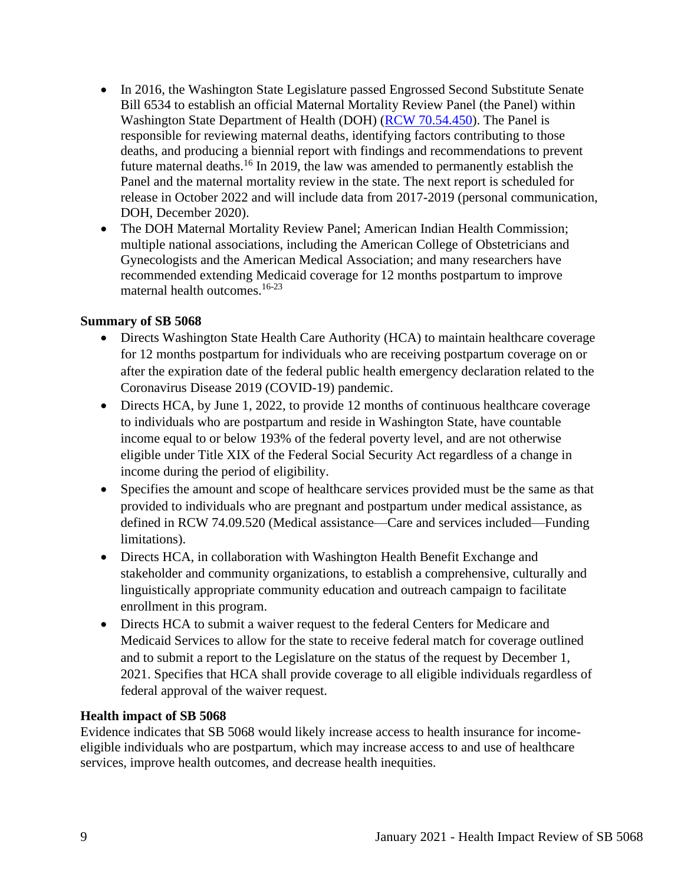- In 2016, the Washington State Legislature passed Engrossed Second Substitute Senate Bill 6534 to establish an official Maternal Mortality Review Panel (the Panel) within Washington State Department of Health (DOH) [\(RCW 70.54.450\)](https://app.leg.wa.gov/RCW/default.aspx?cite=70.54.450). The Panel is responsible for reviewing maternal deaths, identifying factors contributing to those deaths, and producing a biennial report with findings and recommendations to prevent future maternal deaths.<sup>16</sup> In 2019, the law was amended to permanently establish the Panel and the maternal mortality review in the state. The next report is scheduled for release in October 2022 and will include data from 2017-2019 (personal communication, DOH, December 2020).
- The DOH Maternal Mortality Review Panel; American Indian Health Commission; multiple national associations, including the American College of Obstetricians and Gynecologists and the American Medical Association; and many researchers have recommended extending Medicaid coverage for 12 months postpartum to improve maternal health outcomes.16-23

#### **Summary of SB 5068**

- Directs Washington State Health Care Authority (HCA) to maintain healthcare coverage for 12 months postpartum for individuals who are receiving postpartum coverage on or after the expiration date of the federal public health emergency declaration related to the Coronavirus Disease 2019 (COVID-19) pandemic.
- Directs HCA, by June 1, 2022, to provide 12 months of continuous healthcare coverage to individuals who are postpartum and reside in Washington State, have countable income equal to or below 193% of the federal poverty level, and are not otherwise eligible under Title XIX of the Federal Social Security Act regardless of a change in income during the period of eligibility.
- Specifies the amount and scope of healthcare services provided must be the same as that provided to individuals who are pregnant and postpartum under medical assistance, as defined in RCW 74.09.520 (Medical assistance—Care and services included—Funding limitations).
- Directs HCA, in collaboration with Washington Health Benefit Exchange and stakeholder and community organizations, to establish a comprehensive, culturally and linguistically appropriate community education and outreach campaign to facilitate enrollment in this program.
- Directs HCA to submit a waiver request to the federal Centers for Medicare and Medicaid Services to allow for the state to receive federal match for coverage outlined and to submit a report to the Legislature on the status of the request by December 1, 2021. Specifies that HCA shall provide coverage to all eligible individuals regardless of federal approval of the waiver request.

#### **Health impact of SB 5068**

Evidence indicates that SB 5068 would likely increase access to health insurance for incomeeligible individuals who are postpartum, which may increase access to and use of healthcare services, improve health outcomes, and decrease health inequities.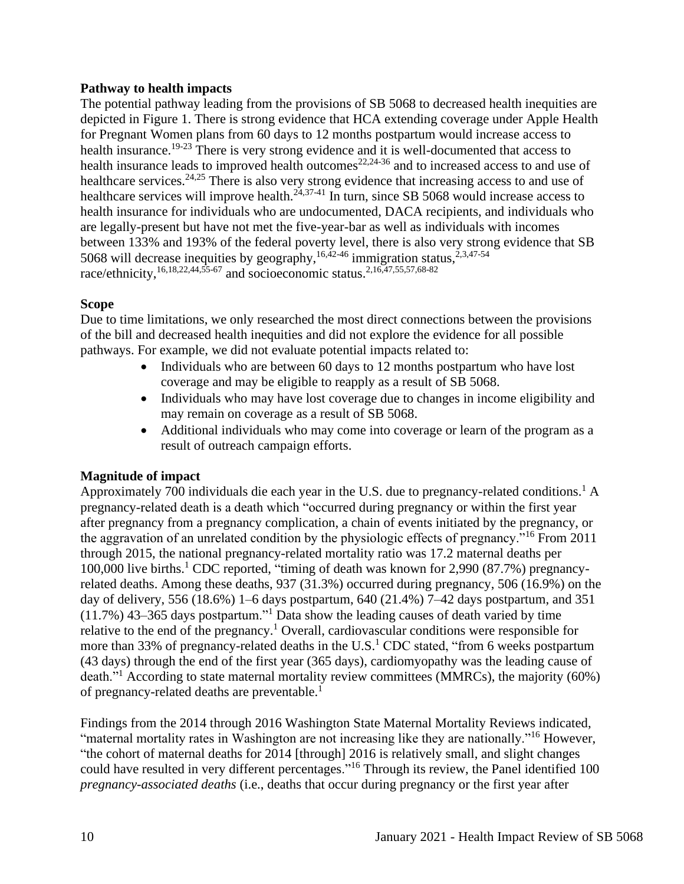# **Pathway to health impacts**

The potential pathway leading from the provisions of SB 5068 to decreased health inequities are depicted in Figure 1. There is strong evidence that HCA extending coverage under Apple Health for Pregnant Women plans from 60 days to 12 months postpartum would increase access to health insurance.19-23 There is very strong evidence and it is well-documented that access to health insurance leads to improved health outcomes<sup>22,24-36</sup> and to increased access to and use of healthcare services.<sup>24,25</sup> There is also very strong evidence that increasing access to and use of healthcare services will improve health.<sup>24,37-41</sup> In turn, since SB 5068 would increase access to health insurance for individuals who are undocumented, DACA recipients, and individuals who are legally-present but have not met the five-year-bar as well as individuals with incomes between 133% and 193% of the federal poverty level, there is also very strong evidence that SB 5068 will decrease inequities by geography,  $16,42-46$  immigration status,  $2,3,47-54$ race/ethnicity,<sup>16,18,22,44,55-67</sup> and socioeconomic status.<sup>2,16,47,55,57,68-82</sup>

#### **Scope**

Due to time limitations, we only researched the most direct connections between the provisions of the bill and decreased health inequities and did not explore the evidence for all possible pathways. For example, we did not evaluate potential impacts related to:

- Individuals who are between 60 days to 12 months postpartum who have lost coverage and may be eligible to reapply as a result of SB 5068.
- Individuals who may have lost coverage due to changes in income eligibility and may remain on coverage as a result of SB 5068.
- Additional individuals who may come into coverage or learn of the program as a result of outreach campaign efforts.

# **Magnitude of impact**

Approximately 700 individuals die each year in the U.S. due to pregnancy-related conditions.<sup>1</sup> A pregnancy-related death is a death which "occurred during pregnancy or within the first year after pregnancy from a pregnancy complication, a chain of events initiated by the pregnancy, or the aggravation of an unrelated condition by the physiologic effects of pregnancy."<sup>16</sup> From 2011 through 2015, the national pregnancy-related mortality ratio was 17.2 maternal deaths per 100,000 live births.<sup>1</sup> CDC reported, "timing of death was known for 2,990 (87.7%) pregnancyrelated deaths. Among these deaths, 937 (31.3%) occurred during pregnancy, 506 (16.9%) on the day of delivery, 556 (18.6%) 1–6 days postpartum, 640 (21.4%) 7–42 days postpartum, and 351 (11.7%) 43–365 days postpartum."<sup>1</sup> Data show the leading causes of death varied by time relative to the end of the pregnancy.<sup>1</sup> Overall, cardiovascular conditions were responsible for more than 33% of pregnancy-related deaths in the U.S.<sup>1</sup> CDC stated, "from 6 weeks postpartum (43 days) through the end of the first year (365 days), cardiomyopathy was the leading cause of death."<sup>1</sup> According to state maternal mortality review committees (MMRCs), the majority (60%) of pregnancy-related deaths are preventable.<sup>1</sup>

Findings from the 2014 through 2016 Washington State Maternal Mortality Reviews indicated, "maternal mortality rates in Washington are not increasing like they are nationally."<sup>16</sup> However, "the cohort of maternal deaths for 2014 [through] 2016 is relatively small, and slight changes could have resulted in very different percentages."<sup>16</sup> Through its review, the Panel identified 100 *pregnancy-associated deaths* (i.e., deaths that occur during pregnancy or the first year after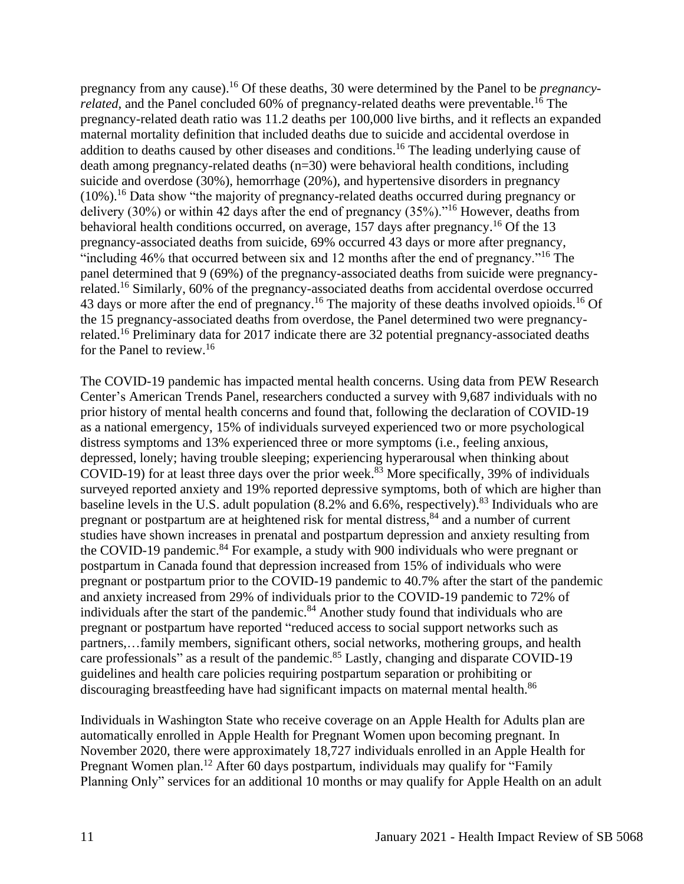pregnancy from any cause).<sup>16</sup> Of these deaths, 30 were determined by the Panel to be *pregnancyrelated*, and the Panel concluded 60% of pregnancy-related deaths were preventable.<sup>16</sup> The pregnancy-related death ratio was 11.2 deaths per 100,000 live births, and it reflects an expanded maternal mortality definition that included deaths due to suicide and accidental overdose in addition to deaths caused by other diseases and conditions.<sup>16</sup> The leading underlying cause of death among pregnancy-related deaths (n=30) were behavioral health conditions, including suicide and overdose (30%), hemorrhage (20%), and hypertensive disorders in pregnancy  $(10\%)$ .<sup>16</sup> Data show "the majority of pregnancy-related deaths occurred during pregnancy or delivery (30%) or within 42 days after the end of pregnancy (35%)."<sup>16</sup> However, deaths from behavioral health conditions occurred, on average, 157 days after pregnancy.<sup>16</sup> Of the 13 pregnancy-associated deaths from suicide, 69% occurred 43 days or more after pregnancy, "including 46% that occurred between six and 12 months after the end of pregnancy."<sup>16</sup> The panel determined that 9 (69%) of the pregnancy-associated deaths from suicide were pregnancyrelated.<sup>16</sup> Similarly, 60% of the pregnancy-associated deaths from accidental overdose occurred 43 days or more after the end of pregnancy.<sup>16</sup> The majority of these deaths involved opioids.<sup>16</sup> Of the 15 pregnancy-associated deaths from overdose, the Panel determined two were pregnancyrelated.<sup>16</sup> Preliminary data for 2017 indicate there are 32 potential pregnancy-associated deaths for the Panel to review. 16

The COVID-19 pandemic has impacted mental health concerns. Using data from PEW Research Center's American Trends Panel, researchers conducted a survey with 9,687 individuals with no prior history of mental health concerns and found that, following the declaration of COVID-19 as a national emergency, 15% of individuals surveyed experienced two or more psychological distress symptoms and 13% experienced three or more symptoms (i.e., feeling anxious, depressed, lonely; having trouble sleeping; experiencing hyperarousal when thinking about COVID-19) for at least three days over the prior week. <sup>83</sup> More specifically, 39% of individuals surveyed reported anxiety and 19% reported depressive symptoms, both of which are higher than baseline levels in the U.S. adult population  $(8.2\%$  and  $6.6\%$ , respectively).<sup>83</sup> Individuals who are pregnant or postpartum are at heightened risk for mental distress,<sup>84</sup> and a number of current studies have shown increases in prenatal and postpartum depression and anxiety resulting from the COVID-19 pandemic.<sup>84</sup> For example, a study with 900 individuals who were pregnant or postpartum in Canada found that depression increased from 15% of individuals who were pregnant or postpartum prior to the COVID-19 pandemic to 40.7% after the start of the pandemic and anxiety increased from 29% of individuals prior to the COVID-19 pandemic to 72% of individuals after the start of the pandemic.<sup>84</sup> Another study found that individuals who are pregnant or postpartum have reported "reduced access to social support networks such as partners,…family members, significant others, social networks, mothering groups, and health care professionals" as a result of the pandemic.<sup>85</sup> Lastly, changing and disparate COVID-19 guidelines and health care policies requiring postpartum separation or prohibiting or discouraging breastfeeding have had significant impacts on maternal mental health.<sup>86</sup>

Individuals in Washington State who receive coverage on an Apple Health for Adults plan are automatically enrolled in Apple Health for Pregnant Women upon becoming pregnant. In November 2020, there were approximately 18,727 individuals enrolled in an Apple Health for Pregnant Women plan.<sup>12</sup> After 60 days postpartum, individuals may qualify for "Family Planning Only" services for an additional 10 months or may qualify for Apple Health on an adult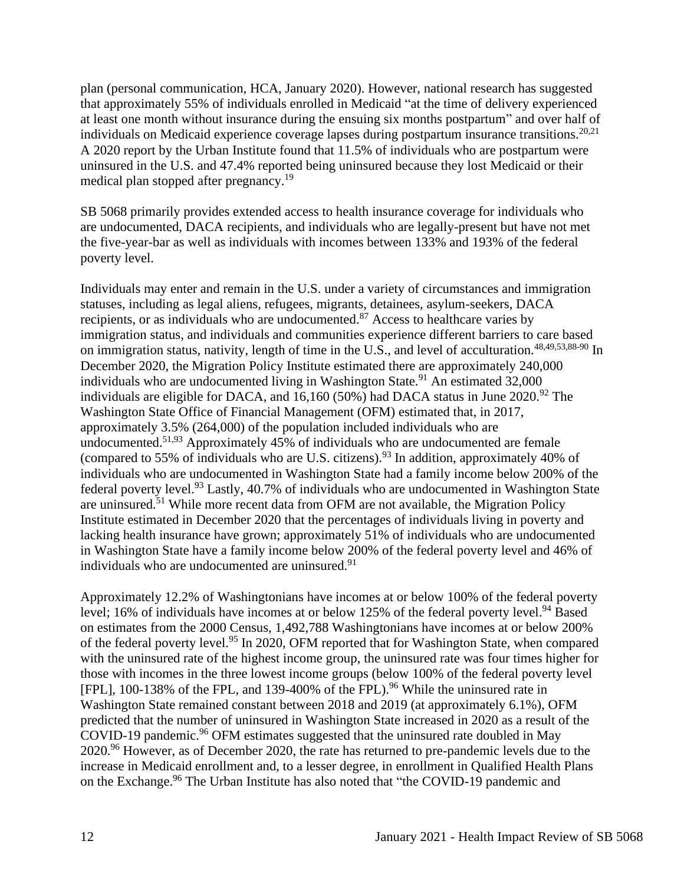plan (personal communication, HCA, January 2020). However, national research has suggested that approximately 55% of individuals enrolled in Medicaid "at the time of delivery experienced at least one month without insurance during the ensuing six months postpartum" and over half of individuals on Medicaid experience coverage lapses during postpartum insurance transitions.<sup>20,21</sup> A 2020 report by the Urban Institute found that 11.5% of individuals who are postpartum were uninsured in the U.S. and 47.4% reported being uninsured because they lost Medicaid or their medical plan stopped after pregnancy.<sup>19</sup>

SB 5068 primarily provides extended access to health insurance coverage for individuals who are undocumented, DACA recipients, and individuals who are legally-present but have not met the five-year-bar as well as individuals with incomes between 133% and 193% of the federal poverty level.

Individuals may enter and remain in the U.S. under a variety of circumstances and immigration statuses, including as legal aliens, refugees, migrants, detainees, asylum-seekers, DACA recipients, or as individuals who are undocumented.<sup>87</sup> Access to healthcare varies by immigration status, and individuals and communities experience different barriers to care based on immigration status, nativity, length of time in the U.S., and level of acculturation.<sup>48,49,53,88-90</sup> In December 2020, the Migration Policy Institute estimated there are approximately 240,000 individuals who are undocumented living in Washington State.<sup>91</sup> An estimated 32,000 individuals are eligible for DACA, and 16,160 (50%) had DACA status in June 2020.<sup>92</sup> The Washington State Office of Financial Management (OFM) estimated that, in 2017, approximately 3.5% (264,000) of the population included individuals who are undocumented.51,93 Approximately 45% of individuals who are undocumented are female (compared to 55% of individuals who are U.S. citizens).<sup>93</sup> In addition, approximately 40% of individuals who are undocumented in Washington State had a family income below 200% of the federal poverty level.<sup>93</sup> Lastly, 40.7% of individuals who are undocumented in Washington State are uninsured.<sup>51</sup> While more recent data from OFM are not available, the Migration Policy Institute estimated in December 2020 that the percentages of individuals living in poverty and lacking health insurance have grown; approximately 51% of individuals who are undocumented in Washington State have a family income below 200% of the federal poverty level and 46% of individuals who are undocumented are uninsured.<sup>91</sup>

Approximately 12.2% of Washingtonians have incomes at or below 100% of the federal poverty level; 16% of individuals have incomes at or below 125% of the federal poverty level.<sup>94</sup> Based on estimates from the 2000 Census, 1,492,788 Washingtonians have incomes at or below 200% of the federal poverty level.<sup>95</sup> In 2020, OFM reported that for Washington State, when compared with the uninsured rate of the highest income group, the uninsured rate was four times higher for those with incomes in the three lowest income groups (below 100% of the federal poverty level [FPL], 100-138% of the FPL, and 139-400% of the FPL).<sup>96</sup> While the uninsured rate in Washington State remained constant between 2018 and 2019 (at approximately 6.1%), OFM predicted that the number of uninsured in Washington State increased in 2020 as a result of the COVID-19 pandemic.<sup>96</sup> OFM estimates suggested that the uninsured rate doubled in May 2020.<sup>96</sup> However, as of December 2020, the rate has returned to pre-pandemic levels due to the increase in Medicaid enrollment and, to a lesser degree, in enrollment in Qualified Health Plans on the Exchange.<sup>96</sup> The Urban Institute has also noted that "the COVID-19 pandemic and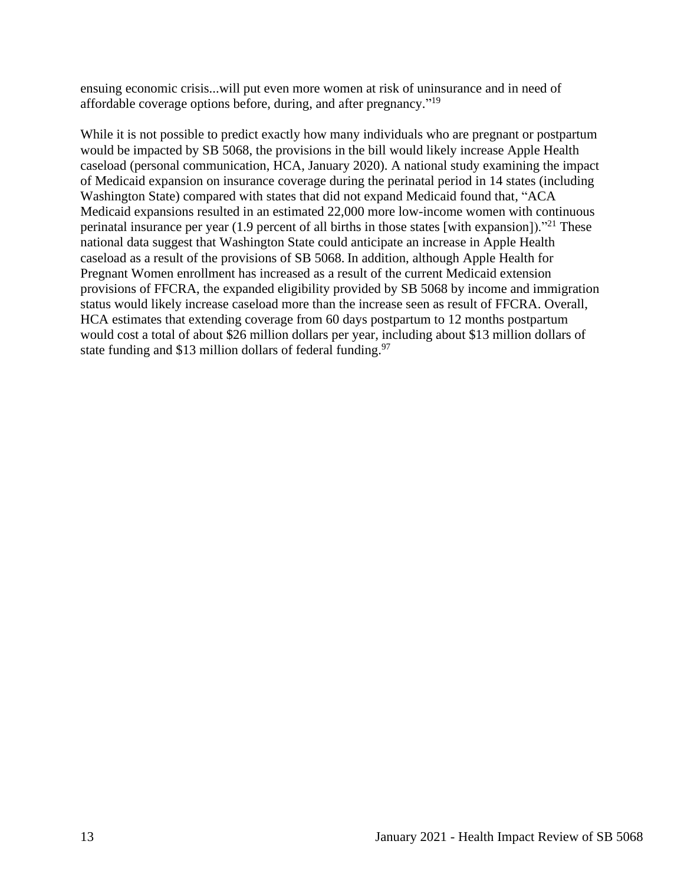ensuing economic crisis...will put even more women at risk of uninsurance and in need of affordable coverage options before, during, and after pregnancy."<sup>19</sup>

While it is not possible to predict exactly how many individuals who are pregnant or postpartum would be impacted by SB 5068, the provisions in the bill would likely increase Apple Health caseload (personal communication, HCA, January 2020). A national study examining the impact of Medicaid expansion on insurance coverage during the perinatal period in 14 states (including Washington State) compared with states that did not expand Medicaid found that, "ACA Medicaid expansions resulted in an estimated 22,000 more low-income women with continuous perinatal insurance per year (1.9 percent of all births in those states [with expansion]).<sup>"21</sup> These national data suggest that Washington State could anticipate an increase in Apple Health caseload as a result of the provisions of SB 5068. In addition, although Apple Health for Pregnant Women enrollment has increased as a result of the current Medicaid extension provisions of FFCRA, the expanded eligibility provided by SB 5068 by income and immigration status would likely increase caseload more than the increase seen as result of FFCRA. Overall, HCA estimates that extending coverage from 60 days postpartum to 12 months postpartum would cost a total of about \$26 million dollars per year, including about \$13 million dollars of state funding and \$13 million dollars of federal funding.<sup>97</sup>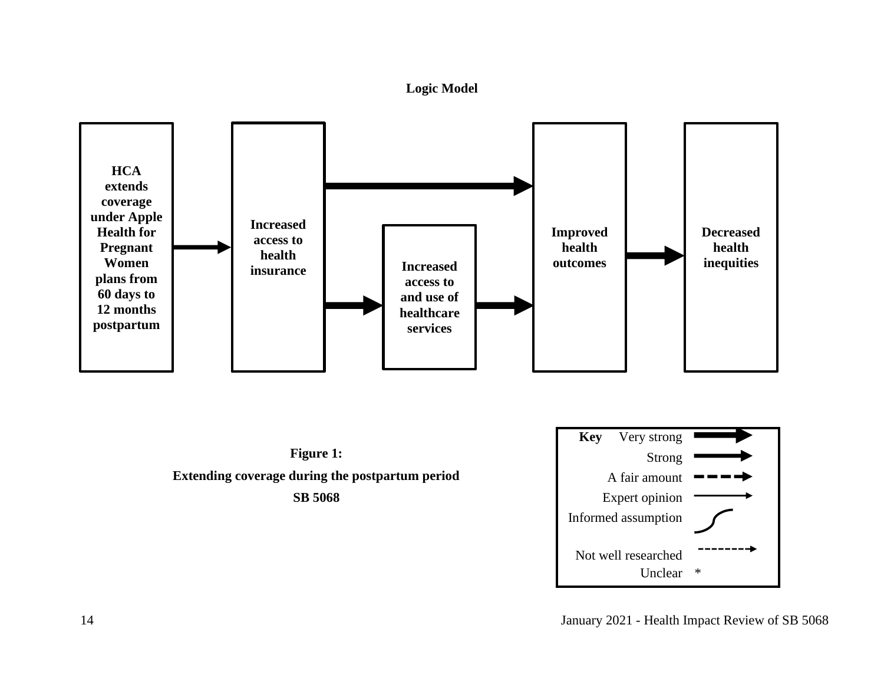

<span id="page-13-0"></span>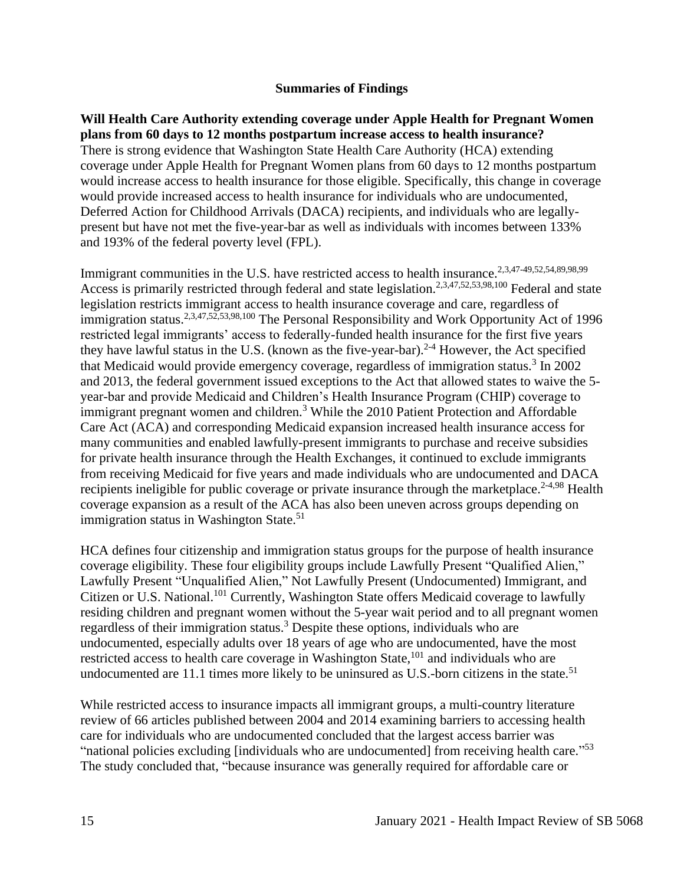#### **Summaries of Findings**

<span id="page-14-0"></span>**Will Health Care Authority extending coverage under Apple Health for Pregnant Women plans from 60 days to 12 months postpartum increase access to health insurance?** There is strong evidence that Washington State Health Care Authority (HCA) extending coverage under Apple Health for Pregnant Women plans from 60 days to 12 months postpartum would increase access to health insurance for those eligible. Specifically, this change in coverage would provide increased access to health insurance for individuals who are undocumented, Deferred Action for Childhood Arrivals (DACA) recipients, and individuals who are legallypresent but have not met the five-year-bar as well as individuals with incomes between 133% and 193% of the federal poverty level (FPL).

Immigrant communities in the U.S. have restricted access to health insurance.<sup>2,3,47-49,52,54,89,98,99</sup> Access is primarily restricted through federal and state legislation.<sup>2,3,47,52,53,98,100</sup> Federal and state legislation restricts immigrant access to health insurance coverage and care, regardless of immigration status.<sup>2,3,47,52,53,98,100</sup> The Personal Responsibility and Work Opportunity Act of 1996 restricted legal immigrants' access to federally-funded health insurance for the first five years they have lawful status in the U.S. (known as the five-year-bar).<sup>2-4</sup> However, the Act specified that Medicaid would provide emergency coverage, regardless of immigration status.<sup>3</sup> In 2002 and 2013, the federal government issued exceptions to the Act that allowed states to waive the 5 year-bar and provide Medicaid and Children's Health Insurance Program (CHIP) coverage to immigrant pregnant women and children.<sup>3</sup> While the 2010 Patient Protection and Affordable Care Act (ACA) and corresponding Medicaid expansion increased health insurance access for many communities and enabled lawfully-present immigrants to purchase and receive subsidies for private health insurance through the Health Exchanges, it continued to exclude immigrants from receiving Medicaid for five years and made individuals who are undocumented and DACA recipients ineligible for public coverage or private insurance through the marketplace.<sup>2-4,98</sup> Health coverage expansion as a result of the ACA has also been uneven across groups depending on immigration status in Washington State.<sup>51</sup>

HCA defines four citizenship and immigration status groups for the purpose of health insurance coverage eligibility. These four eligibility groups include Lawfully Present "Qualified Alien," Lawfully Present "Unqualified Alien," Not Lawfully Present (Undocumented) Immigrant, and Citizen or U.S. National.<sup>101</sup> Currently, Washington State offers Medicaid coverage to lawfully residing children and pregnant women without the 5-year wait period and to all pregnant women regardless of their immigration status.<sup>3</sup> Despite these options, individuals who are undocumented, especially adults over 18 years of age who are undocumented, have the most restricted access to health care coverage in Washington State,<sup>101</sup> and individuals who are undocumented are  $11.1$  times more likely to be uninsured as U.S.-born citizens in the state.<sup>51</sup>

While restricted access to insurance impacts all immigrant groups, a multi-country literature review of 66 articles published between 2004 and 2014 examining barriers to accessing health care for individuals who are undocumented concluded that the largest access barrier was "national policies excluding [individuals who are undocumented] from receiving health care."<sup>53</sup> The study concluded that, "because insurance was generally required for affordable care or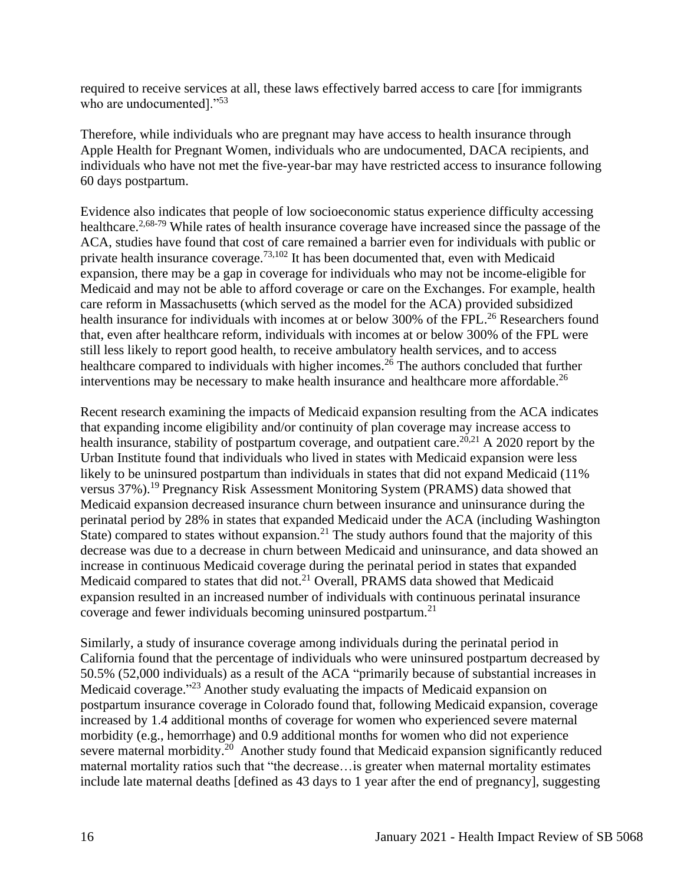required to receive services at all, these laws effectively barred access to care [for immigrants who are undocumented]."<sup>53</sup>

Therefore, while individuals who are pregnant may have access to health insurance through Apple Health for Pregnant Women, individuals who are undocumented, DACA recipients, and individuals who have not met the five-year-bar may have restricted access to insurance following 60 days postpartum.

Evidence also indicates that people of low socioeconomic status experience difficulty accessing healthcare.<sup>2,68-79</sup> While rates of health insurance coverage have increased since the passage of the ACA, studies have found that cost of care remained a barrier even for individuals with public or private health insurance coverage.<sup>73,102</sup> It has been documented that, even with Medicaid expansion, there may be a gap in coverage for individuals who may not be income-eligible for Medicaid and may not be able to afford coverage or care on the Exchanges. For example, health care reform in Massachusetts (which served as the model for the ACA) provided subsidized health insurance for individuals with incomes at or below 300% of the FPL.<sup>26</sup> Researchers found that, even after healthcare reform, individuals with incomes at or below 300% of the FPL were still less likely to report good health, to receive ambulatory health services, and to access healthcare compared to individuals with higher incomes.<sup>26</sup> The authors concluded that further interventions may be necessary to make health insurance and healthcare more affordable.<sup>26</sup>

Recent research examining the impacts of Medicaid expansion resulting from the ACA indicates that expanding income eligibility and/or continuity of plan coverage may increase access to health insurance, stability of postpartum coverage, and outpatient care.<sup>20,21</sup> A 2020 report by the Urban Institute found that individuals who lived in states with Medicaid expansion were less likely to be uninsured postpartum than individuals in states that did not expand Medicaid (11%) versus 37%).<sup>19</sup> Pregnancy Risk Assessment Monitoring System (PRAMS) data showed that Medicaid expansion decreased insurance churn between insurance and uninsurance during the perinatal period by 28% in states that expanded Medicaid under the ACA (including Washington State) compared to states without expansion.<sup>21</sup> The study authors found that the majority of this decrease was due to a decrease in churn between Medicaid and uninsurance, and data showed an increase in continuous Medicaid coverage during the perinatal period in states that expanded Medicaid compared to states that did not.<sup>21</sup> Overall, PRAMS data showed that Medicaid expansion resulted in an increased number of individuals with continuous perinatal insurance coverage and fewer individuals becoming uninsured postpartum.<sup>21</sup>

Similarly, a study of insurance coverage among individuals during the perinatal period in California found that the percentage of individuals who were uninsured postpartum decreased by 50.5% (52,000 individuals) as a result of the ACA "primarily because of substantial increases in Medicaid coverage."<sup>23</sup> Another study evaluating the impacts of Medicaid expansion on postpartum insurance coverage in Colorado found that, following Medicaid expansion, coverage increased by 1.4 additional months of coverage for women who experienced severe maternal morbidity (e.g., hemorrhage) and 0.9 additional months for women who did not experience severe maternal morbidity.<sup>20</sup> Another study found that Medicaid expansion significantly reduced maternal mortality ratios such that "the decrease…is greater when maternal mortality estimates include late maternal deaths [defined as 43 days to 1 year after the end of pregnancy], suggesting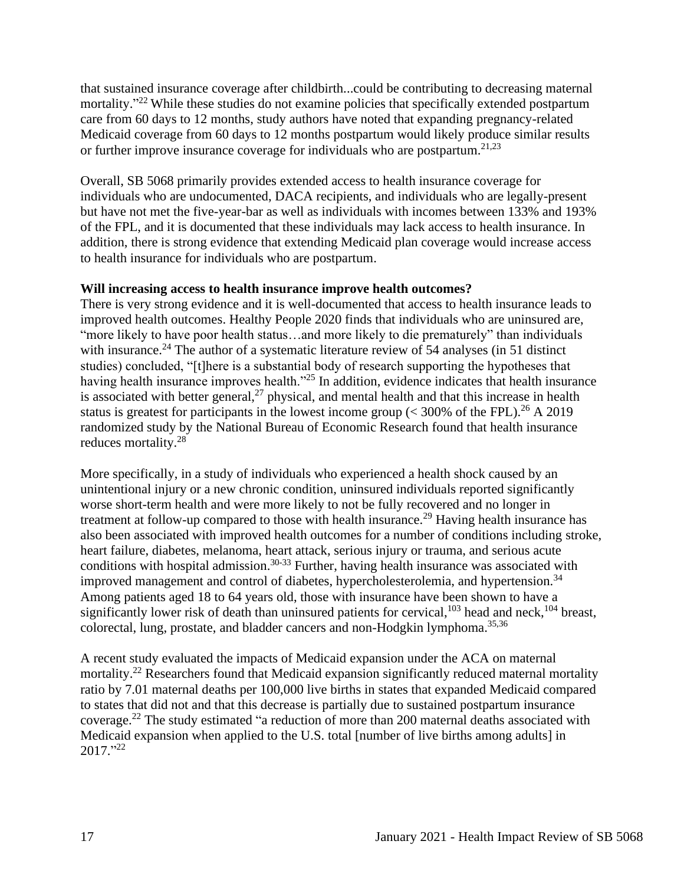that sustained insurance coverage after childbirth...could be contributing to decreasing maternal mortality."<sup>22</sup> While these studies do not examine policies that specifically extended postpartum care from 60 days to 12 months, study authors have noted that expanding pregnancy-related Medicaid coverage from 60 days to 12 months postpartum would likely produce similar results or further improve insurance coverage for individuals who are postpartum.<sup>21,23</sup>

Overall, SB 5068 primarily provides extended access to health insurance coverage for individuals who are undocumented, DACA recipients, and individuals who are legally-present but have not met the five-year-bar as well as individuals with incomes between 133% and 193% of the FPL, and it is documented that these individuals may lack access to health insurance. In addition, there is strong evidence that extending Medicaid plan coverage would increase access to health insurance for individuals who are postpartum.

# **Will increasing access to health insurance improve health outcomes?**

There is very strong evidence and it is well-documented that access to health insurance leads to improved health outcomes. Healthy People 2020 finds that individuals who are uninsured are, "more likely to have poor health status…and more likely to die prematurely" than individuals with insurance.<sup>24</sup> The author of a systematic literature review of 54 analyses (in 51 distinct studies) concluded, "[t]here is a substantial body of research supporting the hypotheses that having health insurance improves health."<sup>25</sup> In addition, evidence indicates that health insurance is associated with better general,<sup>27</sup> physical, and mental health and that this increase in health status is greatest for participants in the lowest income group  $(< 300\%$  of the FPL).<sup>26</sup> A 2019 randomized study by the National Bureau of Economic Research found that health insurance reduces mortality.<sup>28</sup>

More specifically, in a study of individuals who experienced a health shock caused by an unintentional injury or a new chronic condition, uninsured individuals reported significantly worse short-term health and were more likely to not be fully recovered and no longer in treatment at follow-up compared to those with health insurance.<sup>29</sup> Having health insurance has also been associated with improved health outcomes for a number of conditions including stroke, heart failure, diabetes, melanoma, heart attack, serious injury or trauma, and serious acute conditions with hospital admission.<sup>30-33</sup> Further, having health insurance was associated with improved management and control of diabetes, hypercholesterolemia, and hypertension.<sup>34</sup> Among patients aged 18 to 64 years old, those with insurance have been shown to have a significantly lower risk of death than uninsured patients for cervical,<sup>103</sup> head and neck,<sup>104</sup> breast, colorectal, lung, prostate, and bladder cancers and non-Hodgkin lymphoma.<sup>35,36</sup>

A recent study evaluated the impacts of Medicaid expansion under the ACA on maternal mortality.<sup>22</sup> Researchers found that Medicaid expansion significantly reduced maternal mortality ratio by 7.01 maternal deaths per 100,000 live births in states that expanded Medicaid compared to states that did not and that this decrease is partially due to sustained postpartum insurance coverage.<sup>22</sup> The study estimated "a reduction of more than 200 maternal deaths associated with Medicaid expansion when applied to the U.S. total [number of live births among adults] in 2017." 22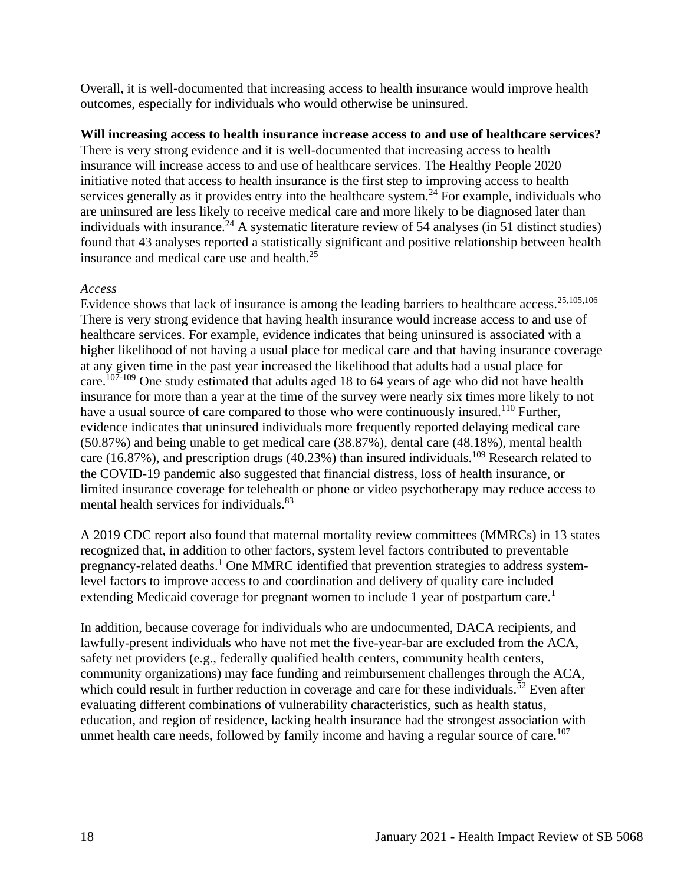Overall, it is well-documented that increasing access to health insurance would improve health outcomes, especially for individuals who would otherwise be uninsured.

# **Will increasing access to health insurance increase access to and use of healthcare services?**

There is very strong evidence and it is well-documented that increasing access to health insurance will increase access to and use of healthcare services. The Healthy People 2020 initiative noted that access to health insurance is the first step to improving access to health services generally as it provides entry into the healthcare system.<sup>24</sup> For example, individuals who are uninsured are less likely to receive medical care and more likely to be diagnosed later than individuals with insurance.<sup>24</sup> A systematic literature review of 54 analyses (in 51 distinct studies) found that 43 analyses reported a statistically significant and positive relationship between health insurance and medical care use and health.<sup>25</sup>

# *Access*

Evidence shows that lack of insurance is among the leading barriers to healthcare access.25,105,106 There is very strong evidence that having health insurance would increase access to and use of healthcare services. For example, evidence indicates that being uninsured is associated with a higher likelihood of not having a usual place for medical care and that having insurance coverage at any given time in the past year increased the likelihood that adults had a usual place for care.<sup>107-109</sup> One study estimated that adults aged 18 to 64 years of age who did not have health insurance for more than a year at the time of the survey were nearly six times more likely to not have a usual source of care compared to those who were continuously insured.<sup>110</sup> Further, evidence indicates that uninsured individuals more frequently reported delaying medical care (50.87%) and being unable to get medical care (38.87%), dental care (48.18%), mental health care (16.87%), and prescription drugs (40.23%) than insured individuals.<sup>109</sup> Research related to the COVID-19 pandemic also suggested that financial distress, loss of health insurance, or limited insurance coverage for telehealth or phone or video psychotherapy may reduce access to mental health services for individuals.<sup>83</sup>

A 2019 CDC report also found that maternal mortality review committees (MMRCs) in 13 states recognized that, in addition to other factors, system level factors contributed to preventable pregnancy-related deaths.<sup>1</sup> One MMRC identified that prevention strategies to address systemlevel factors to improve access to and coordination and delivery of quality care included extending Medicaid coverage for pregnant women to include 1 year of postpartum care.<sup>1</sup>

In addition, because coverage for individuals who are undocumented, DACA recipients, and lawfully-present individuals who have not met the five-year-bar are excluded from the ACA, safety net providers (e.g., federally qualified health centers, community health centers, community organizations) may face funding and reimbursement challenges through the ACA, which could result in further reduction in coverage and care for these individuals.<sup> $\bar{5}2$ </sup> Even after evaluating different combinations of vulnerability characteristics, such as health status, education, and region of residence, lacking health insurance had the strongest association with unmet health care needs, followed by family income and having a regular source of care.<sup>107</sup>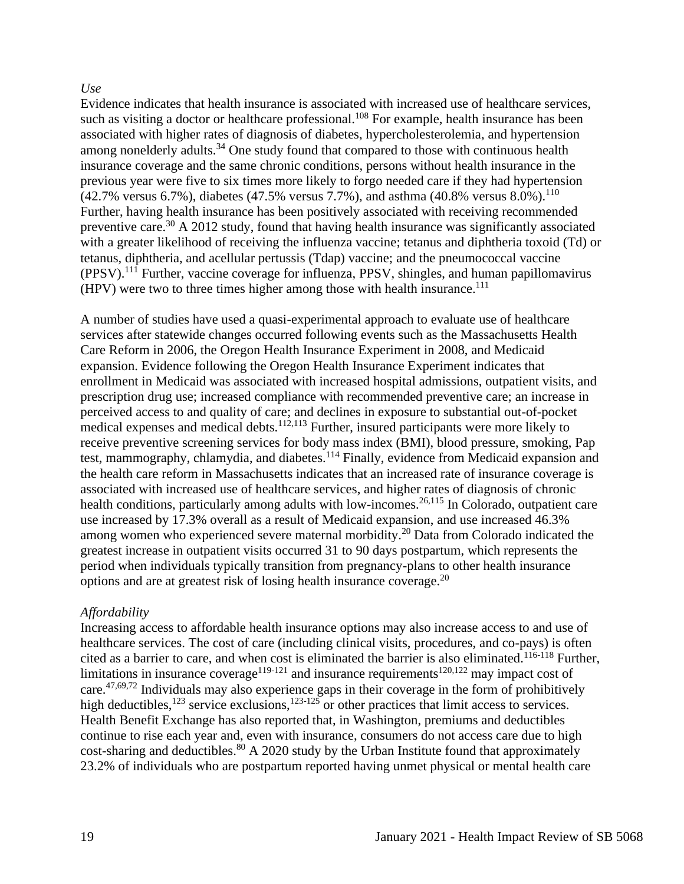### *Use*

Evidence indicates that health insurance is associated with increased use of healthcare services, such as visiting a doctor or healthcare professional.<sup>108</sup> For example, health insurance has been associated with higher rates of diagnosis of diabetes, hypercholesterolemia, and hypertension among nonelderly adults.<sup>34</sup> One study found that compared to those with continuous health insurance coverage and the same chronic conditions, persons without health insurance in the previous year were five to six times more likely to forgo needed care if they had hypertension  $(42.7\%$  versus 6.7%), diabetes (47.5% versus 7.7%), and asthma (40.8% versus 8.0%).<sup>110</sup> Further, having health insurance has been positively associated with receiving recommended preventive care.<sup>30</sup> A 2012 study, found that having health insurance was significantly associated with a greater likelihood of receiving the influenza vaccine; tetanus and diphtheria toxoid (Td) or tetanus, diphtheria, and acellular pertussis (Tdap) vaccine; and the pneumococcal vaccine (PPSV).<sup>111</sup> Further, vaccine coverage for influenza, PPSV, shingles, and human papillomavirus (HPV) were two to three times higher among those with health insurance. 111

A number of studies have used a quasi-experimental approach to evaluate use of healthcare services after statewide changes occurred following events such as the Massachusetts Health Care Reform in 2006, the Oregon Health Insurance Experiment in 2008, and Medicaid expansion. Evidence following the Oregon Health Insurance Experiment indicates that enrollment in Medicaid was associated with increased hospital admissions, outpatient visits, and prescription drug use; increased compliance with recommended preventive care; an increase in perceived access to and quality of care; and declines in exposure to substantial out-of-pocket medical expenses and medical debts.<sup>112,113</sup> Further, insured participants were more likely to receive preventive screening services for body mass index (BMI), blood pressure, smoking, Pap test, mammography, chlamydia, and diabetes.<sup>114</sup> Finally, evidence from Medicaid expansion and the health care reform in Massachusetts indicates that an increased rate of insurance coverage is associated with increased use of healthcare services, and higher rates of diagnosis of chronic health conditions, particularly among adults with low-incomes.<sup>26,115</sup> In Colorado, outpatient care use increased by 17.3% overall as a result of Medicaid expansion, and use increased 46.3% among women who experienced severe maternal morbidity.<sup>20</sup> Data from Colorado indicated the greatest increase in outpatient visits occurred 31 to 90 days postpartum, which represents the period when individuals typically transition from pregnancy-plans to other health insurance options and are at greatest risk of losing health insurance coverage.<sup>20</sup>

#### *Affordability*

Increasing access to affordable health insurance options may also increase access to and use of healthcare services. The cost of care (including clinical visits, procedures, and co-pays) is often cited as a barrier to care, and when cost is eliminated the barrier is also eliminated.<sup>116-118</sup> Further, limitations in insurance coverage<sup>119-121</sup> and insurance requirements<sup>120,122</sup> may impact cost of care.47,69,72 Individuals may also experience gaps in their coverage in the form of prohibitively high deductibles,  $123$  service exclusions,  $123-125$  or other practices that limit access to services. Health Benefit Exchange has also reported that, in Washington, premiums and deductibles continue to rise each year and, even with insurance, consumers do not access care due to high cost-sharing and deductibles. $80$  A 2020 study by the Urban Institute found that approximately 23.2% of individuals who are postpartum reported having unmet physical or mental health care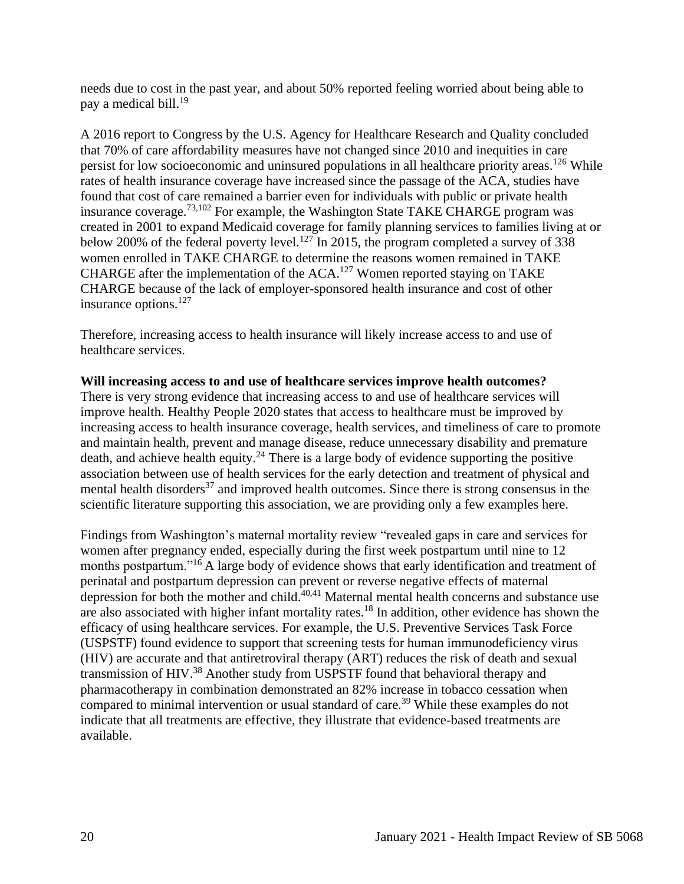needs due to cost in the past year, and about 50% reported feeling worried about being able to pay a medical bill.<sup>19</sup>

A 2016 report to Congress by the U.S. Agency for Healthcare Research and Quality concluded that 70% of care affordability measures have not changed since 2010 and inequities in care persist for low socioeconomic and uninsured populations in all healthcare priority areas.<sup>126</sup> While rates of health insurance coverage have increased since the passage of the ACA, studies have found that cost of care remained a barrier even for individuals with public or private health insurance coverage.73,102 For example, the Washington State TAKE CHARGE program was created in 2001 to expand Medicaid coverage for family planning services to families living at or below 200% of the federal poverty level.<sup>127</sup> In 2015, the program completed a survey of 338 women enrolled in TAKE CHARGE to determine the reasons women remained in TAKE CHARGE after the implementation of the  $ACA$ .<sup>127</sup> Women reported staying on TAKE CHARGE because of the lack of employer-sponsored health insurance and cost of other insurance options.<sup>127</sup>

Therefore, increasing access to health insurance will likely increase access to and use of healthcare services.

# Will increasing access to and use of healthcare services improve health outcomes?

There is very strong evidence that increasing access to and use of healthcare services will improve health. Healthy People 2020 states that access to healthcare must be improved by increasing access to health insurance coverage, health services, and timeliness of care to promote and maintain health, prevent and manage disease, reduce unnecessary disability and premature death, and achieve health equity.<sup>24</sup> There is a large body of evidence supporting the positive association between use of health services for the early detection and treatment of physical and mental health disorders<sup>37</sup> and improved health outcomes. Since there is strong consensus in the scientific literature supporting this association, we are providing only a few examples here.

Findings from Washington's maternal mortality review "revealed gaps in care and services for women after pregnancy ended, especially during the first week postpartum until nine to 12 months postpartum."<sup>16</sup> A large body of evidence shows that early identification and treatment of perinatal and postpartum depression can prevent or reverse negative effects of maternal depression for both the mother and child. $40,41$  Maternal mental health concerns and substance use are also associated with higher infant mortality rates.<sup>18</sup> In addition, other evidence has shown the efficacy of using healthcare services. For example, the U.S. Preventive Services Task Force (USPSTF) found evidence to support that screening tests for human immunodeficiency virus (HIV) are accurate and that antiretroviral therapy (ART) reduces the risk of death and sexual transmission of HIV.<sup>38</sup> Another study from USPSTF found that behavioral therapy and pharmacotherapy in combination demonstrated an 82% increase in tobacco cessation when compared to minimal intervention or usual standard of care.<sup>39</sup> While these examples do not indicate that all treatments are effective, they illustrate that evidence-based treatments are available.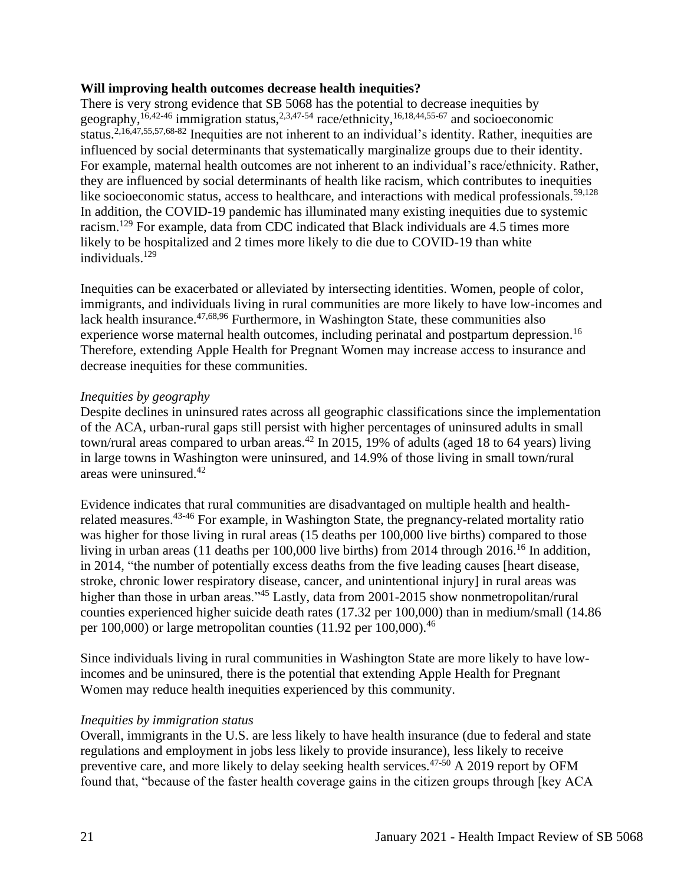#### **Will improving health outcomes decrease health inequities?**

There is very strong evidence that SB 5068 has the potential to decrease inequities by geography,<sup>16,42-46</sup> immigration status,<sup>2,3,47-54</sup> race/ethnicity,<sup>16,18,44,55-67</sup> and socioeconomic status.<sup>2,16,47,55,57,68-82</sup> Inequities are not inherent to an individual's identity. Rather, inequities are influenced by social determinants that systematically marginalize groups due to their identity. For example, maternal health outcomes are not inherent to an individual's race/ethnicity. Rather, they are influenced by social determinants of health like racism, which contributes to inequities like socioeconomic status, access to healthcare, and interactions with medical professionals.<sup>59,128</sup> In addition, the COVID-19 pandemic has illuminated many existing inequities due to systemic racism.<sup>129</sup> For example, data from CDC indicated that Black individuals are 4.5 times more likely to be hospitalized and 2 times more likely to die due to COVID-19 than white individuals.<sup>129</sup>

Inequities can be exacerbated or alleviated by intersecting identities. Women, people of color, immigrants, and individuals living in rural communities are more likely to have low-incomes and lack health insurance.<sup>47,68,96</sup> Furthermore, in Washington State, these communities also experience worse maternal health outcomes, including perinatal and postpartum depression.<sup>16</sup> Therefore, extending Apple Health for Pregnant Women may increase access to insurance and decrease inequities for these communities.

#### *Inequities by geography*

Despite declines in uninsured rates across all geographic classifications since the implementation of the ACA, urban-rural gaps still persist with higher percentages of uninsured adults in small town/rural areas compared to urban areas.<sup>42</sup> In 2015, 19% of adults (aged 18 to 64 years) living in large towns in Washington were uninsured, and 14.9% of those living in small town/rural areas were uninsured.<sup>42</sup>

Evidence indicates that rural communities are disadvantaged on multiple health and healthrelated measures.43-46 For example, in Washington State, the pregnancy-related mortality ratio was higher for those living in rural areas (15 deaths per 100,000 live births) compared to those living in urban areas (11 deaths per 100,000 live births) from 2014 through 2016.<sup>16</sup> In addition, in 2014, "the number of potentially excess deaths from the five leading causes [heart disease, stroke, chronic lower respiratory disease, cancer, and unintentional injury] in rural areas was higher than those in urban areas."<sup>45</sup> Lastly, data from 2001-2015 show nonmetropolitan/rural counties experienced higher suicide death rates (17.32 per 100,000) than in medium/small (14.86 per  $100,000$  or large metropolitan counties  $(11.92 \text{ per } 100,000)$ .<sup>46</sup>

Since individuals living in rural communities in Washington State are more likely to have lowincomes and be uninsured, there is the potential that extending Apple Health for Pregnant Women may reduce health inequities experienced by this community.

#### *Inequities by immigration status*

Overall, immigrants in the U.S. are less likely to have health insurance (due to federal and state regulations and employment in jobs less likely to provide insurance), less likely to receive preventive care, and more likely to delay seeking health services.<sup>47-50</sup> A 2019 report by OFM found that, "because of the faster health coverage gains in the citizen groups through [key ACA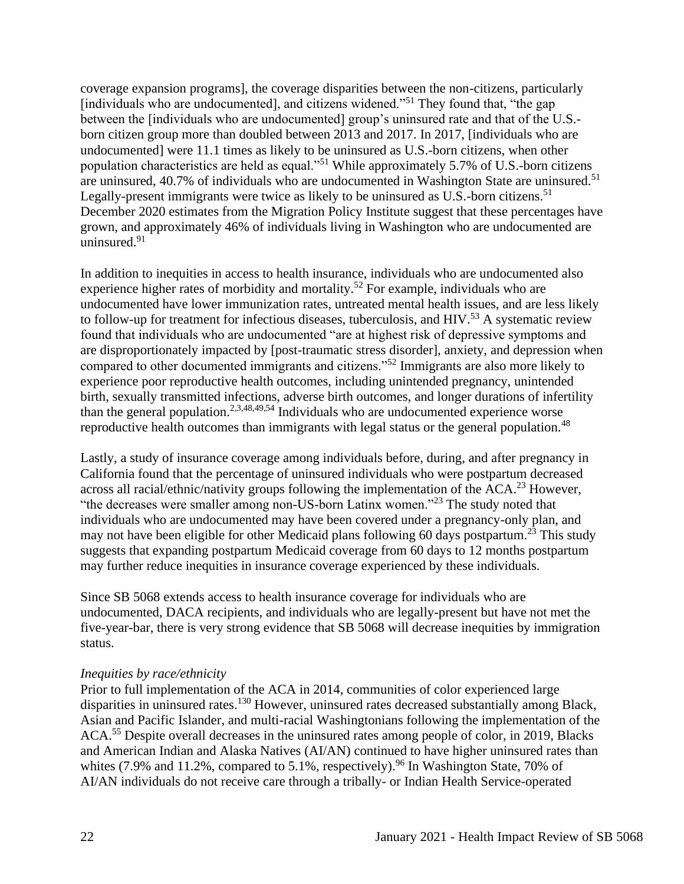coverage expansion programs], the coverage disparities between the non-citizens, particularly [individuals who are undocumented], and citizens widened."<sup>51</sup> They found that, "the gap between the [individuals who are undocumented] group's uninsured rate and that of the U.S. born citizen group more than doubled between 2013 and 2017. In 2017, [individuals who are undocumented] were 11.1 times as likely to be uninsured as U.S.-born citizens, when other population characteristics are held as equal."<sup>51</sup> While approximately 5.7% of U.S.-born citizens are uninsured,  $40.7\%$  of individuals who are undocumented in Washington State are uninsured.<sup>51</sup> Legally-present immigrants were twice as likely to be uninsured as U.S.-born citizens.<sup>51</sup> December 2020 estimates from the Migration Policy Institute suggest that these percentages have grown, and approximately 46% of individuals living in Washington who are undocumented are uninsured.<sup>91</sup>

In addition to inequities in access to health insurance, individuals who are undocumented also experience higher rates of morbidity and mortality.<sup>52</sup> For example, individuals who are undocumented have lower immunization rates, untreated mental health issues, and are less likely to follow-up for treatment for infectious diseases, tuberculosis, and  $HIV$ <sup>53</sup> A systematic review found that individuals who are undocumented "are at highest risk of depressive symptoms and are disproportionately impacted by [post-traumatic stress disorder], anxiety, and depression when compared to other documented immigrants and citizens."<sup>52</sup> Immigrants are also more likely to experience poor reproductive health outcomes, including unintended pregnancy, unintended birth, sexually transmitted infections, adverse birth outcomes, and longer durations of infertility than the general population.2,3,48,49,54 Individuals who are undocumented experience worse reproductive health outcomes than immigrants with legal status or the general population.<sup>48</sup>

Lastly, a study of insurance coverage among individuals before, during, and after pregnancy in California found that the percentage of uninsured individuals who were postpartum decreased across all racial/ethnic/nativity groups following the implementation of the  $ACA<sup>23</sup>$  However, "the decreases were smaller among non-US-born Latinx women."<sup>23</sup> The study noted that individuals who are undocumented may have been covered under a pregnancy-only plan, and may not have been eligible for other Medicaid plans following 60 days postpartum.<sup>23</sup> This study suggests that expanding postpartum Medicaid coverage from 60 days to 12 months postpartum may further reduce inequities in insurance coverage experienced by these individuals.

Since SB 5068 extends access to health insurance coverage for individuals who are undocumented, DACA recipients, and individuals who are legally-present but have not met the five-year-bar, there is very strong evidence that SB 5068 will decrease inequities by immigration status.

#### *Inequities by race/ethnicity*

Prior to full implementation of the ACA in 2014, communities of color experienced large disparities in uninsured rates.<sup>130</sup> However, uninsured rates decreased substantially among Black, Asian and Pacific Islander, and multi-racial Washingtonians following the implementation of the ACA.<sup>55</sup> Despite overall decreases in the uninsured rates among people of color, in 2019, Blacks and American Indian and Alaska Natives (AI/AN) continued to have higher uninsured rates than whites  $(7.9\%$  and  $11.2\%$ , compared to 5.1%, respectively). <sup>96</sup> In Washington State, 70% of AI/AN individuals do not receive care through a tribally- or Indian Health Service-operated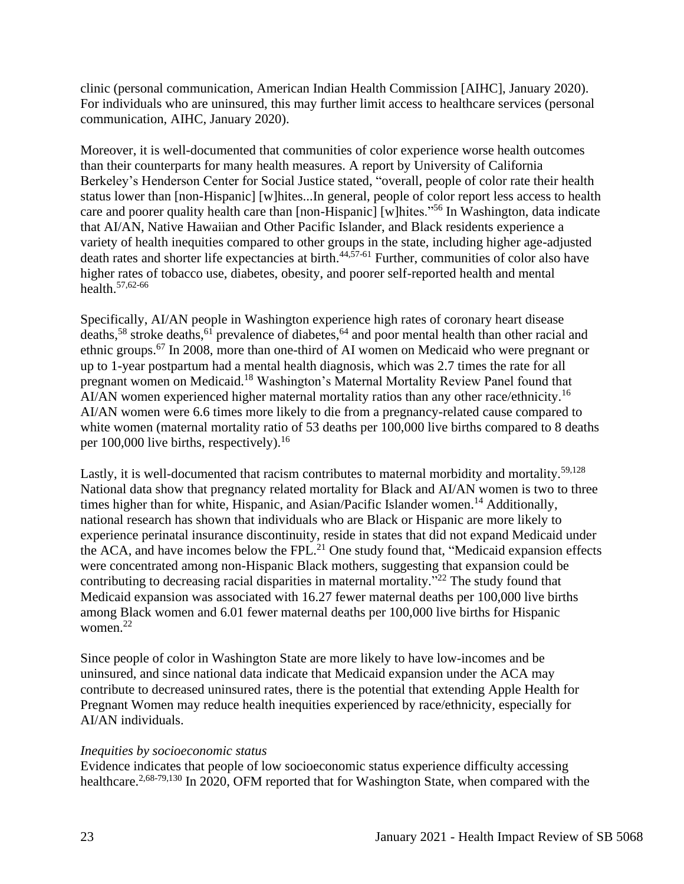clinic (personal communication, American Indian Health Commission [AIHC], January 2020). For individuals who are uninsured, this may further limit access to healthcare services (personal communication, AIHC, January 2020).

Moreover, it is well-documented that communities of color experience worse health outcomes than their counterparts for many health measures. A report by University of California Berkeley's Henderson Center for Social Justice stated, "overall, people of color rate their health status lower than [non-Hispanic] [w]hites...In general, people of color report less access to health care and poorer quality health care than [non-Hispanic] [w]hites."<sup>56</sup> In Washington, data indicate that AI/AN, Native Hawaiian and Other Pacific Islander, and Black residents experience a variety of health inequities compared to other groups in the state, including higher age-adjusted death rates and shorter life expectancies at birth.<sup>44,57-61</sup> Further, communities of color also have higher rates of tobacco use, diabetes, obesity, and poorer self-reported health and mental health.57,62-66

Specifically, AI/AN people in Washington experience high rates of coronary heart disease deaths,<sup>58</sup> stroke deaths,<sup>61</sup> prevalence of diabetes,<sup>64</sup> and poor mental health than other racial and ethnic groups.<sup>67</sup> In 2008, more than one-third of AI women on Medicaid who were pregnant or up to 1-year postpartum had a mental health diagnosis, which was 2.7 times the rate for all pregnant women on Medicaid.<sup>18</sup> Washington's Maternal Mortality Review Panel found that AI/AN women experienced higher maternal mortality ratios than any other race/ethnicity.<sup>16</sup> AI/AN women were 6.6 times more likely to die from a pregnancy-related cause compared to white women (maternal mortality ratio of 53 deaths per 100,000 live births compared to 8 deaths per  $100,000$  live births, respectively).<sup>16</sup>

Lastly, it is well-documented that racism contributes to maternal morbidity and mortality.<sup>59,128</sup> National data show that pregnancy related mortality for Black and AI/AN women is two to three times higher than for white, Hispanic, and Asian/Pacific Islander women.<sup>14</sup> Additionally, national research has shown that individuals who are Black or Hispanic are more likely to experience perinatal insurance discontinuity, reside in states that did not expand Medicaid under the ACA, and have incomes below the FPL. $^{21}$  One study found that, "Medicaid expansion effects were concentrated among non-Hispanic Black mothers, suggesting that expansion could be contributing to decreasing racial disparities in maternal mortality."<sup>22</sup> The study found that Medicaid expansion was associated with 16.27 fewer maternal deaths per 100,000 live births among Black women and 6.01 fewer maternal deaths per 100,000 live births for Hispanic women.<sup>22</sup>

Since people of color in Washington State are more likely to have low-incomes and be uninsured, and since national data indicate that Medicaid expansion under the ACA may contribute to decreased uninsured rates, there is the potential that extending Apple Health for Pregnant Women may reduce health inequities experienced by race/ethnicity, especially for AI/AN individuals.

#### *Inequities by socioeconomic status*

Evidence indicates that people of low socioeconomic status experience difficulty accessing healthcare.<sup>2,68-79,130</sup> In 2020, OFM reported that for Washington State, when compared with the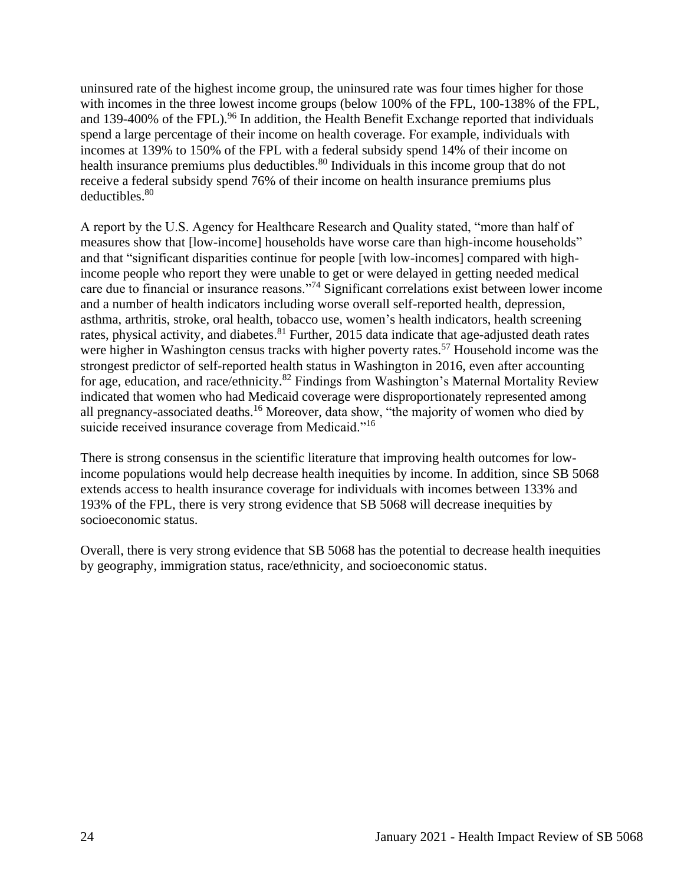uninsured rate of the highest income group, the uninsured rate was four times higher for those with incomes in the three lowest income groups (below 100% of the FPL, 100-138% of the FPL, and 139-400% of the FPL).<sup>96</sup> In addition, the Health Benefit Exchange reported that individuals spend a large percentage of their income on health coverage. For example, individuals with incomes at 139% to 150% of the FPL with a federal subsidy spend 14% of their income on health insurance premiums plus deductibles.<sup>80</sup> Individuals in this income group that do not receive a federal subsidy spend 76% of their income on health insurance premiums plus deductibles.<sup>80</sup>

A report by the U.S. Agency for Healthcare Research and Quality stated, "more than half of measures show that [low-income] households have worse care than high-income households" and that "significant disparities continue for people [with low-incomes] compared with highincome people who report they were unable to get or were delayed in getting needed medical care due to financial or insurance reasons."<sup>74</sup> Significant correlations exist between lower income and a number of health indicators including worse overall self-reported health, depression, asthma, arthritis, stroke, oral health, tobacco use, women's health indicators, health screening rates, physical activity, and diabetes.  $81$  Further, 2015 data indicate that age-adjusted death rates were higher in Washington census tracks with higher poverty rates.<sup>57</sup> Household income was the strongest predictor of self-reported health status in Washington in 2016, even after accounting for age, education, and race/ethnicity.<sup>82</sup> Findings from Washington's Maternal Mortality Review indicated that women who had Medicaid coverage were disproportionately represented among all pregnancy-associated deaths.<sup>16</sup> Moreover, data show, "the majority of women who died by suicide received insurance coverage from Medicaid."<sup>16</sup>

There is strong consensus in the scientific literature that improving health outcomes for lowincome populations would help decrease health inequities by income. In addition, since SB 5068 extends access to health insurance coverage for individuals with incomes between 133% and 193% of the FPL, there is very strong evidence that SB 5068 will decrease inequities by socioeconomic status.

Overall, there is very strong evidence that SB 5068 has the potential to decrease health inequities by geography, immigration status, race/ethnicity, and socioeconomic status.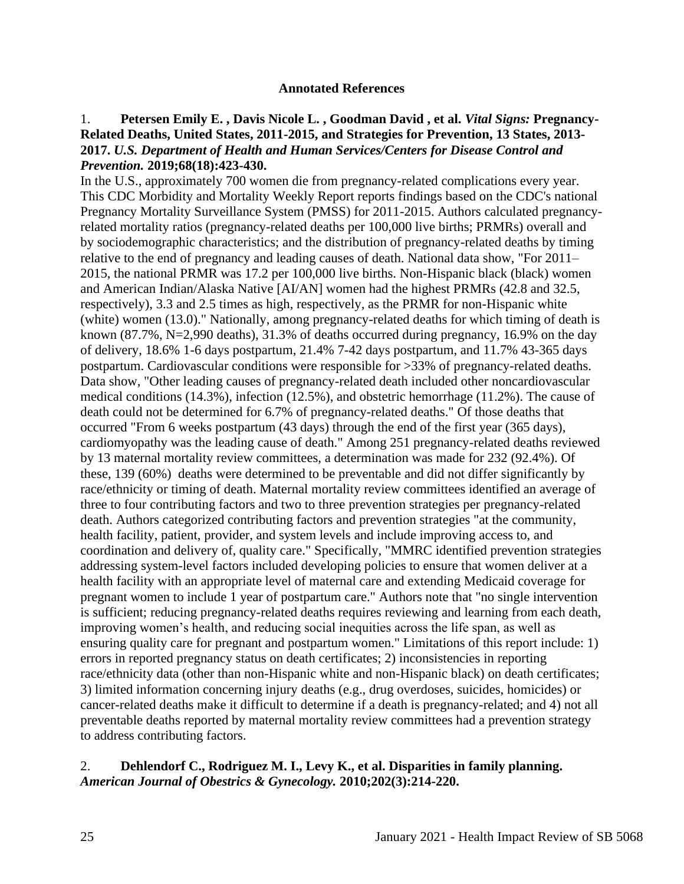#### **Annotated References**

# <span id="page-24-0"></span>1. **Petersen Emily E. , Davis Nicole L. , Goodman David , et al.** *Vital Signs:* **Pregnancy-Related Deaths, United States, 2011-2015, and Strategies for Prevention, 13 States, 2013- 2017.** *U.S. Department of Health and Human Services/Centers for Disease Control and Prevention.* **2019;68(18):423-430.**

In the U.S., approximately 700 women die from pregnancy-related complications every year. This CDC Morbidity and Mortality Weekly Report reports findings based on the CDC's national Pregnancy Mortality Surveillance System (PMSS) for 2011-2015. Authors calculated pregnancyrelated mortality ratios (pregnancy-related deaths per 100,000 live births; PRMRs) overall and by sociodemographic characteristics; and the distribution of pregnancy-related deaths by timing relative to the end of pregnancy and leading causes of death. National data show, "For 2011– 2015, the national PRMR was 17.2 per 100,000 live births. Non-Hispanic black (black) women and American Indian/Alaska Native [AI/AN] women had the highest PRMRs (42.8 and 32.5, respectively), 3.3 and 2.5 times as high, respectively, as the PRMR for non-Hispanic white (white) women (13.0)." Nationally, among pregnancy-related deaths for which timing of death is known (87.7%, N=2,990 deaths), 31.3% of deaths occurred during pregnancy, 16.9% on the day of delivery, 18.6% 1-6 days postpartum, 21.4% 7-42 days postpartum, and 11.7% 43-365 days postpartum. Cardiovascular conditions were responsible for >33% of pregnancy-related deaths. Data show, "Other leading causes of pregnancy-related death included other noncardiovascular medical conditions (14.3%), infection (12.5%), and obstetric hemorrhage (11.2%). The cause of death could not be determined for 6.7% of pregnancy-related deaths." Of those deaths that occurred "From 6 weeks postpartum (43 days) through the end of the first year (365 days), cardiomyopathy was the leading cause of death." Among 251 pregnancy-related deaths reviewed by 13 maternal mortality review committees, a determination was made for 232 (92.4%). Of these, 139 (60%) deaths were determined to be preventable and did not differ significantly by race/ethnicity or timing of death. Maternal mortality review committees identified an average of three to four contributing factors and two to three prevention strategies per pregnancy-related death. Authors categorized contributing factors and prevention strategies "at the community, health facility, patient, provider, and system levels and include improving access to, and coordination and delivery of, quality care." Specifically, "MMRC identified prevention strategies addressing system-level factors included developing policies to ensure that women deliver at a health facility with an appropriate level of maternal care and extending Medicaid coverage for pregnant women to include 1 year of postpartum care." Authors note that "no single intervention is sufficient; reducing pregnancy-related deaths requires reviewing and learning from each death, improving women's health, and reducing social inequities across the life span, as well as ensuring quality care for pregnant and postpartum women." Limitations of this report include: 1) errors in reported pregnancy status on death certificates; 2) inconsistencies in reporting race/ethnicity data (other than non-Hispanic white and non-Hispanic black) on death certificates; 3) limited information concerning injury deaths (e.g., drug overdoses, suicides, homicides) or cancer-related deaths make it difficult to determine if a death is pregnancy-related; and 4) not all preventable deaths reported by maternal mortality review committees had a prevention strategy to address contributing factors.

#### 2. **Dehlendorf C., Rodriguez M. I., Levy K., et al. Disparities in family planning.**  *American Journal of Obestrics & Gynecology.* **2010;202(3):214-220.**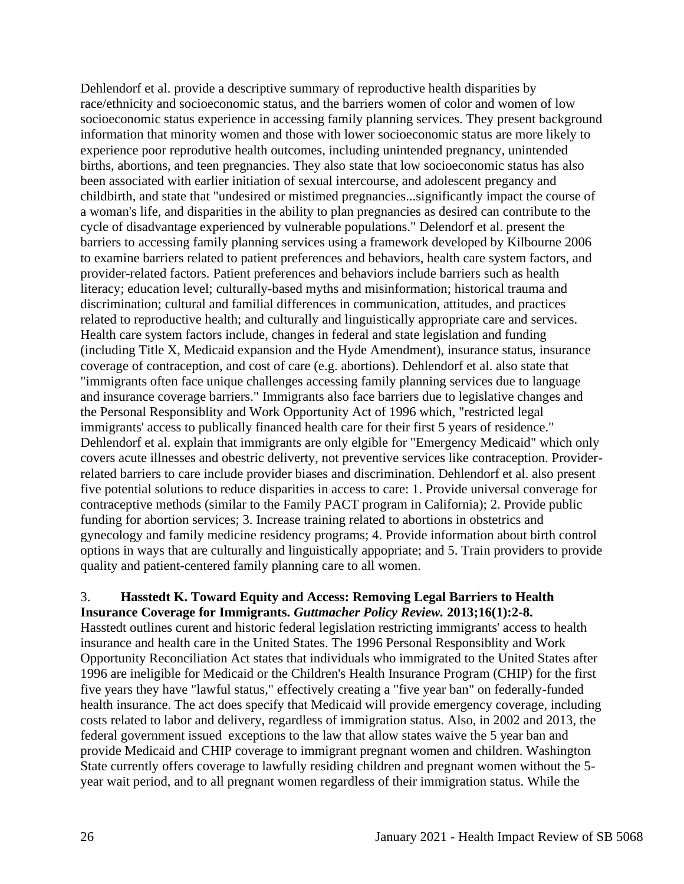Dehlendorf et al. provide a descriptive summary of reproductive health disparities by race/ethnicity and socioeconomic status, and the barriers women of color and women of low socioeconomic status experience in accessing family planning services. They present background information that minority women and those with lower socioeconomic status are more likely to experience poor reprodutive health outcomes, including unintended pregnancy, unintended births, abortions, and teen pregnancies. They also state that low socioeconomic status has also been associated with earlier initiation of sexual intercourse, and adolescent pregancy and childbirth, and state that "undesired or mistimed pregnancies...significantly impact the course of a woman's life, and disparities in the ability to plan pregnancies as desired can contribute to the cycle of disadvantage experienced by vulnerable populations." Delendorf et al. present the barriers to accessing family planning services using a framework developed by Kilbourne 2006 to examine barriers related to patient preferences and behaviors, health care system factors, and provider-related factors. Patient preferences and behaviors include barriers such as health literacy; education level; culturally-based myths and misinformation; historical trauma and discrimination; cultural and familial differences in communication, attitudes, and practices related to reproductive health; and culturally and linguistically appropriate care and services. Health care system factors include, changes in federal and state legislation and funding (including Title X, Medicaid expansion and the Hyde Amendment), insurance status, insurance coverage of contraception, and cost of care (e.g. abortions). Dehlendorf et al. also state that "immigrants often face unique challenges accessing family planning services due to language and insurance coverage barriers." Immigrants also face barriers due to legislative changes and the Personal Responsiblity and Work Opportunity Act of 1996 which, "restricted legal immigrants' access to publically financed health care for their first 5 years of residence." Dehlendorf et al. explain that immigrants are only elgible for "Emergency Medicaid" which only covers acute illnesses and obestric deliverty, not preventive services like contraception. Providerrelated barriers to care include provider biases and discrimination. Dehlendorf et al. also present five potential solutions to reduce disparities in access to care: 1. Provide universal converage for contraceptive methods (similar to the Family PACT program in California); 2. Provide public funding for abortion services; 3. Increase training related to abortions in obstetrics and gynecology and family medicine residency programs; 4. Provide information about birth control options in ways that are culturally and linguistically appopriate; and 5. Train providers to provide quality and patient-centered family planning care to all women.

#### 3. **Hasstedt K. Toward Equity and Access: Removing Legal Barriers to Health Insurance Coverage for Immigrants.** *Guttmacher Policy Review.* **2013;16(1):2-8.**

Hasstedt outlines curent and historic federal legislation restricting immigrants' access to health insurance and health care in the United States. The 1996 Personal Responsiblity and Work Opportunity Reconciliation Act states that individuals who immigrated to the United States after 1996 are ineligible for Medicaid or the Children's Health Insurance Program (CHIP) for the first five years they have "lawful status," effectively creating a "five year ban" on federally-funded health insurance. The act does specify that Medicaid will provide emergency coverage, including costs related to labor and delivery, regardless of immigration status. Also, in 2002 and 2013, the federal government issued exceptions to the law that allow states waive the 5 year ban and provide Medicaid and CHIP coverage to immigrant pregnant women and children. Washington State currently offers coverage to lawfully residing children and pregnant women without the 5 year wait period, and to all pregnant women regardless of their immigration status. While the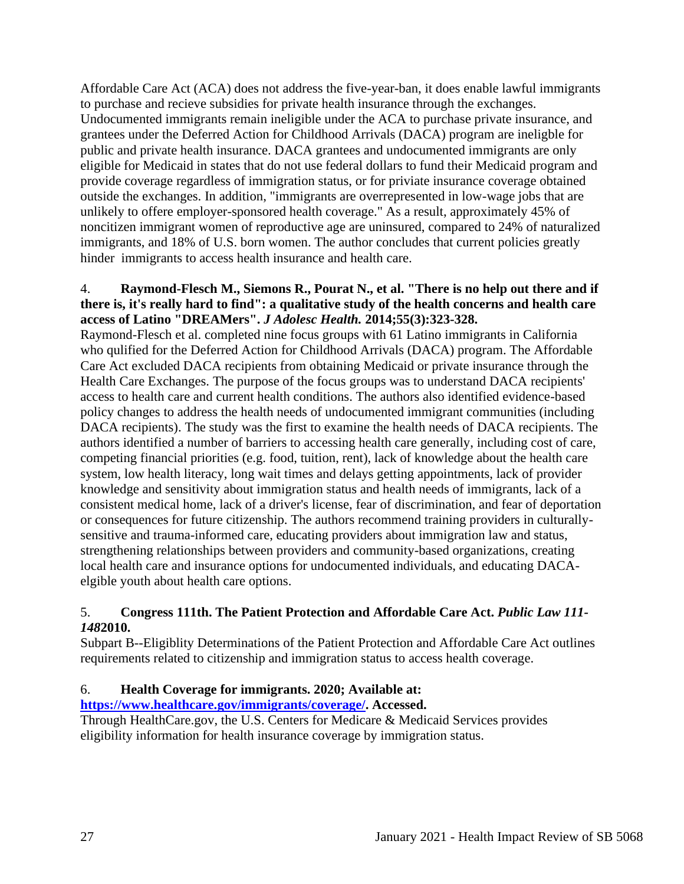Affordable Care Act (ACA) does not address the five-year-ban, it does enable lawful immigrants to purchase and recieve subsidies for private health insurance through the exchanges. Undocumented immigrants remain ineligible under the ACA to purchase private insurance, and grantees under the Deferred Action for Childhood Arrivals (DACA) program are ineligble for public and private health insurance. DACA grantees and undocumented immigrants are only eligible for Medicaid in states that do not use federal dollars to fund their Medicaid program and provide coverage regardless of immigration status, or for priviate insurance coverage obtained outside the exchanges. In addition, "immigrants are overrepresented in low-wage jobs that are unlikely to offere employer-sponsored health coverage." As a result, approximately 45% of noncitizen immigrant women of reproductive age are uninsured, compared to 24% of naturalized immigrants, and 18% of U.S. born women. The author concludes that current policies greatly hinder immigrants to access health insurance and health care.

## 4. **Raymond-Flesch M., Siemons R., Pourat N., et al. "There is no help out there and if there is, it's really hard to find": a qualitative study of the health concerns and health care access of Latino "DREAMers".** *J Adolesc Health.* **2014;55(3):323-328.**

Raymond-Flesch et al. completed nine focus groups with 61 Latino immigrants in California who qulified for the Deferred Action for Childhood Arrivals (DACA) program. The Affordable Care Act excluded DACA recipients from obtaining Medicaid or private insurance through the Health Care Exchanges. The purpose of the focus groups was to understand DACA recipients' access to health care and current health conditions. The authors also identified evidence-based policy changes to address the health needs of undocumented immigrant communities (including DACA recipients). The study was the first to examine the health needs of DACA recipients. The authors identified a number of barriers to accessing health care generally, including cost of care, competing financial priorities (e.g. food, tuition, rent), lack of knowledge about the health care system, low health literacy, long wait times and delays getting appointments, lack of provider knowledge and sensitivity about immigration status and health needs of immigrants, lack of a consistent medical home, lack of a driver's license, fear of discrimination, and fear of deportation or consequences for future citizenship. The authors recommend training providers in culturallysensitive and trauma-informed care, educating providers about immigration law and status, strengthening relationships between providers and community-based organizations, creating local health care and insurance options for undocumented individuals, and educating DACAelgible youth about health care options.

# 5. **Congress 111th. The Patient Protection and Affordable Care Act.** *Public Law 111- 148***2010.**

Subpart B--Eligiblity Determinations of the Patient Protection and Affordable Care Act outlines requirements related to citizenship and immigration status to access health coverage.

# 6. **Health Coverage for immigrants. 2020; Available at:**

**[https://www.healthcare.gov/immigrants/coverage/.](https://www.healthcare.gov/immigrants/coverage/) Accessed.**

Through HealthCare.gov, the U.S. Centers for Medicare & Medicaid Services provides eligibility information for health insurance coverage by immigration status.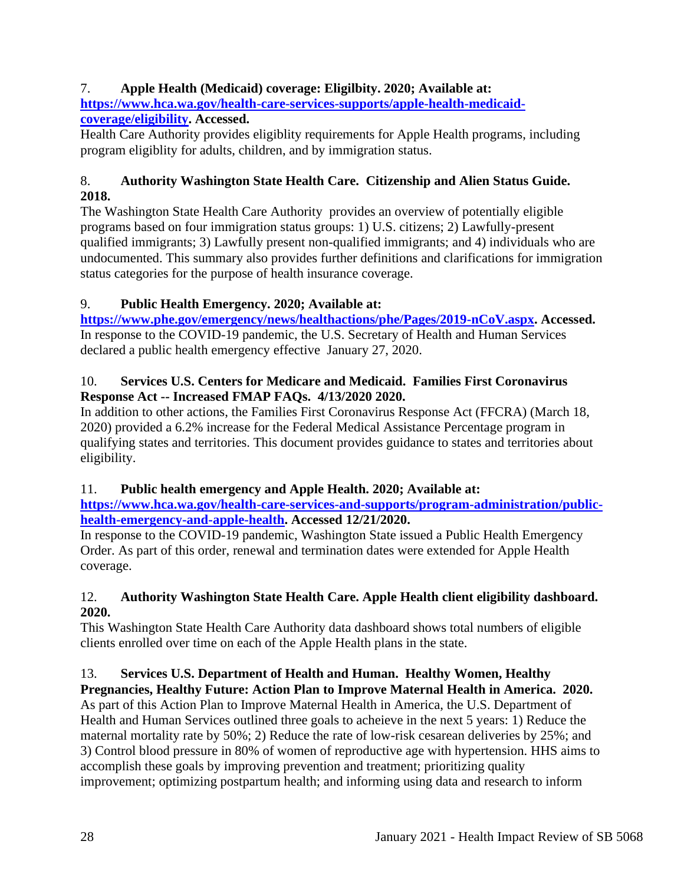# 7. **Apple Health (Medicaid) coverage: Eligilbity. 2020; Available at: [https://www.hca.wa.gov/health-care-services-supports/apple-health-medicaid-](https://www.hca.wa.gov/health-care-services-supports/apple-health-medicaid-coverage/eligibility)**

# **[coverage/eligibility.](https://www.hca.wa.gov/health-care-services-supports/apple-health-medicaid-coverage/eligibility) Accessed.**

Health Care Authority provides eligiblity requirements for Apple Health programs, including program eligiblity for adults, children, and by immigration status.

# 8. **Authority Washington State Health Care. Citizenship and Alien Status Guide. 2018.**

The Washington State Health Care Authority provides an overview of potentially eligible programs based on four immigration status groups: 1) U.S. citizens; 2) Lawfully-present qualified immigrants; 3) Lawfully present non-qualified immigrants; and 4) individuals who are undocumented. This summary also provides further definitions and clarifications for immigration status categories for the purpose of health insurance coverage.

# 9. **Public Health Emergency. 2020; Available at:**

**[https://www.phe.gov/emergency/news/healthactions/phe/Pages/2019-nCoV.aspx.](https://www.phe.gov/emergency/news/healthactions/phe/Pages/2019-nCoV.aspx) Accessed.** In response to the COVID-19 pandemic, the U.S. Secretary of Health and Human Services declared a public health emergency effective January 27, 2020.

# 10. **Services U.S. Centers for Medicare and Medicaid. Families First Coronavirus Response Act -- Increased FMAP FAQs. 4/13/2020 2020.**

In addition to other actions, the Families First Coronavirus Response Act (FFCRA) (March 18, 2020) provided a 6.2% increase for the Federal Medical Assistance Percentage program in qualifying states and territories. This document provides guidance to states and territories about eligibility.

# 11. **Public health emergency and Apple Health. 2020; Available at:**

**[https://www.hca.wa.gov/health-care-services-and-supports/program-administration/public](https://www.hca.wa.gov/health-care-services-and-supports/program-administration/public-health-emergency-and-apple-health)[health-emergency-and-apple-health.](https://www.hca.wa.gov/health-care-services-and-supports/program-administration/public-health-emergency-and-apple-health) Accessed 12/21/2020.**

In response to the COVID-19 pandemic, Washington State issued a Public Health Emergency Order. As part of this order, renewal and termination dates were extended for Apple Health coverage.

# 12. **Authority Washington State Health Care. Apple Health client eligibility dashboard. 2020.**

This Washington State Health Care Authority data dashboard shows total numbers of eligible clients enrolled over time on each of the Apple Health plans in the state.

# 13. **Services U.S. Department of Health and Human. Healthy Women, Healthy Pregnancies, Healthy Future: Action Plan to Improve Maternal Health in America. 2020.**

As part of this Action Plan to Improve Maternal Health in America, the U.S. Department of Health and Human Services outlined three goals to acheieve in the next 5 years: 1) Reduce the maternal mortality rate by 50%; 2) Reduce the rate of low-risk cesarean deliveries by 25%; and 3) Control blood pressure in 80% of women of reproductive age with hypertension. HHS aims to accomplish these goals by improving prevention and treatment; prioritizing quality improvement; optimizing postpartum health; and informing using data and research to inform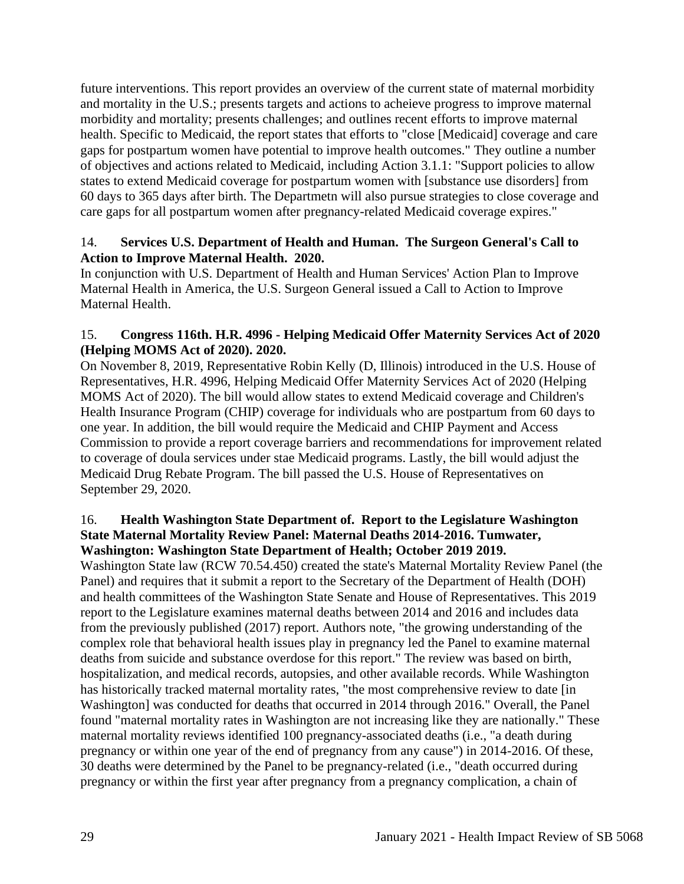future interventions. This report provides an overview of the current state of maternal morbidity and mortality in the U.S.; presents targets and actions to acheieve progress to improve maternal morbidity and mortality; presents challenges; and outlines recent efforts to improve maternal health. Specific to Medicaid, the report states that efforts to "close [Medicaid] coverage and care gaps for postpartum women have potential to improve health outcomes." They outline a number of objectives and actions related to Medicaid, including Action 3.1.1: "Support policies to allow states to extend Medicaid coverage for postpartum women with [substance use disorders] from 60 days to 365 days after birth. The Departmetn will also pursue strategies to close coverage and care gaps for all postpartum women after pregnancy-related Medicaid coverage expires."

# 14. **Services U.S. Department of Health and Human. The Surgeon General's Call to Action to Improve Maternal Health. 2020.**

In conjunction with U.S. Department of Health and Human Services' Action Plan to Improve Maternal Health in America, the U.S. Surgeon General issued a Call to Action to Improve Maternal Health.

# 15. **Congress 116th. H.R. 4996 - Helping Medicaid Offer Maternity Services Act of 2020 (Helping MOMS Act of 2020). 2020.**

On November 8, 2019, Representative Robin Kelly (D, Illinois) introduced in the U.S. House of Representatives, H.R. 4996, Helping Medicaid Offer Maternity Services Act of 2020 (Helping MOMS Act of 2020). The bill would allow states to extend Medicaid coverage and Children's Health Insurance Program (CHIP) coverage for individuals who are postpartum from 60 days to one year. In addition, the bill would require the Medicaid and CHIP Payment and Access Commission to provide a report coverage barriers and recommendations for improvement related to coverage of doula services under stae Medicaid programs. Lastly, the bill would adjust the Medicaid Drug Rebate Program. The bill passed the U.S. House of Representatives on September 29, 2020.

# 16. **Health Washington State Department of. Report to the Legislature Washington State Maternal Mortality Review Panel: Maternal Deaths 2014-2016. Tumwater, Washington: Washington State Department of Health; October 2019 2019.**

Washington State law (RCW 70.54.450) created the state's Maternal Mortality Review Panel (the Panel) and requires that it submit a report to the Secretary of the Department of Health (DOH) and health committees of the Washington State Senate and House of Representatives. This 2019 report to the Legislature examines maternal deaths between 2014 and 2016 and includes data from the previously published (2017) report. Authors note, "the growing understanding of the complex role that behavioral health issues play in pregnancy led the Panel to examine maternal deaths from suicide and substance overdose for this report." The review was based on birth, hospitalization, and medical records, autopsies, and other available records. While Washington has historically tracked maternal mortality rates, "the most comprehensive review to date [in Washington] was conducted for deaths that occurred in 2014 through 2016." Overall, the Panel found "maternal mortality rates in Washington are not increasing like they are nationally." These maternal mortality reviews identified 100 pregnancy-associated deaths (i.e., "a death during pregnancy or within one year of the end of pregnancy from any cause") in 2014-2016. Of these, 30 deaths were determined by the Panel to be pregnancy-related (i.e., "death occurred during pregnancy or within the first year after pregnancy from a pregnancy complication, a chain of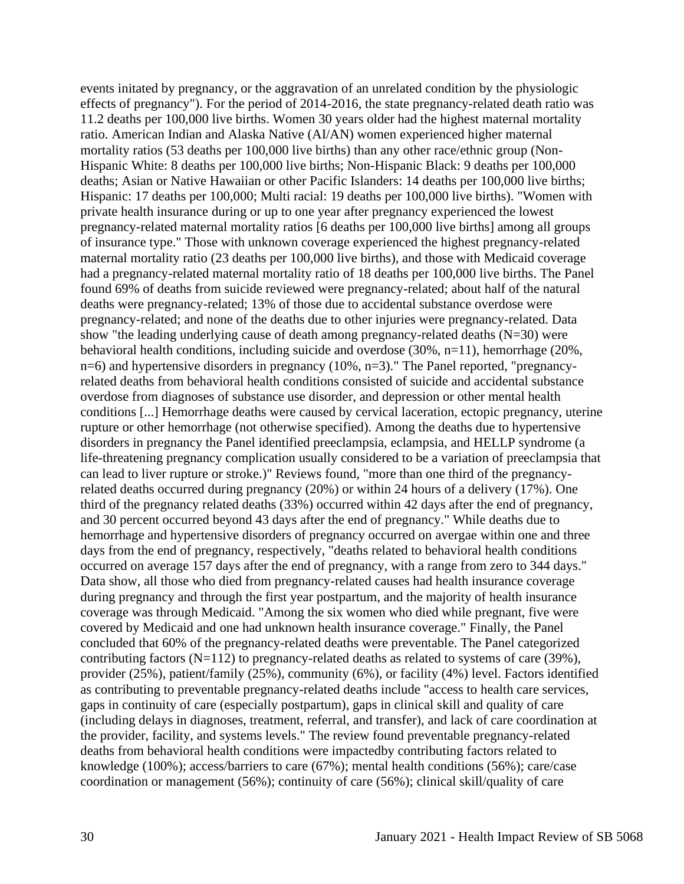events initated by pregnancy, or the aggravation of an unrelated condition by the physiologic effects of pregnancy"). For the period of 2014-2016, the state pregnancy-related death ratio was 11.2 deaths per 100,000 live births. Women 30 years older had the highest maternal mortality ratio. American Indian and Alaska Native (AI/AN) women experienced higher maternal mortality ratios (53 deaths per 100,000 live births) than any other race/ethnic group (Non-Hispanic White: 8 deaths per 100,000 live births; Non-Hispanic Black: 9 deaths per 100,000 deaths; Asian or Native Hawaiian or other Pacific Islanders: 14 deaths per 100,000 live births; Hispanic: 17 deaths per 100,000; Multi racial: 19 deaths per 100,000 live births). "Women with private health insurance during or up to one year after pregnancy experienced the lowest pregnancy-related maternal mortality ratios [6 deaths per 100,000 live births] among all groups of insurance type." Those with unknown coverage experienced the highest pregnancy-related maternal mortality ratio (23 deaths per 100,000 live births), and those with Medicaid coverage had a pregnancy-related maternal mortality ratio of 18 deaths per 100,000 live births. The Panel found 69% of deaths from suicide reviewed were pregnancy-related; about half of the natural deaths were pregnancy-related; 13% of those due to accidental substance overdose were pregnancy-related; and none of the deaths due to other injuries were pregnancy-related. Data show "the leading underlying cause of death among pregnancy-related deaths (N=30) were behavioral health conditions, including suicide and overdose (30%, n=11), hemorrhage (20%, n=6) and hypertensive disorders in pregnancy (10%, n=3)." The Panel reported, "pregnancyrelated deaths from behavioral health conditions consisted of suicide and accidental substance overdose from diagnoses of substance use disorder, and depression or other mental health conditions [...] Hemorrhage deaths were caused by cervical laceration, ectopic pregnancy, uterine rupture or other hemorrhage (not otherwise specified). Among the deaths due to hypertensive disorders in pregnancy the Panel identified preeclampsia, eclampsia, and HELLP syndrome (a life-threatening pregnancy complication usually considered to be a variation of preeclampsia that can lead to liver rupture or stroke.)" Reviews found, "more than one third of the pregnancyrelated deaths occurred during pregnancy (20%) or within 24 hours of a delivery (17%). One third of the pregnancy related deaths (33%) occurred within 42 days after the end of pregnancy, and 30 percent occurred beyond 43 days after the end of pregnancy." While deaths due to hemorrhage and hypertensive disorders of pregnancy occurred on avergae within one and three days from the end of pregnancy, respectively, "deaths related to behavioral health conditions occurred on average 157 days after the end of pregnancy, with a range from zero to 344 days." Data show, all those who died from pregnancy-related causes had health insurance coverage during pregnancy and through the first year postpartum, and the majority of health insurance coverage was through Medicaid. "Among the six women who died while pregnant, five were covered by Medicaid and one had unknown health insurance coverage." Finally, the Panel concluded that 60% of the pregnancy-related deaths were preventable. The Panel categorized contributing factors  $(N=112)$  to pregnancy-related deaths as related to systems of care (39%), provider (25%), patient/family (25%), community (6%), or facility (4%) level. Factors identified as contributing to preventable pregnancy-related deaths include "access to health care services, gaps in continuity of care (especially postpartum), gaps in clinical skill and quality of care (including delays in diagnoses, treatment, referral, and transfer), and lack of care coordination at the provider, facility, and systems levels." The review found preventable pregnancy-related deaths from behavioral health conditions were impactedby contributing factors related to knowledge (100%); access/barriers to care (67%); mental health conditions (56%); care/case coordination or management (56%); continuity of care (56%); clinical skill/quality of care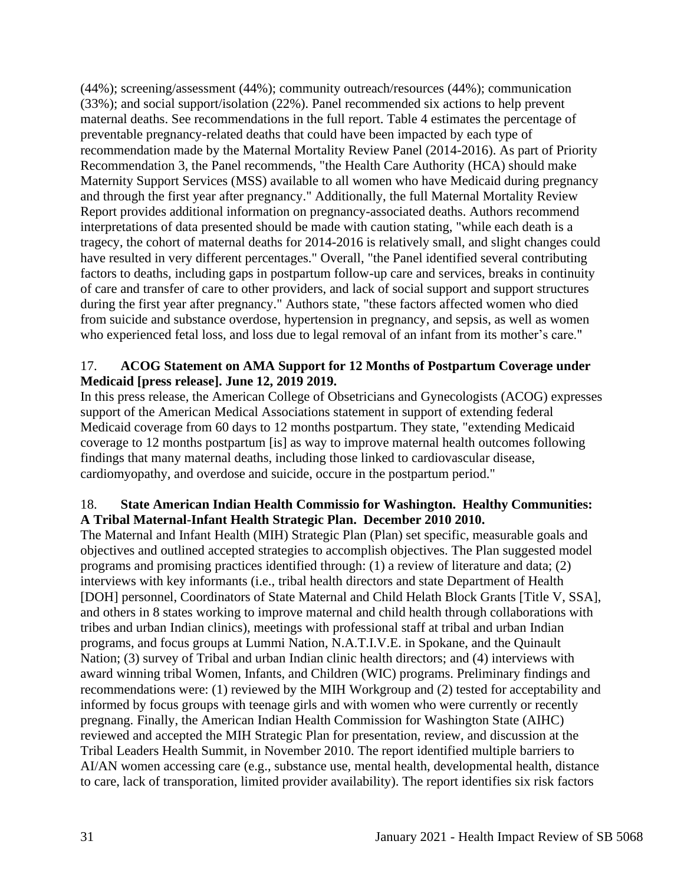(44%); screening/assessment (44%); community outreach/resources (44%); communication (33%); and social support/isolation (22%). Panel recommended six actions to help prevent maternal deaths. See recommendations in the full report. Table 4 estimates the percentage of preventable pregnancy-related deaths that could have been impacted by each type of recommendation made by the Maternal Mortality Review Panel (2014-2016). As part of Priority Recommendation 3, the Panel recommends, "the Health Care Authority (HCA) should make Maternity Support Services (MSS) available to all women who have Medicaid during pregnancy and through the first year after pregnancy." Additionally, the full Maternal Mortality Review Report provides additional information on pregnancy-associated deaths. Authors recommend interpretations of data presented should be made with caution stating, "while each death is a tragecy, the cohort of maternal deaths for 2014-2016 is relatively small, and slight changes could have resulted in very different percentages." Overall, "the Panel identified several contributing factors to deaths, including gaps in postpartum follow-up care and services, breaks in continuity of care and transfer of care to other providers, and lack of social support and support structures during the first year after pregnancy." Authors state, "these factors affected women who died from suicide and substance overdose, hypertension in pregnancy, and sepsis, as well as women who experienced fetal loss, and loss due to legal removal of an infant from its mother's care."

# 17. **ACOG Statement on AMA Support for 12 Months of Postpartum Coverage under Medicaid [press release]. June 12, 2019 2019.**

In this press release, the American College of Obsetricians and Gynecologists (ACOG) expresses support of the American Medical Associations statement in support of extending federal Medicaid coverage from 60 days to 12 months postpartum. They state, "extending Medicaid coverage to 12 months postpartum [is] as way to improve maternal health outcomes following findings that many maternal deaths, including those linked to cardiovascular disease, cardiomyopathy, and overdose and suicide, occure in the postpartum period."

# 18. **State American Indian Health Commissio for Washington. Healthy Communities: A Tribal Maternal-Infant Health Strategic Plan. December 2010 2010.**

The Maternal and Infant Health (MIH) Strategic Plan (Plan) set specific, measurable goals and objectives and outlined accepted strategies to accomplish objectives. The Plan suggested model programs and promising practices identified through: (1) a review of literature and data; (2) interviews with key informants (i.e., tribal health directors and state Department of Health [DOH] personnel, Coordinators of State Maternal and Child Helath Block Grants [Title V, SSA], and others in 8 states working to improve maternal and child health through collaborations with tribes and urban Indian clinics), meetings with professional staff at tribal and urban Indian programs, and focus groups at Lummi Nation, N.A.T.I.V.E. in Spokane, and the Quinault Nation; (3) survey of Tribal and urban Indian clinic health directors; and (4) interviews with award winning tribal Women, Infants, and Children (WIC) programs. Preliminary findings and recommendations were: (1) reviewed by the MIH Workgroup and (2) tested for acceptability and informed by focus groups with teenage girls and with women who were currently or recently pregnang. Finally, the American Indian Health Commission for Washington State (AIHC) reviewed and accepted the MIH Strategic Plan for presentation, review, and discussion at the Tribal Leaders Health Summit, in November 2010. The report identified multiple barriers to AI/AN women accessing care (e.g., substance use, mental health, developmental health, distance to care, lack of transporation, limited provider availability). The report identifies six risk factors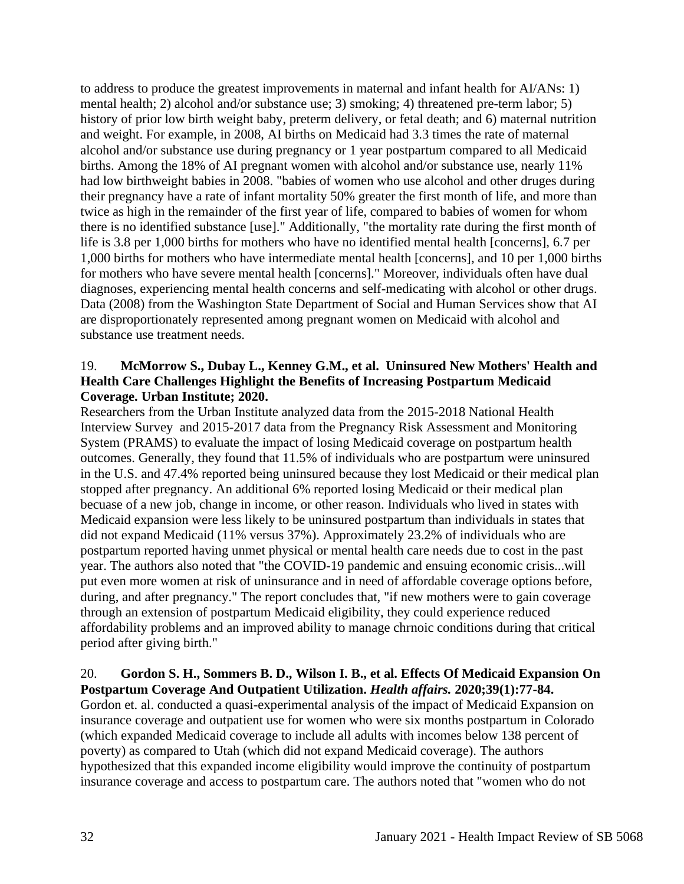to address to produce the greatest improvements in maternal and infant health for AI/ANs: 1) mental health; 2) alcohol and/or substance use; 3) smoking; 4) threatened pre-term labor; 5) history of prior low birth weight baby, preterm delivery, or fetal death; and 6) maternal nutrition and weight. For example, in 2008, AI births on Medicaid had 3.3 times the rate of maternal alcohol and/or substance use during pregnancy or 1 year postpartum compared to all Medicaid births. Among the 18% of AI pregnant women with alcohol and/or substance use, nearly 11% had low birthweight babies in 2008. "babies of women who use alcohol and other druges during their pregnancy have a rate of infant mortality 50% greater the first month of life, and more than twice as high in the remainder of the first year of life, compared to babies of women for whom there is no identified substance [use]." Additionally, "the mortality rate during the first month of life is 3.8 per 1,000 births for mothers who have no identified mental health [concerns], 6.7 per 1,000 births for mothers who have intermediate mental health [concerns], and 10 per 1,000 births for mothers who have severe mental health [concerns]." Moreover, individuals often have dual diagnoses, experiencing mental health concerns and self-medicating with alcohol or other drugs. Data (2008) from the Washington State Department of Social and Human Services show that AI are disproportionately represented among pregnant women on Medicaid with alcohol and substance use treatment needs.

# 19. **McMorrow S., Dubay L., Kenney G.M., et al. Uninsured New Mothers' Health and Health Care Challenges Highlight the Benefits of Increasing Postpartum Medicaid Coverage. Urban Institute; 2020.**

Researchers from the Urban Institute analyzed data from the 2015-2018 National Health Interview Survey and 2015-2017 data from the Pregnancy Risk Assessment and Monitoring System (PRAMS) to evaluate the impact of losing Medicaid coverage on postpartum health outcomes. Generally, they found that 11.5% of individuals who are postpartum were uninsured in the U.S. and 47.4% reported being uninsured because they lost Medicaid or their medical plan stopped after pregnancy. An additional 6% reported losing Medicaid or their medical plan becuase of a new job, change in income, or other reason. Individuals who lived in states with Medicaid expansion were less likely to be uninsured postpartum than individuals in states that did not expand Medicaid (11% versus 37%). Approximately 23.2% of individuals who are postpartum reported having unmet physical or mental health care needs due to cost in the past year. The authors also noted that "the COVID-19 pandemic and ensuing economic crisis...will put even more women at risk of uninsurance and in need of affordable coverage options before, during, and after pregnancy." The report concludes that, "if new mothers were to gain coverage through an extension of postpartum Medicaid eligibility, they could experience reduced affordability problems and an improved ability to manage chrnoic conditions during that critical period after giving birth."

# 20. **Gordon S. H., Sommers B. D., Wilson I. B., et al. Effects Of Medicaid Expansion On Postpartum Coverage And Outpatient Utilization.** *Health affairs.* **2020;39(1):77-84.**

Gordon et. al. conducted a quasi-experimental analysis of the impact of Medicaid Expansion on insurance coverage and outpatient use for women who were six months postpartum in Colorado (which expanded Medicaid coverage to include all adults with incomes below 138 percent of poverty) as compared to Utah (which did not expand Medicaid coverage). The authors hypothesized that this expanded income eligibility would improve the continuity of postpartum insurance coverage and access to postpartum care. The authors noted that "women who do not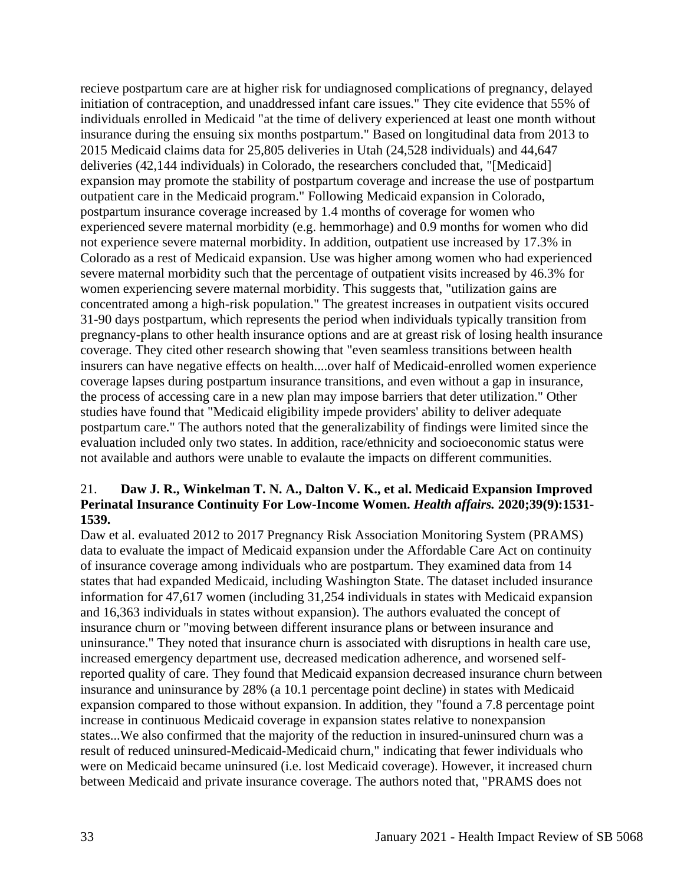recieve postpartum care are at higher risk for undiagnosed complications of pregnancy, delayed initiation of contraception, and unaddressed infant care issues." They cite evidence that 55% of individuals enrolled in Medicaid "at the time of delivery experienced at least one month without insurance during the ensuing six months postpartum." Based on longitudinal data from 2013 to 2015 Medicaid claims data for 25,805 deliveries in Utah (24,528 individuals) and 44,647 deliveries (42,144 individuals) in Colorado, the researchers concluded that, "[Medicaid] expansion may promote the stability of postpartum coverage and increase the use of postpartum outpatient care in the Medicaid program." Following Medicaid expansion in Colorado, postpartum insurance coverage increased by 1.4 months of coverage for women who experienced severe maternal morbidity (e.g. hemmorhage) and 0.9 months for women who did not experience severe maternal morbidity. In addition, outpatient use increased by 17.3% in Colorado as a rest of Medicaid expansion. Use was higher among women who had experienced severe maternal morbidity such that the percentage of outpatient visits increased by 46.3% for women experiencing severe maternal morbidity. This suggests that, "utilization gains are concentrated among a high-risk population." The greatest increases in outpatient visits occured 31-90 days postpartum, which represents the period when individuals typically transition from pregnancy-plans to other health insurance options and are at greast risk of losing health insurance coverage. They cited other research showing that "even seamless transitions between health insurers can have negative effects on health....over half of Medicaid-enrolled women experience coverage lapses during postpartum insurance transitions, and even without a gap in insurance, the process of accessing care in a new plan may impose barriers that deter utilization." Other studies have found that "Medicaid eligibility impede providers' ability to deliver adequate postpartum care." The authors noted that the generalizability of findings were limited since the evaluation included only two states. In addition, race/ethnicity and socioeconomic status were not available and authors were unable to evalaute the impacts on different communities.

# 21. **Daw J. R., Winkelman T. N. A., Dalton V. K., et al. Medicaid Expansion Improved Perinatal Insurance Continuity For Low-Income Women.** *Health affairs.* **2020;39(9):1531- 1539.**

Daw et al. evaluated 2012 to 2017 Pregnancy Risk Association Monitoring System (PRAMS) data to evaluate the impact of Medicaid expansion under the Affordable Care Act on continuity of insurance coverage among individuals who are postpartum. They examined data from 14 states that had expanded Medicaid, including Washington State. The dataset included insurance information for 47,617 women (including 31,254 individuals in states with Medicaid expansion and 16,363 individuals in states without expansion). The authors evaluated the concept of insurance churn or "moving between different insurance plans or between insurance and uninsurance." They noted that insurance churn is associated with disruptions in health care use, increased emergency department use, decreased medication adherence, and worsened selfreported quality of care. They found that Medicaid expansion decreased insurance churn between insurance and uninsurance by 28% (a 10.1 percentage point decline) in states with Medicaid expansion compared to those without expansion. In addition, they "found a 7.8 percentage point increase in continuous Medicaid coverage in expansion states relative to nonexpansion states...We also confirmed that the majority of the reduction in insured-uninsured churn was a result of reduced uninsured-Medicaid-Medicaid churn," indicating that fewer individuals who were on Medicaid became uninsured (i.e. lost Medicaid coverage). However, it increased churn between Medicaid and private insurance coverage. The authors noted that, "PRAMS does not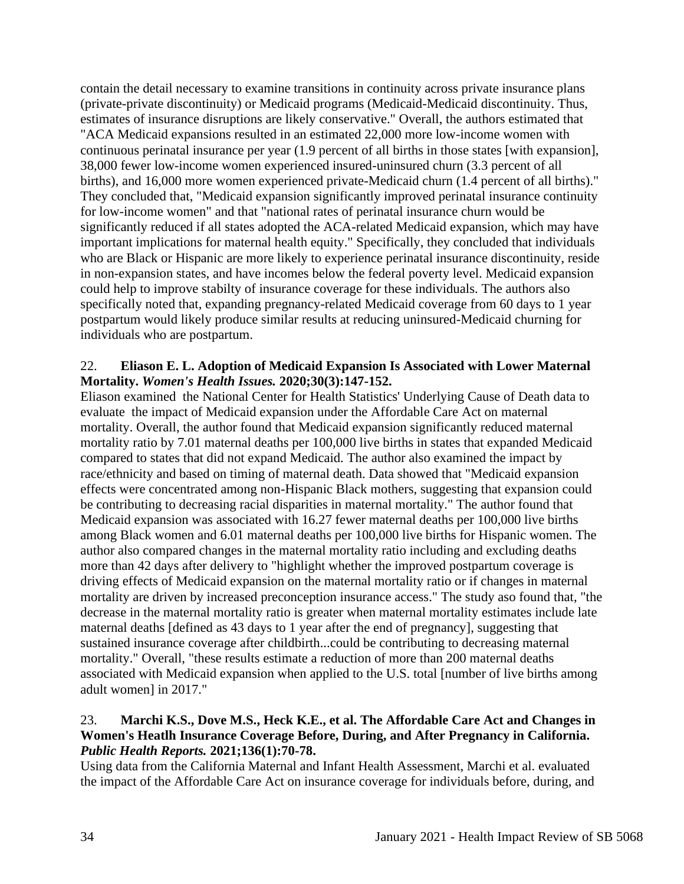contain the detail necessary to examine transitions in continuity across private insurance plans (private-private discontinuity) or Medicaid programs (Medicaid-Medicaid discontinuity. Thus, estimates of insurance disruptions are likely conservative." Overall, the authors estimated that "ACA Medicaid expansions resulted in an estimated 22,000 more low-income women with continuous perinatal insurance per year (1.9 percent of all births in those states [with expansion], 38,000 fewer low-income women experienced insured-uninsured churn (3.3 percent of all births), and 16,000 more women experienced private-Medicaid churn (1.4 percent of all births)." They concluded that, "Medicaid expansion significantly improved perinatal insurance continuity for low-income women" and that "national rates of perinatal insurance churn would be significantly reduced if all states adopted the ACA-related Medicaid expansion, which may have important implications for maternal health equity." Specifically, they concluded that individuals who are Black or Hispanic are more likely to experience perinatal insurance discontinuity, reside in non-expansion states, and have incomes below the federal poverty level. Medicaid expansion could help to improve stabilty of insurance coverage for these individuals. The authors also specifically noted that, expanding pregnancy-related Medicaid coverage from 60 days to 1 year postpartum would likely produce similar results at reducing uninsured-Medicaid churning for individuals who are postpartum.

# 22. **Eliason E. L. Adoption of Medicaid Expansion Is Associated with Lower Maternal Mortality.** *Women's Health Issues.* **2020;30(3):147-152.**

Eliason examined the National Center for Health Statistics' Underlying Cause of Death data to evaluate the impact of Medicaid expansion under the Affordable Care Act on maternal mortality. Overall, the author found that Medicaid expansion significantly reduced maternal mortality ratio by 7.01 maternal deaths per 100,000 live births in states that expanded Medicaid compared to states that did not expand Medicaid. The author also examined the impact by race/ethnicity and based on timing of maternal death. Data showed that "Medicaid expansion effects were concentrated among non-Hispanic Black mothers, suggesting that expansion could be contributing to decreasing racial disparities in maternal mortality." The author found that Medicaid expansion was associated with 16.27 fewer maternal deaths per 100,000 live births among Black women and 6.01 maternal deaths per 100,000 live births for Hispanic women. The author also compared changes in the maternal mortality ratio including and excluding deaths more than 42 days after delivery to "highlight whether the improved postpartum coverage is driving effects of Medicaid expansion on the maternal mortality ratio or if changes in maternal mortality are driven by increased preconception insurance access." The study aso found that, "the decrease in the maternal mortality ratio is greater when maternal mortality estimates include late maternal deaths [defined as 43 days to 1 year after the end of pregnancy], suggesting that sustained insurance coverage after childbirth...could be contributing to decreasing maternal mortality." Overall, "these results estimate a reduction of more than 200 maternal deaths associated with Medicaid expansion when applied to the U.S. total [number of live births among adult women] in 2017."

# 23. **Marchi K.S., Dove M.S., Heck K.E., et al. The Affordable Care Act and Changes in Women's Heatlh Insurance Coverage Before, During, and After Pregnancy in California.**  *Public Health Reports.* **2021;136(1):70-78.**

Using data from the California Maternal and Infant Health Assessment, Marchi et al. evaluated the impact of the Affordable Care Act on insurance coverage for individuals before, during, and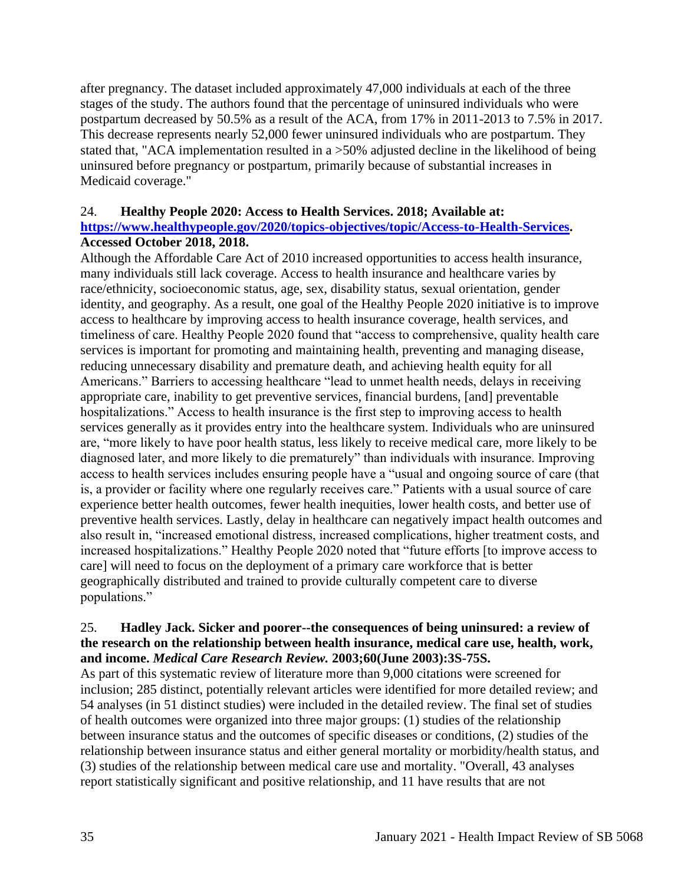after pregnancy. The dataset included approximately 47,000 individuals at each of the three stages of the study. The authors found that the percentage of uninsured individuals who were postpartum decreased by 50.5% as a result of the ACA, from 17% in 2011-2013 to 7.5% in 2017. This decrease represents nearly 52,000 fewer uninsured individuals who are postpartum. They stated that, "ACA implementation resulted in a >50% adjusted decline in the likelihood of being uninsured before pregnancy or postpartum, primarily because of substantial increases in Medicaid coverage."

# 24. **Healthy People 2020: Access to Health Services. 2018; Available at:**

# **[https://www.healthypeople.gov/2020/topics-objectives/topic/Access-to-Health-Services.](https://www.healthypeople.gov/2020/topics-objectives/topic/Access-to-Health-Services) Accessed October 2018, 2018.**

Although the Affordable Care Act of 2010 increased opportunities to access health insurance, many individuals still lack coverage. Access to health insurance and healthcare varies by race/ethnicity, socioeconomic status, age, sex, disability status, sexual orientation, gender identity, and geography. As a result, one goal of the Healthy People 2020 initiative is to improve access to healthcare by improving access to health insurance coverage, health services, and timeliness of care. Healthy People 2020 found that "access to comprehensive, quality health care services is important for promoting and maintaining health, preventing and managing disease, reducing unnecessary disability and premature death, and achieving health equity for all Americans." Barriers to accessing healthcare "lead to unmet health needs, delays in receiving appropriate care, inability to get preventive services, financial burdens, [and] preventable hospitalizations." Access to health insurance is the first step to improving access to health services generally as it provides entry into the healthcare system. Individuals who are uninsured are, "more likely to have poor health status, less likely to receive medical care, more likely to be diagnosed later, and more likely to die prematurely" than individuals with insurance. Improving access to health services includes ensuring people have a "usual and ongoing source of care (that is, a provider or facility where one regularly receives care." Patients with a usual source of care experience better health outcomes, fewer health inequities, lower health costs, and better use of preventive health services. Lastly, delay in healthcare can negatively impact health outcomes and also result in, "increased emotional distress, increased complications, higher treatment costs, and increased hospitalizations." Healthy People 2020 noted that "future efforts [to improve access to care] will need to focus on the deployment of a primary care workforce that is better geographically distributed and trained to provide culturally competent care to diverse populations."

# 25. **Hadley Jack. Sicker and poorer--the consequences of being uninsured: a review of the research on the relationship between health insurance, medical care use, health, work, and income.** *Medical Care Research Review.* **2003;60(June 2003):3S-75S.**

As part of this systematic review of literature more than 9,000 citations were screened for inclusion; 285 distinct, potentially relevant articles were identified for more detailed review; and 54 analyses (in 51 distinct studies) were included in the detailed review. The final set of studies of health outcomes were organized into three major groups: (1) studies of the relationship between insurance status and the outcomes of specific diseases or conditions, (2) studies of the relationship between insurance status and either general mortality or morbidity/health status, and (3) studies of the relationship between medical care use and mortality. "Overall, 43 analyses report statistically significant and positive relationship, and 11 have results that are not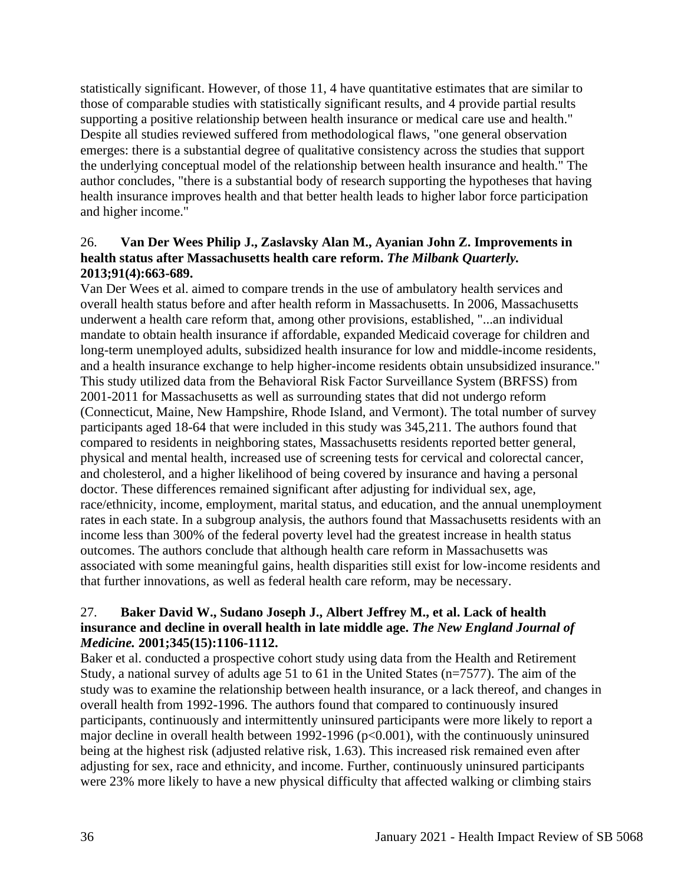statistically significant. However, of those 11, 4 have quantitative estimates that are similar to those of comparable studies with statistically significant results, and 4 provide partial results supporting a positive relationship between health insurance or medical care use and health." Despite all studies reviewed suffered from methodological flaws, "one general observation emerges: there is a substantial degree of qualitative consistency across the studies that support the underlying conceptual model of the relationship between health insurance and health." The author concludes, "there is a substantial body of research supporting the hypotheses that having health insurance improves health and that better health leads to higher labor force participation and higher income."

# 26. **Van Der Wees Philip J., Zaslavsky Alan M., Ayanian John Z. Improvements in health status after Massachusetts health care reform.** *The Milbank Quarterly.*  **2013;91(4):663-689.**

Van Der Wees et al. aimed to compare trends in the use of ambulatory health services and overall health status before and after health reform in Massachusetts. In 2006, Massachusetts underwent a health care reform that, among other provisions, established, "...an individual mandate to obtain health insurance if affordable, expanded Medicaid coverage for children and long-term unemployed adults, subsidized health insurance for low and middle-income residents, and a health insurance exchange to help higher-income residents obtain unsubsidized insurance." This study utilized data from the Behavioral Risk Factor Surveillance System (BRFSS) from 2001-2011 for Massachusetts as well as surrounding states that did not undergo reform (Connecticut, Maine, New Hampshire, Rhode Island, and Vermont). The total number of survey participants aged 18-64 that were included in this study was 345,211. The authors found that compared to residents in neighboring states, Massachusetts residents reported better general, physical and mental health, increased use of screening tests for cervical and colorectal cancer, and cholesterol, and a higher likelihood of being covered by insurance and having a personal doctor. These differences remained significant after adjusting for individual sex, age, race/ethnicity, income, employment, marital status, and education, and the annual unemployment rates in each state. In a subgroup analysis, the authors found that Massachusetts residents with an income less than 300% of the federal poverty level had the greatest increase in health status outcomes. The authors conclude that although health care reform in Massachusetts was associated with some meaningful gains, health disparities still exist for low-income residents and that further innovations, as well as federal health care reform, may be necessary.

# 27. **Baker David W., Sudano Joseph J., Albert Jeffrey M., et al. Lack of health insurance and decline in overall health in late middle age.** *The New England Journal of Medicine.* **2001;345(15):1106-1112.**

Baker et al. conducted a prospective cohort study using data from the Health and Retirement Study, a national survey of adults age 51 to 61 in the United States (n=7577). The aim of the study was to examine the relationship between health insurance, or a lack thereof, and changes in overall health from 1992-1996. The authors found that compared to continuously insured participants, continuously and intermittently uninsured participants were more likely to report a major decline in overall health between 1992-1996 (p<0.001), with the continuously uninsured being at the highest risk (adjusted relative risk, 1.63). This increased risk remained even after adjusting for sex, race and ethnicity, and income. Further, continuously uninsured participants were 23% more likely to have a new physical difficulty that affected walking or climbing stairs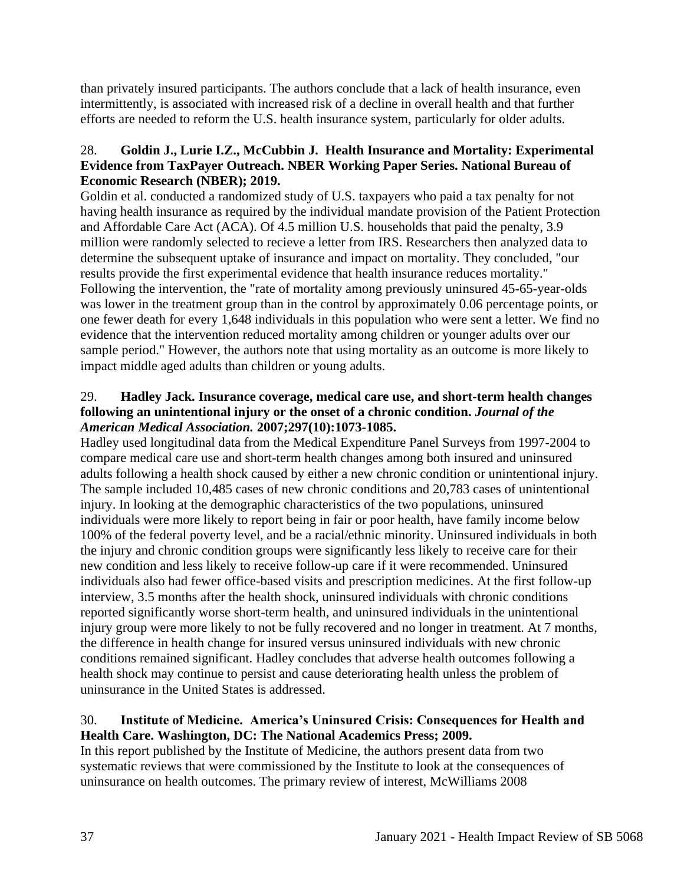than privately insured participants. The authors conclude that a lack of health insurance, even intermittently, is associated with increased risk of a decline in overall health and that further efforts are needed to reform the U.S. health insurance system, particularly for older adults.

# 28. **Goldin J., Lurie I.Z., McCubbin J. Health Insurance and Mortality: Experimental Evidence from TaxPayer Outreach. NBER Working Paper Series. National Bureau of Economic Research (NBER); 2019.**

Goldin et al. conducted a randomized study of U.S. taxpayers who paid a tax penalty for not having health insurance as required by the individual mandate provision of the Patient Protection and Affordable Care Act (ACA). Of 4.5 million U.S. households that paid the penalty, 3.9 million were randomly selected to recieve a letter from IRS. Researchers then analyzed data to determine the subsequent uptake of insurance and impact on mortality. They concluded, "our results provide the first experimental evidence that health insurance reduces mortality." Following the intervention, the "rate of mortality among previously uninsured 45-65-year-olds was lower in the treatment group than in the control by approximately 0.06 percentage points, or one fewer death for every 1,648 individuals in this population who were sent a letter. We find no evidence that the intervention reduced mortality among children or younger adults over our sample period." However, the authors note that using mortality as an outcome is more likely to impact middle aged adults than children or young adults.

## 29. **Hadley Jack. Insurance coverage, medical care use, and short-term health changes following an unintentional injury or the onset of a chronic condition.** *Journal of the American Medical Association.* **2007;297(10):1073-1085.**

Hadley used longitudinal data from the Medical Expenditure Panel Surveys from 1997-2004 to compare medical care use and short-term health changes among both insured and uninsured adults following a health shock caused by either a new chronic condition or unintentional injury. The sample included 10,485 cases of new chronic conditions and 20,783 cases of unintentional injury. In looking at the demographic characteristics of the two populations, uninsured individuals were more likely to report being in fair or poor health, have family income below 100% of the federal poverty level, and be a racial/ethnic minority. Uninsured individuals in both the injury and chronic condition groups were significantly less likely to receive care for their new condition and less likely to receive follow-up care if it were recommended. Uninsured individuals also had fewer office-based visits and prescription medicines. At the first follow-up interview, 3.5 months after the health shock, uninsured individuals with chronic conditions reported significantly worse short-term health, and uninsured individuals in the unintentional injury group were more likely to not be fully recovered and no longer in treatment. At 7 months, the difference in health change for insured versus uninsured individuals with new chronic conditions remained significant. Hadley concludes that adverse health outcomes following a health shock may continue to persist and cause deteriorating health unless the problem of uninsurance in the United States is addressed.

# 30. **Institute of Medicine. America's Uninsured Crisis: Consequences for Health and Health Care. Washington, DC: The National Academics Press; 2009.**

In this report published by the Institute of Medicine, the authors present data from two systematic reviews that were commissioned by the Institute to look at the consequences of uninsurance on health outcomes. The primary review of interest, McWilliams 2008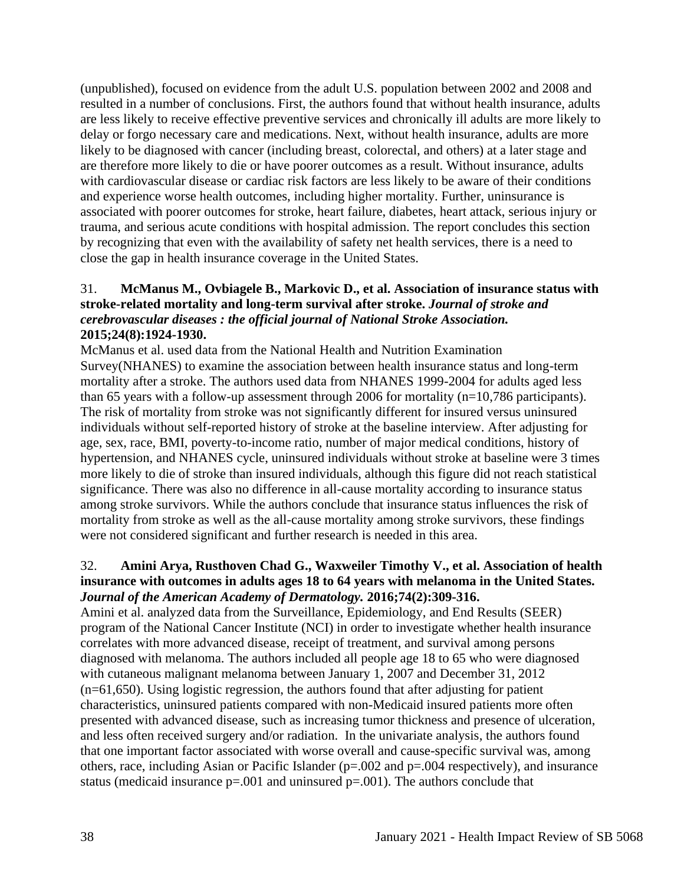(unpublished), focused on evidence from the adult U.S. population between 2002 and 2008 and resulted in a number of conclusions. First, the authors found that without health insurance, adults are less likely to receive effective preventive services and chronically ill adults are more likely to delay or forgo necessary care and medications. Next, without health insurance, adults are more likely to be diagnosed with cancer (including breast, colorectal, and others) at a later stage and are therefore more likely to die or have poorer outcomes as a result. Without insurance, adults with cardiovascular disease or cardiac risk factors are less likely to be aware of their conditions and experience worse health outcomes, including higher mortality. Further, uninsurance is associated with poorer outcomes for stroke, heart failure, diabetes, heart attack, serious injury or trauma, and serious acute conditions with hospital admission. The report concludes this section by recognizing that even with the availability of safety net health services, there is a need to close the gap in health insurance coverage in the United States.

## 31. **McManus M., Ovbiagele B., Markovic D., et al. Association of insurance status with stroke-related mortality and long-term survival after stroke.** *Journal of stroke and cerebrovascular diseases : the official journal of National Stroke Association.*  **2015;24(8):1924-1930.**

McManus et al. used data from the National Health and Nutrition Examination Survey(NHANES) to examine the association between health insurance status and long-term mortality after a stroke. The authors used data from NHANES 1999-2004 for adults aged less than 65 years with a follow-up assessment through 2006 for mortality (n=10,786 participants). The risk of mortality from stroke was not significantly different for insured versus uninsured individuals without self-reported history of stroke at the baseline interview. After adjusting for age, sex, race, BMI, poverty-to-income ratio, number of major medical conditions, history of hypertension, and NHANES cycle, uninsured individuals without stroke at baseline were 3 times more likely to die of stroke than insured individuals, although this figure did not reach statistical significance. There was also no difference in all-cause mortality according to insurance status among stroke survivors. While the authors conclude that insurance status influences the risk of mortality from stroke as well as the all-cause mortality among stroke survivors, these findings were not considered significant and further research is needed in this area.

#### 32. **Amini Arya, Rusthoven Chad G., Waxweiler Timothy V., et al. Association of health insurance with outcomes in adults ages 18 to 64 years with melanoma in the United States.**  *Journal of the American Academy of Dermatology.* **2016;74(2):309-316.**

Amini et al. analyzed data from the Surveillance, Epidemiology, and End Results (SEER) program of the National Cancer Institute (NCI) in order to investigate whether health insurance correlates with more advanced disease, receipt of treatment, and survival among persons diagnosed with melanoma. The authors included all people age 18 to 65 who were diagnosed with cutaneous malignant melanoma between January 1, 2007 and December 31, 2012 (n=61,650). Using logistic regression, the authors found that after adjusting for patient characteristics, uninsured patients compared with non-Medicaid insured patients more often presented with advanced disease, such as increasing tumor thickness and presence of ulceration, and less often received surgery and/or radiation. In the univariate analysis, the authors found that one important factor associated with worse overall and cause-specific survival was, among others, race, including Asian or Pacific Islander (p=.002 and p=.004 respectively), and insurance status (medicaid insurance  $p=.001$  and uninsured  $p=.001$ ). The authors conclude that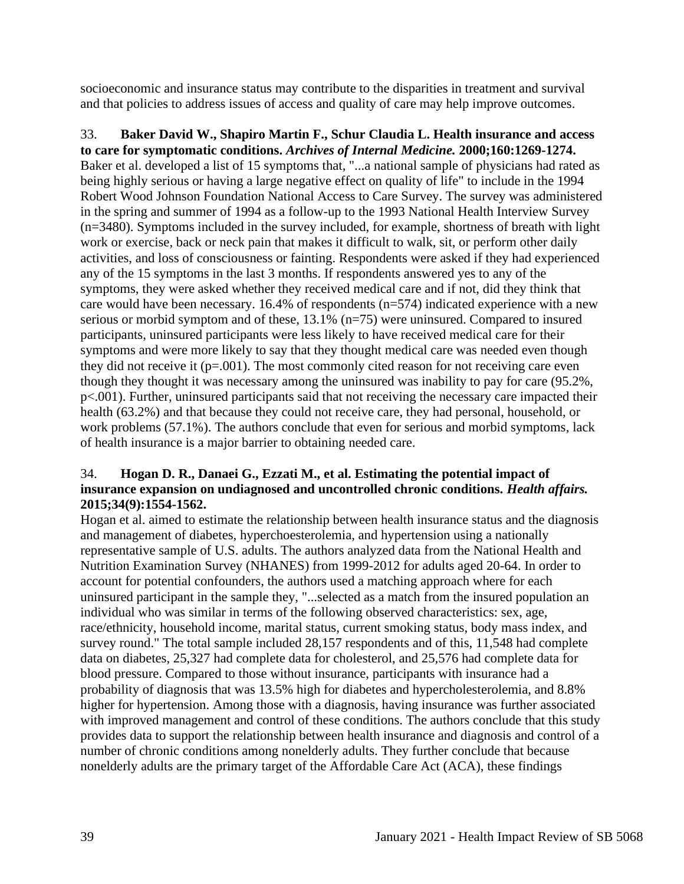socioeconomic and insurance status may contribute to the disparities in treatment and survival and that policies to address issues of access and quality of care may help improve outcomes.

33. **Baker David W., Shapiro Martin F., Schur Claudia L. Health insurance and access to care for symptomatic conditions.** *Archives of Internal Medicine.* **2000;160:1269-1274.** Baker et al. developed a list of 15 symptoms that, "...a national sample of physicians had rated as being highly serious or having a large negative effect on quality of life" to include in the 1994 Robert Wood Johnson Foundation National Access to Care Survey. The survey was administered in the spring and summer of 1994 as a follow-up to the 1993 National Health Interview Survey (n=3480). Symptoms included in the survey included, for example, shortness of breath with light work or exercise, back or neck pain that makes it difficult to walk, sit, or perform other daily activities, and loss of consciousness or fainting. Respondents were asked if they had experienced any of the 15 symptoms in the last 3 months. If respondents answered yes to any of the symptoms, they were asked whether they received medical care and if not, did they think that care would have been necessary. 16.4% of respondents (n=574) indicated experience with a new serious or morbid symptom and of these, 13.1% (n=75) were uninsured. Compared to insured participants, uninsured participants were less likely to have received medical care for their symptoms and were more likely to say that they thought medical care was needed even though they did not receive it  $(p=.001)$ . The most commonly cited reason for not receiving care even though they thought it was necessary among the uninsured was inability to pay for care (95.2%, p<.001). Further, uninsured participants said that not receiving the necessary care impacted their health (63.2%) and that because they could not receive care, they had personal, household, or work problems (57.1%). The authors conclude that even for serious and morbid symptoms, lack of health insurance is a major barrier to obtaining needed care.

# 34. **Hogan D. R., Danaei G., Ezzati M., et al. Estimating the potential impact of insurance expansion on undiagnosed and uncontrolled chronic conditions.** *Health affairs.*  **2015;34(9):1554-1562.**

Hogan et al. aimed to estimate the relationship between health insurance status and the diagnosis and management of diabetes, hyperchoesterolemia, and hypertension using a nationally representative sample of U.S. adults. The authors analyzed data from the National Health and Nutrition Examination Survey (NHANES) from 1999-2012 for adults aged 20-64. In order to account for potential confounders, the authors used a matching approach where for each uninsured participant in the sample they, "...selected as a match from the insured population an individual who was similar in terms of the following observed characteristics: sex, age, race/ethnicity, household income, marital status, current smoking status, body mass index, and survey round." The total sample included 28,157 respondents and of this, 11,548 had complete data on diabetes, 25,327 had complete data for cholesterol, and 25,576 had complete data for blood pressure. Compared to those without insurance, participants with insurance had a probability of diagnosis that was 13.5% high for diabetes and hypercholesterolemia, and 8.8% higher for hypertension. Among those with a diagnosis, having insurance was further associated with improved management and control of these conditions. The authors conclude that this study provides data to support the relationship between health insurance and diagnosis and control of a number of chronic conditions among nonelderly adults. They further conclude that because nonelderly adults are the primary target of the Affordable Care Act (ACA), these findings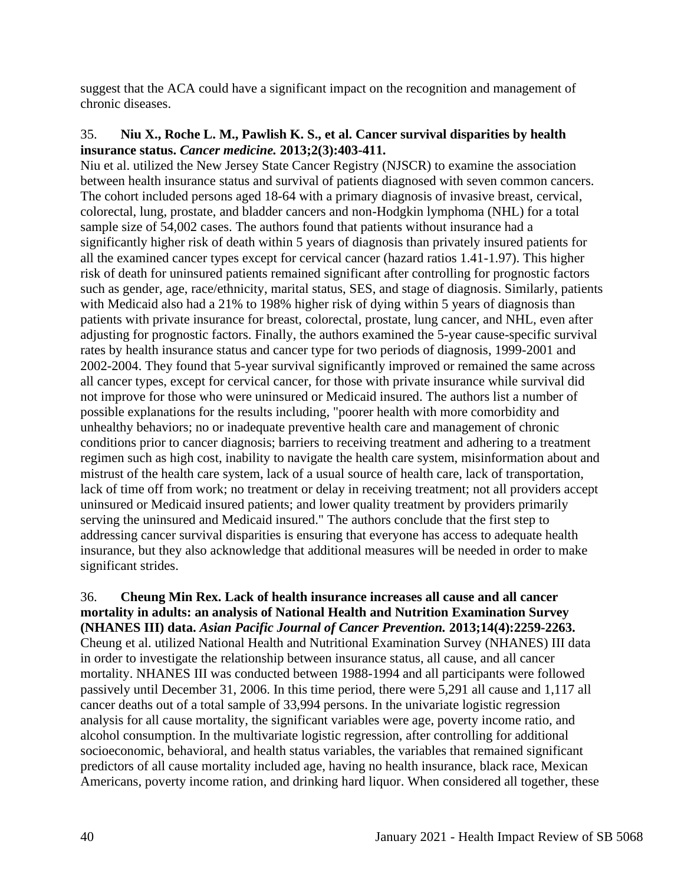suggest that the ACA could have a significant impact on the recognition and management of chronic diseases.

#### 35. **Niu X., Roche L. M., Pawlish K. S., et al. Cancer survival disparities by health insurance status.** *Cancer medicine.* **2013;2(3):403-411.**

Niu et al. utilized the New Jersey State Cancer Registry (NJSCR) to examine the association between health insurance status and survival of patients diagnosed with seven common cancers. The cohort included persons aged 18-64 with a primary diagnosis of invasive breast, cervical, colorectal, lung, prostate, and bladder cancers and non-Hodgkin lymphoma (NHL) for a total sample size of 54,002 cases. The authors found that patients without insurance had a significantly higher risk of death within 5 years of diagnosis than privately insured patients for all the examined cancer types except for cervical cancer (hazard ratios 1.41-1.97). This higher risk of death for uninsured patients remained significant after controlling for prognostic factors such as gender, age, race/ethnicity, marital status, SES, and stage of diagnosis. Similarly, patients with Medicaid also had a 21% to 198% higher risk of dying within 5 years of diagnosis than patients with private insurance for breast, colorectal, prostate, lung cancer, and NHL, even after adjusting for prognostic factors. Finally, the authors examined the 5-year cause-specific survival rates by health insurance status and cancer type for two periods of diagnosis, 1999-2001 and 2002-2004. They found that 5-year survival significantly improved or remained the same across all cancer types, except for cervical cancer, for those with private insurance while survival did not improve for those who were uninsured or Medicaid insured. The authors list a number of possible explanations for the results including, "poorer health with more comorbidity and unhealthy behaviors; no or inadequate preventive health care and management of chronic conditions prior to cancer diagnosis; barriers to receiving treatment and adhering to a treatment regimen such as high cost, inability to navigate the health care system, misinformation about and mistrust of the health care system, lack of a usual source of health care, lack of transportation, lack of time off from work; no treatment or delay in receiving treatment; not all providers accept uninsured or Medicaid insured patients; and lower quality treatment by providers primarily serving the uninsured and Medicaid insured." The authors conclude that the first step to addressing cancer survival disparities is ensuring that everyone has access to adequate health insurance, but they also acknowledge that additional measures will be needed in order to make significant strides.

36. **Cheung Min Rex. Lack of health insurance increases all cause and all cancer mortality in adults: an analysis of National Health and Nutrition Examination Survey (NHANES III) data.** *Asian Pacific Journal of Cancer Prevention.* **2013;14(4):2259-2263.** Cheung et al. utilized National Health and Nutritional Examination Survey (NHANES) III data in order to investigate the relationship between insurance status, all cause, and all cancer mortality. NHANES III was conducted between 1988-1994 and all participants were followed passively until December 31, 2006. In this time period, there were 5,291 all cause and 1,117 all cancer deaths out of a total sample of 33,994 persons. In the univariate logistic regression analysis for all cause mortality, the significant variables were age, poverty income ratio, and alcohol consumption. In the multivariate logistic regression, after controlling for additional socioeconomic, behavioral, and health status variables, the variables that remained significant predictors of all cause mortality included age, having no health insurance, black race, Mexican Americans, poverty income ration, and drinking hard liquor. When considered all together, these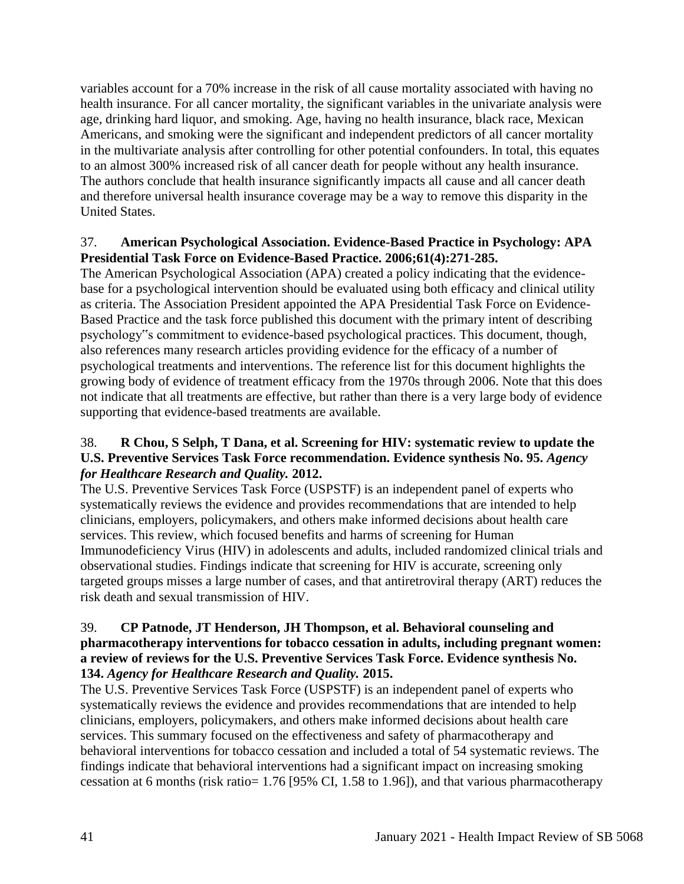variables account for a 70% increase in the risk of all cause mortality associated with having no health insurance. For all cancer mortality, the significant variables in the univariate analysis were age, drinking hard liquor, and smoking. Age, having no health insurance, black race, Mexican Americans, and smoking were the significant and independent predictors of all cancer mortality in the multivariate analysis after controlling for other potential confounders. In total, this equates to an almost 300% increased risk of all cancer death for people without any health insurance. The authors conclude that health insurance significantly impacts all cause and all cancer death and therefore universal health insurance coverage may be a way to remove this disparity in the United States.

## 37. **American Psychological Association. Evidence-Based Practice in Psychology: APA Presidential Task Force on Evidence-Based Practice. 2006;61(4):271-285.**

The American Psychological Association (APA) created a policy indicating that the evidencebase for a psychological intervention should be evaluated using both efficacy and clinical utility as criteria. The Association President appointed the APA Presidential Task Force on Evidence-Based Practice and the task force published this document with the primary intent of describing psychology"s commitment to evidence-based psychological practices. This document, though, also references many research articles providing evidence for the efficacy of a number of psychological treatments and interventions. The reference list for this document highlights the growing body of evidence of treatment efficacy from the 1970s through 2006. Note that this does not indicate that all treatments are effective, but rather than there is a very large body of evidence supporting that evidence-based treatments are available.

# 38. **R Chou, S Selph, T Dana, et al. Screening for HIV: systematic review to update the U.S. Preventive Services Task Force recommendation. Evidence synthesis No. 95.** *Agency for Healthcare Research and Quality.* **2012.**

The U.S. Preventive Services Task Force (USPSTF) is an independent panel of experts who systematically reviews the evidence and provides recommendations that are intended to help clinicians, employers, policymakers, and others make informed decisions about health care services. This review, which focused benefits and harms of screening for Human Immunodeficiency Virus (HIV) in adolescents and adults, included randomized clinical trials and observational studies. Findings indicate that screening for HIV is accurate, screening only targeted groups misses a large number of cases, and that antiretroviral therapy (ART) reduces the risk death and sexual transmission of HIV.

## 39. **CP Patnode, JT Henderson, JH Thompson, et al. Behavioral counseling and pharmacotherapy interventions for tobacco cessation in adults, including pregnant women: a review of reviews for the U.S. Preventive Services Task Force. Evidence synthesis No. 134.** *Agency for Healthcare Research and Quality.* **2015.**

The U.S. Preventive Services Task Force (USPSTF) is an independent panel of experts who systematically reviews the evidence and provides recommendations that are intended to help clinicians, employers, policymakers, and others make informed decisions about health care services. This summary focused on the effectiveness and safety of pharmacotherapy and behavioral interventions for tobacco cessation and included a total of 54 systematic reviews. The findings indicate that behavioral interventions had a significant impact on increasing smoking cessation at 6 months (risk ratio= 1.76 [95% CI, 1.58 to 1.96]), and that various pharmacotherapy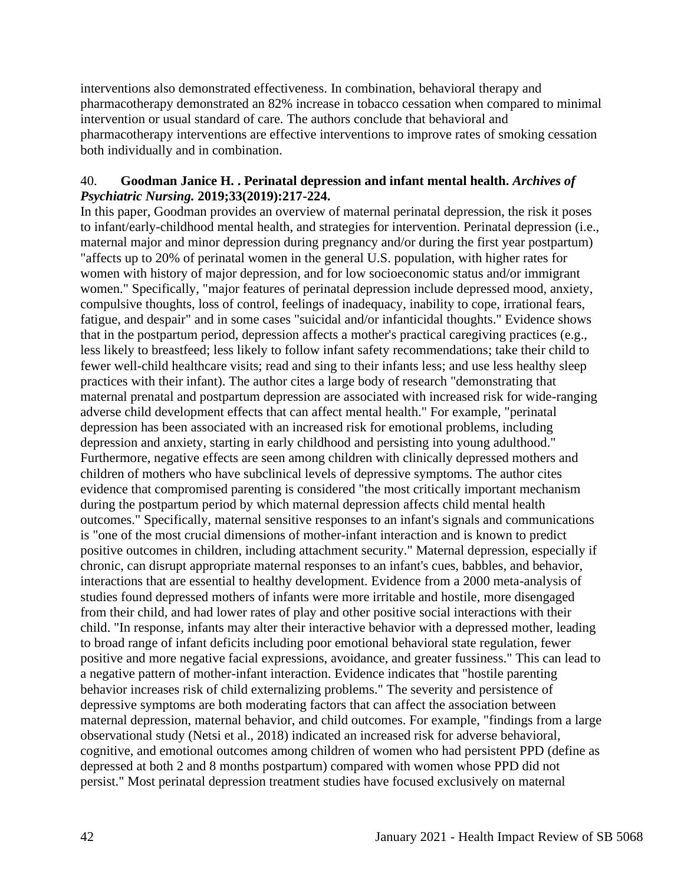interventions also demonstrated effectiveness. In combination, behavioral therapy and pharmacotherapy demonstrated an 82% increase in tobacco cessation when compared to minimal intervention or usual standard of care. The authors conclude that behavioral and pharmacotherapy interventions are effective interventions to improve rates of smoking cessation both individually and in combination.

#### 40. **Goodman Janice H. . Perinatal depression and infant mental health.** *Archives of Psychiatric Nursing.* **2019;33(2019):217-224.**

In this paper, Goodman provides an overview of maternal perinatal depression, the risk it poses to infant/early-childhood mental health, and strategies for intervention. Perinatal depression (i.e., maternal major and minor depression during pregnancy and/or during the first year postpartum) "affects up to 20% of perinatal women in the general U.S. population, with higher rates for women with history of major depression, and for low socioeconomic status and/or immigrant women." Specifically, "major features of perinatal depression include depressed mood, anxiety, compulsive thoughts, loss of control, feelings of inadequacy, inability to cope, irrational fears, fatigue, and despair" and in some cases "suicidal and/or infanticidal thoughts." Evidence shows that in the postpartum period, depression affects a mother's practical caregiving practices (e.g., less likely to breastfeed; less likely to follow infant safety recommendations; take their child to fewer well-child healthcare visits; read and sing to their infants less; and use less healthy sleep practices with their infant). The author cites a large body of research "demonstrating that maternal prenatal and postpartum depression are associated with increased risk for wide-ranging adverse child development effects that can affect mental health." For example, "perinatal depression has been associated with an increased risk for emotional problems, including depression and anxiety, starting in early childhood and persisting into young adulthood." Furthermore, negative effects are seen among children with clinically depressed mothers and children of mothers who have subclinical levels of depressive symptoms. The author cites evidence that compromised parenting is considered "the most critically important mechanism during the postpartum period by which maternal depression affects child mental health outcomes." Specifically, maternal sensitive responses to an infant's signals and communications is "one of the most crucial dimensions of mother-infant interaction and is known to predict positive outcomes in children, including attachment security." Maternal depression, especially if chronic, can disrupt appropriate maternal responses to an infant's cues, babbles, and behavior, interactions that are essential to healthy development. Evidence from a 2000 meta-analysis of studies found depressed mothers of infants were more irritable and hostile, more disengaged from their child, and had lower rates of play and other positive social interactions with their child. "In response, infants may alter their interactive behavior with a depressed mother, leading to broad range of infant deficits including poor emotional behavioral state regulation, fewer positive and more negative facial expressions, avoidance, and greater fussiness." This can lead to a negative pattern of mother-infant interaction. Evidence indicates that "hostile parenting behavior increases risk of child externalizing problems." The severity and persistence of depressive symptoms are both moderating factors that can affect the association between maternal depression, maternal behavior, and child outcomes. For example, "findings from a large observational study (Netsi et al., 2018) indicated an increased risk for adverse behavioral, cognitive, and emotional outcomes among children of women who had persistent PPD (define as depressed at both 2 and 8 months postpartum) compared with women whose PPD did not persist." Most perinatal depression treatment studies have focused exclusively on maternal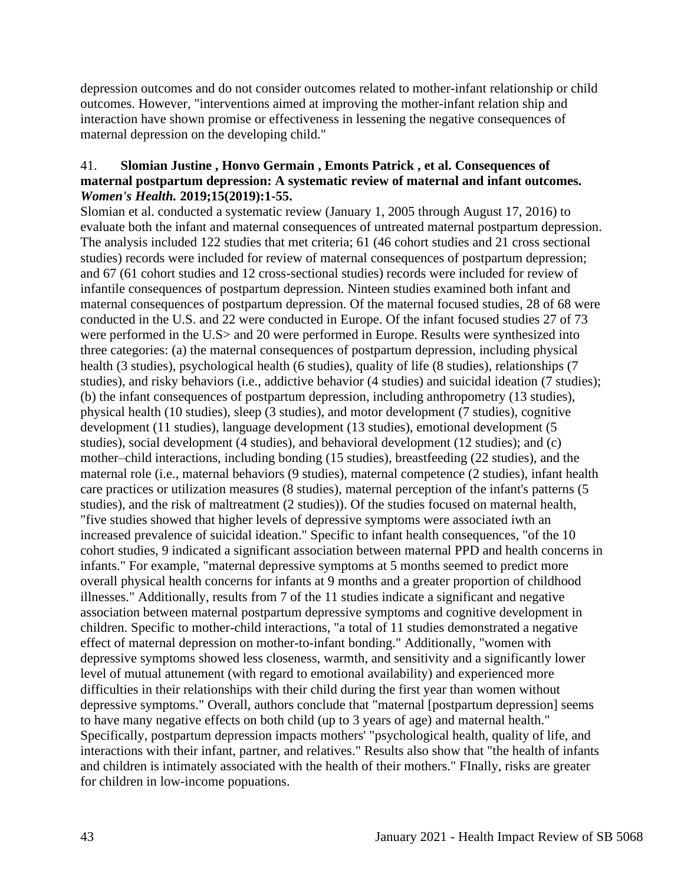depression outcomes and do not consider outcomes related to mother-infant relationship or child outcomes. However, "interventions aimed at improving the mother-infant relation ship and interaction have shown promise or effectiveness in lessening the negative consequences of maternal depression on the developing child."

#### 41. **Slomian Justine , Honvo Germain , Emonts Patrick , et al. Consequences of maternal postpartum depression: A systematic review of maternal and infant outcomes.**  *Women's Health.* **2019;15(2019):1-55.**

Slomian et al. conducted a systematic review (January 1, 2005 through August 17, 2016) to evaluate both the infant and maternal consequences of untreated maternal postpartum depression. The analysis included 122 studies that met criteria; 61 (46 cohort studies and 21 cross sectional studies) records were included for review of maternal consequences of postpartum depression; and 67 (61 cohort studies and 12 cross-sectional studies) records were included for review of infantile consequences of postpartum depression. Ninteen studies examined both infant and maternal consequences of postpartum depression. Of the maternal focused studies, 28 of 68 were conducted in the U.S. and 22 were conducted in Europe. Of the infant focused studies 27 of 73 were performed in the U.S> and 20 were performed in Europe. Results were synthesized into three categories: (a) the maternal consequences of postpartum depression, including physical health (3 studies), psychological health (6 studies), quality of life (8 studies), relationships (7 studies), and risky behaviors (i.e., addictive behavior (4 studies) and suicidal ideation (7 studies); (b) the infant consequences of postpartum depression, including anthropometry (13 studies), physical health (10 studies), sleep (3 studies), and motor development (7 studies), cognitive development (11 studies), language development (13 studies), emotional development (5 studies), social development (4 studies), and behavioral development (12 studies); and (c) mother–child interactions, including bonding (15 studies), breastfeeding (22 studies), and the maternal role (i.e., maternal behaviors (9 studies), maternal competence (2 studies), infant health care practices or utilization measures (8 studies), maternal perception of the infant's patterns (5 studies), and the risk of maltreatment (2 studies)). Of the studies focused on maternal health, "five studies showed that higher levels of depressive symptoms were associated iwth an increased prevalence of suicidal ideation." Specific to infant health consequences, "of the 10 cohort studies, 9 indicated a significant association between maternal PPD and health concerns in infants." For example, "maternal depressive symptoms at 5 months seemed to predict more overall physical health concerns for infants at 9 months and a greater proportion of childhood illnesses." Additionally, results from 7 of the 11 studies indicate a significant and negative association between maternal postpartum depressive symptoms and cognitive development in children. Specific to mother-child interactions, "a total of 11 studies demonstrated a negative effect of maternal depression on mother-to-infant bonding." Additionally, "women with depressive symptoms showed less closeness, warmth, and sensitivity and a significantly lower level of mutual attunement (with regard to emotional availability) and experienced more difficulties in their relationships with their child during the first year than women without depressive symptoms." Overall, authors conclude that "maternal [postpartum depression] seems to have many negative effects on both child (up to 3 years of age) and maternal health." Specifically, postpartum depression impacts mothers' "psychological health, quality of life, and interactions with their infant, partner, and relatives." Results also show that "the health of infants and children is intimately associated with the health of their mothers." FInally, risks are greater for children in low-income popuations.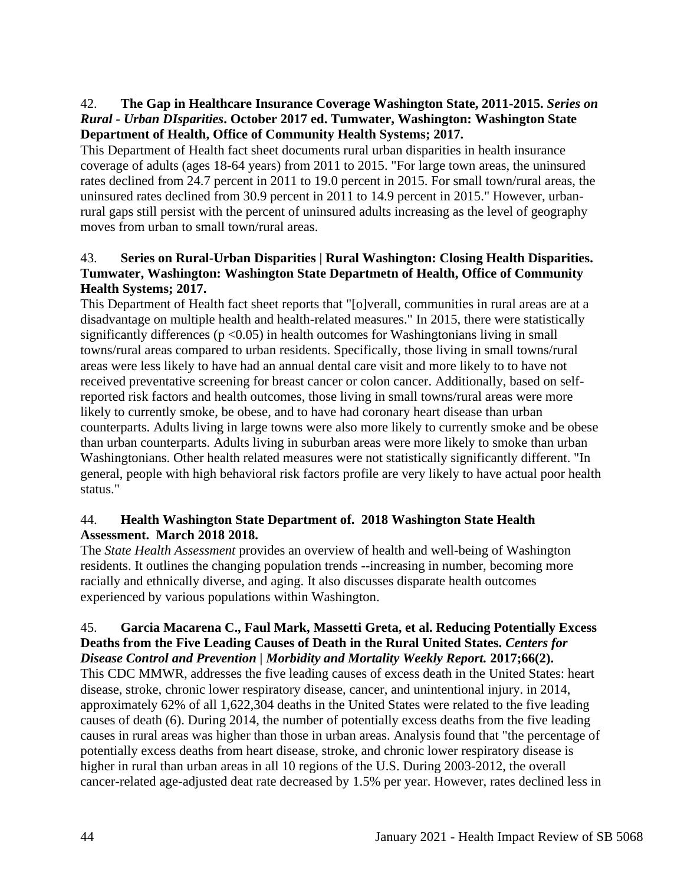# 42. **The Gap in Healthcare Insurance Coverage Washington State, 2011-2015.** *Series on Rural - Urban DIsparities***. October 2017 ed. Tumwater, Washington: Washington State Department of Health, Office of Community Health Systems; 2017.**

This Department of Health fact sheet documents rural urban disparities in health insurance coverage of adults (ages 18-64 years) from 2011 to 2015. "For large town areas, the uninsured rates declined from 24.7 percent in 2011 to 19.0 percent in 2015. For small town/rural areas, the uninsured rates declined from 30.9 percent in 2011 to 14.9 percent in 2015." However, urbanrural gaps still persist with the percent of uninsured adults increasing as the level of geography moves from urban to small town/rural areas.

# 43. **Series on Rural-Urban Disparities | Rural Washington: Closing Health Disparities. Tumwater, Washington: Washington State Departmetn of Health, Office of Community Health Systems; 2017.**

This Department of Health fact sheet reports that "[o]verall, communities in rural areas are at a disadvantage on multiple health and health-related measures." In 2015, there were statistically significantly differences ( $p \le 0.05$ ) in health outcomes for Washingtonians living in small towns/rural areas compared to urban residents. Specifically, those living in small towns/rural areas were less likely to have had an annual dental care visit and more likely to to have not received preventative screening for breast cancer or colon cancer. Additionally, based on selfreported risk factors and health outcomes, those living in small towns/rural areas were more likely to currently smoke, be obese, and to have had coronary heart disease than urban counterparts. Adults living in large towns were also more likely to currently smoke and be obese than urban counterparts. Adults living in suburban areas were more likely to smoke than urban Washingtonians. Other health related measures were not statistically significantly different. "In general, people with high behavioral risk factors profile are very likely to have actual poor health status."

# 44. **Health Washington State Department of. 2018 Washington State Health Assessment. March 2018 2018.**

The *State Health Assessment* provides an overview of health and well-being of Washington residents. It outlines the changing population trends --increasing in number, becoming more racially and ethnically diverse, and aging. It also discusses disparate health outcomes experienced by various populations within Washington.

## 45. **Garcia Macarena C., Faul Mark, Massetti Greta, et al. Reducing Potentially Excess Deaths from the Five Leading Causes of Death in the Rural United States.** *Centers for Disease Control and Prevention | Morbidity and Mortality Weekly Report.* **2017;66(2).**

This CDC MMWR, addresses the five leading causes of excess death in the United States: heart disease, stroke, chronic lower respiratory disease, cancer, and unintentional injury. in 2014, approximately 62% of all 1,622,304 deaths in the United States were related to the five leading causes of death (6). During 2014, the number of potentially excess deaths from the five leading causes in rural areas was higher than those in urban areas. Analysis found that "the percentage of potentially excess deaths from heart disease, stroke, and chronic lower respiratory disease is higher in rural than urban areas in all 10 regions of the U.S. During 2003-2012, the overall cancer-related age-adjusted deat rate decreased by 1.5% per year. However, rates declined less in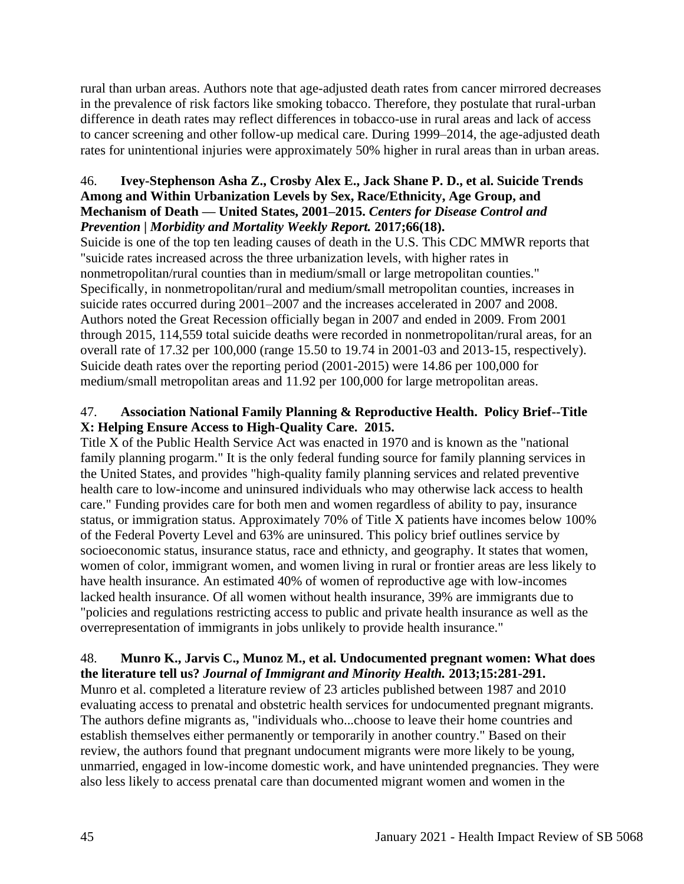rural than urban areas. Authors note that age-adjusted death rates from cancer mirrored decreases in the prevalence of risk factors like smoking tobacco. Therefore, they postulate that rural-urban difference in death rates may reflect differences in tobacco-use in rural areas and lack of access to cancer screening and other follow-up medical care. During 1999–2014, the age-adjusted death rates for unintentional injuries were approximately 50% higher in rural areas than in urban areas.

## 46. **Ivey-Stephenson Asha Z., Crosby Alex E., Jack Shane P. D., et al. Suicide Trends Among and Within Urbanization Levels by Sex, Race/Ethnicity, Age Group, and Mechanism of Death — United States, 2001–2015.** *Centers for Disease Control and Prevention | Morbidity and Mortality Weekly Report.* **2017;66(18).**

Suicide is one of the top ten leading causes of death in the U.S. This CDC MMWR reports that "suicide rates increased across the three urbanization levels, with higher rates in nonmetropolitan/rural counties than in medium/small or large metropolitan counties." Specifically, in nonmetropolitan/rural and medium/small metropolitan counties, increases in suicide rates occurred during 2001–2007 and the increases accelerated in 2007 and 2008. Authors noted the Great Recession officially began in 2007 and ended in 2009. From 2001 through 2015, 114,559 total suicide deaths were recorded in nonmetropolitan/rural areas, for an overall rate of 17.32 per 100,000 (range 15.50 to 19.74 in 2001-03 and 2013-15, respectively). Suicide death rates over the reporting period (2001-2015) were 14.86 per 100,000 for medium/small metropolitan areas and 11.92 per 100,000 for large metropolitan areas.

# 47. **Association National Family Planning & Reproductive Health. Policy Brief--Title X: Helping Ensure Access to High-Quality Care. 2015.**

Title X of the Public Health Service Act was enacted in 1970 and is known as the "national family planning progarm." It is the only federal funding source for family planning services in the United States, and provides "high-quality family planning services and related preventive health care to low-income and uninsured individuals who may otherwise lack access to health care." Funding provides care for both men and women regardless of ability to pay, insurance status, or immigration status. Approximately 70% of Title X patients have incomes below 100% of the Federal Poverty Level and 63% are uninsured. This policy brief outlines service by socioeconomic status, insurance status, race and ethnicty, and geography. It states that women, women of color, immigrant women, and women living in rural or frontier areas are less likely to have health insurance. An estimated 40% of women of reproductive age with low-incomes lacked health insurance. Of all women without health insurance, 39% are immigrants due to "policies and regulations restricting access to public and private health insurance as well as the overrepresentation of immigrants in jobs unlikely to provide health insurance."

#### 48. **Munro K., Jarvis C., Munoz M., et al. Undocumented pregnant women: What does the literature tell us?** *Journal of Immigrant and Minority Health.* **2013;15:281-291.**

Munro et al. completed a literature review of 23 articles published between 1987 and 2010 evaluating access to prenatal and obstetric health services for undocumented pregnant migrants. The authors define migrants as, "individuals who...choose to leave their home countries and establish themselves either permanently or temporarily in another country." Based on their review, the authors found that pregnant undocument migrants were more likely to be young, unmarried, engaged in low-income domestic work, and have unintended pregnancies. They were also less likely to access prenatal care than documented migrant women and women in the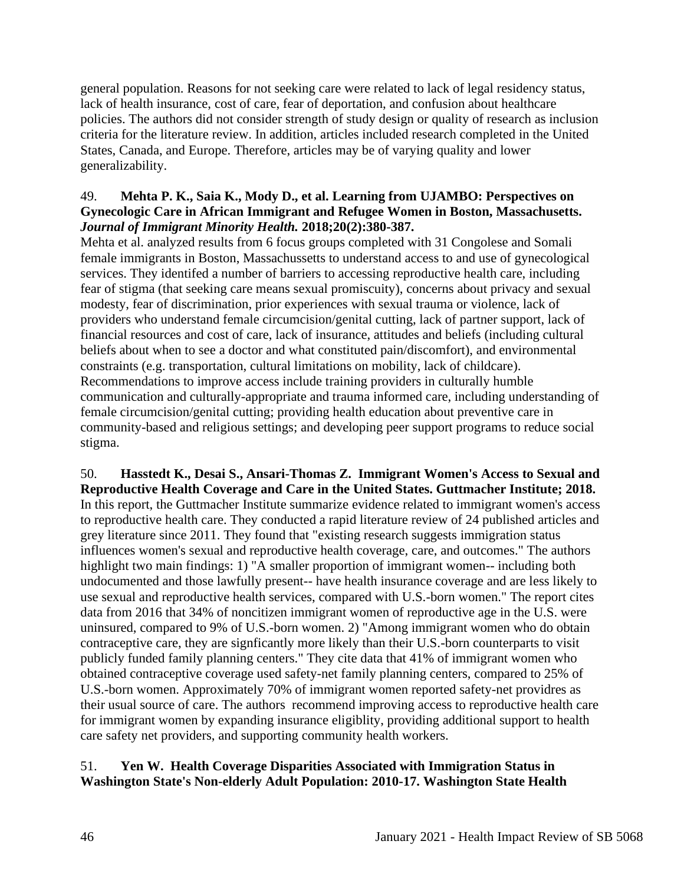general population. Reasons for not seeking care were related to lack of legal residency status, lack of health insurance, cost of care, fear of deportation, and confusion about healthcare policies. The authors did not consider strength of study design or quality of research as inclusion criteria for the literature review. In addition, articles included research completed in the United States, Canada, and Europe. Therefore, articles may be of varying quality and lower generalizability.

#### 49. **Mehta P. K., Saia K., Mody D., et al. Learning from UJAMBO: Perspectives on Gynecologic Care in African Immigrant and Refugee Women in Boston, Massachusetts.**  *Journal of Immigrant Minority Health.* **2018;20(2):380-387.**

Mehta et al. analyzed results from 6 focus groups completed with 31 Congolese and Somali female immigrants in Boston, Massachussetts to understand access to and use of gynecological services. They identifed a number of barriers to accessing reproductive health care, including fear of stigma (that seeking care means sexual promiscuity), concerns about privacy and sexual modesty, fear of discrimination, prior experiences with sexual trauma or violence, lack of providers who understand female circumcision/genital cutting, lack of partner support, lack of financial resources and cost of care, lack of insurance, attitudes and beliefs (including cultural beliefs about when to see a doctor and what constituted pain/discomfort), and environmental constraints (e.g. transportation, cultural limitations on mobility, lack of childcare). Recommendations to improve access include training providers in culturally humble communication and culturally-appropriate and trauma informed care, including understanding of female circumcision/genital cutting; providing health education about preventive care in community-based and religious settings; and developing peer support programs to reduce social stigma.

50. **Hasstedt K., Desai S., Ansari-Thomas Z. Immigrant Women's Access to Sexual and Reproductive Health Coverage and Care in the United States. Guttmacher Institute; 2018.** In this report, the Guttmacher Institute summarize evidence related to immigrant women's access to reproductive health care. They conducted a rapid literature review of 24 published articles and grey literature since 2011. They found that "existing research suggests immigration status influences women's sexual and reproductive health coverage, care, and outcomes." The authors highlight two main findings: 1) "A smaller proportion of immigrant women-- including both undocumented and those lawfully present-- have health insurance coverage and are less likely to use sexual and reproductive health services, compared with U.S.-born women." The report cites data from 2016 that 34% of noncitizen immigrant women of reproductive age in the U.S. were uninsured, compared to 9% of U.S.-born women. 2) "Among immigrant women who do obtain contraceptive care, they are signficantly more likely than their U.S.-born counterparts to visit publicly funded family planning centers." They cite data that 41% of immigrant women who obtained contraceptive coverage used safety-net family planning centers, compared to 25% of U.S.-born women. Approximately 70% of immigrant women reported safety-net providres as their usual source of care. The authors recommend improving access to reproductive health care for immigrant women by expanding insurance eligiblity, providing additional support to health care safety net providers, and supporting community health workers.

## 51. **Yen W. Health Coverage Disparities Associated with Immigration Status in Washington State's Non-elderly Adult Population: 2010-17. Washington State Health**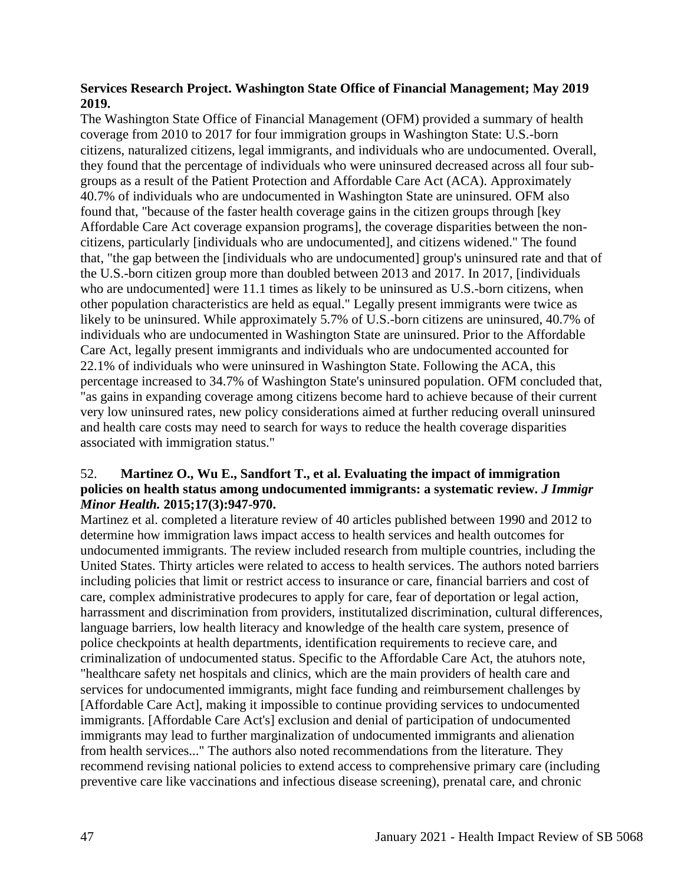#### **Services Research Project. Washington State Office of Financial Management; May 2019 2019.**

The Washington State Office of Financial Management (OFM) provided a summary of health coverage from 2010 to 2017 for four immigration groups in Washington State: U.S.-born citizens, naturalized citizens, legal immigrants, and individuals who are undocumented. Overall, they found that the percentage of individuals who were uninsured decreased across all four subgroups as a result of the Patient Protection and Affordable Care Act (ACA). Approximately 40.7% of individuals who are undocumented in Washington State are uninsured. OFM also found that, "because of the faster health coverage gains in the citizen groups through [key Affordable Care Act coverage expansion programs], the coverage disparities between the noncitizens, particularly [individuals who are undocumented], and citizens widened." The found that, "the gap between the [individuals who are undocumented] group's uninsured rate and that of the U.S.-born citizen group more than doubled between 2013 and 2017. In 2017, [individuals who are undocumented] were 11.1 times as likely to be uninsured as U.S.-born citizens, when other population characteristics are held as equal." Legally present immigrants were twice as likely to be uninsured. While approximately 5.7% of U.S.-born citizens are uninsured, 40.7% of individuals who are undocumented in Washington State are uninsured. Prior to the Affordable Care Act, legally present immigrants and individuals who are undocumented accounted for 22.1% of individuals who were uninsured in Washington State. Following the ACA, this percentage increased to 34.7% of Washington State's uninsured population. OFM concluded that, "as gains in expanding coverage among citizens become hard to achieve because of their current very low uninsured rates, new policy considerations aimed at further reducing overall uninsured and health care costs may need to search for ways to reduce the health coverage disparities associated with immigration status."

#### 52. **Martinez O., Wu E., Sandfort T., et al. Evaluating the impact of immigration policies on health status among undocumented immigrants: a systematic review.** *J Immigr Minor Health.* **2015;17(3):947-970.**

Martinez et al. completed a literature review of 40 articles published between 1990 and 2012 to determine how immigration laws impact access to health services and health outcomes for undocumented immigrants. The review included research from multiple countries, including the United States. Thirty articles were related to access to health services. The authors noted barriers including policies that limit or restrict access to insurance or care, financial barriers and cost of care, complex administrative prodecures to apply for care, fear of deportation or legal action, harrassment and discrimination from providers, institutalized discrimination, cultural differences, language barriers, low health literacy and knowledge of the health care system, presence of police checkpoints at health departments, identification requirements to recieve care, and criminalization of undocumented status. Specific to the Affordable Care Act, the atuhors note, "healthcare safety net hospitals and clinics, which are the main providers of health care and services for undocumented immigrants, might face funding and reimbursement challenges by [Affordable Care Act], making it impossible to continue providing services to undocumented immigrants. [Affordable Care Act's] exclusion and denial of participation of undocumented immigrants may lead to further marginalization of undocumented immigrants and alienation from health services..." The authors also noted recommendations from the literature. They recommend revising national policies to extend access to comprehensive primary care (including preventive care like vaccinations and infectious disease screening), prenatal care, and chronic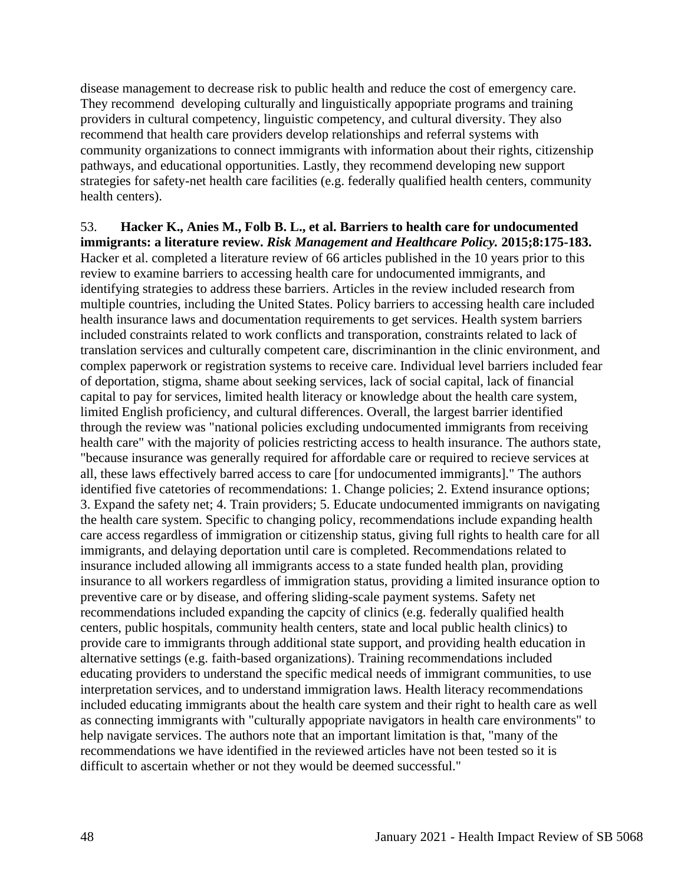disease management to decrease risk to public health and reduce the cost of emergency care. They recommend developing culturally and linguistically appopriate programs and training providers in cultural competency, linguistic competency, and cultural diversity. They also recommend that health care providers develop relationships and referral systems with community organizations to connect immigrants with information about their rights, citizenship pathways, and educational opportunities. Lastly, they recommend developing new support strategies for safety-net health care facilities (e.g. federally qualified health centers, community health centers).

53. **Hacker K., Anies M., Folb B. L., et al. Barriers to health care for undocumented immigrants: a literature review.** *Risk Management and Healthcare Policy.* **2015;8:175-183.** Hacker et al. completed a literature review of 66 articles published in the 10 years prior to this review to examine barriers to accessing health care for undocumented immigrants, and identifying strategies to address these barriers. Articles in the review included research from multiple countries, including the United States. Policy barriers to accessing health care included health insurance laws and documentation requirements to get services. Health system barriers included constraints related to work conflicts and transporation, constraints related to lack of translation services and culturally competent care, discriminantion in the clinic environment, and complex paperwork or registration systems to receive care. Individual level barriers included fear of deportation, stigma, shame about seeking services, lack of social capital, lack of financial capital to pay for services, limited health literacy or knowledge about the health care system, limited English proficiency, and cultural differences. Overall, the largest barrier identified through the review was "national policies excluding undocumented immigrants from receiving health care" with the majority of policies restricting access to health insurance. The authors state, "because insurance was generally required for affordable care or required to recieve services at all, these laws effectively barred access to care [for undocumented immigrants]." The authors identified five catetories of recommendations: 1. Change policies; 2. Extend insurance options; 3. Expand the safety net; 4. Train providers; 5. Educate undocumented immigrants on navigating the health care system. Specific to changing policy, recommendations include expanding health care access regardless of immigration or citizenship status, giving full rights to health care for all immigrants, and delaying deportation until care is completed. Recommendations related to insurance included allowing all immigrants access to a state funded health plan, providing insurance to all workers regardless of immigration status, providing a limited insurance option to preventive care or by disease, and offering sliding-scale payment systems. Safety net recommendations included expanding the capcity of clinics (e.g. federally qualified health centers, public hospitals, community health centers, state and local public health clinics) to provide care to immigrants through additional state support, and providing health education in alternative settings (e.g. faith-based organizations). Training recommendations included educating providers to understand the specific medical needs of immigrant communities, to use interpretation services, and to understand immigration laws. Health literacy recommendations included educating immigrants about the health care system and their right to health care as well as connecting immigrants with "culturally appopriate navigators in health care environments" to help navigate services. The authors note that an important limitation is that, "many of the recommendations we have identified in the reviewed articles have not been tested so it is difficult to ascertain whether or not they would be deemed successful."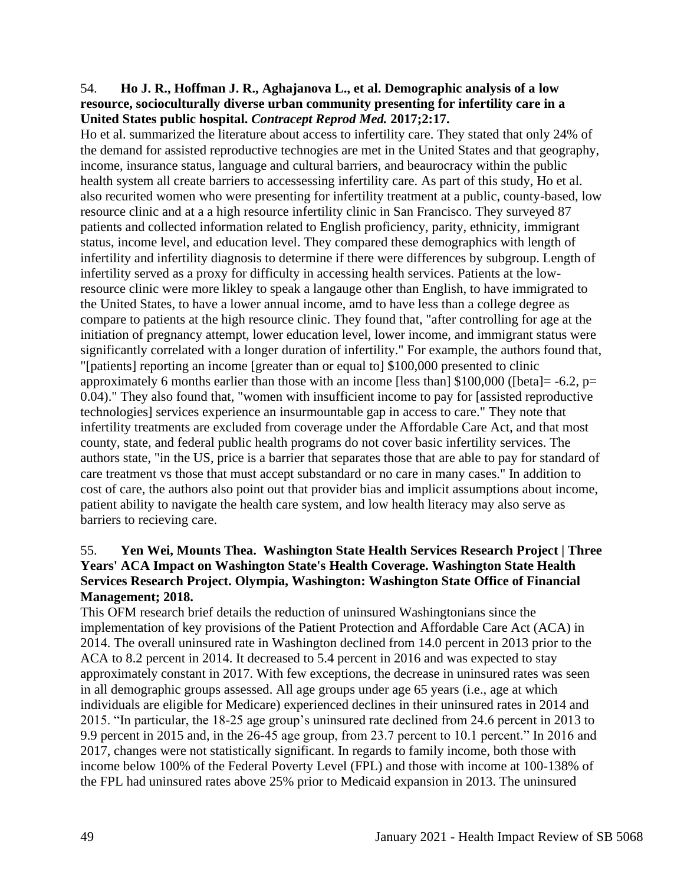#### 54. **Ho J. R., Hoffman J. R., Aghajanova L., et al. Demographic analysis of a low resource, socioculturally diverse urban community presenting for infertility care in a United States public hospital.** *Contracept Reprod Med.* **2017;2:17.**

Ho et al. summarized the literature about access to infertility care. They stated that only 24% of the demand for assisted reproductive technogies are met in the United States and that geography, income, insurance status, language and cultural barriers, and beaurocracy within the public health system all create barriers to accessessing infertility care. As part of this study, Ho et al. also recurited women who were presenting for infertility treatment at a public, county-based, low resource clinic and at a a high resource infertility clinic in San Francisco. They surveyed 87 patients and collected information related to English proficiency, parity, ethnicity, immigrant status, income level, and education level. They compared these demographics with length of infertility and infertility diagnosis to determine if there were differences by subgroup. Length of infertility served as a proxy for difficulty in accessing health services. Patients at the lowresource clinic were more likley to speak a langauge other than English, to have immigrated to the United States, to have a lower annual income, amd to have less than a college degree as compare to patients at the high resource clinic. They found that, "after controlling for age at the initiation of pregnancy attempt, lower education level, lower income, and immigrant status were significantly correlated with a longer duration of infertility." For example, the authors found that, "[patients] reporting an income [greater than or equal to] \$100,000 presented to clinic approximately 6 months earlier than those with an income [less than]  $$100,000$  ([beta] = -6.2, p= 0.04)." They also found that, "women with insufficient income to pay for [assisted reproductive technologies] services experience an insurmountable gap in access to care." They note that infertility treatments are excluded from coverage under the Affordable Care Act, and that most county, state, and federal public health programs do not cover basic infertility services. The authors state, "in the US, price is a barrier that separates those that are able to pay for standard of care treatment vs those that must accept substandard or no care in many cases." In addition to cost of care, the authors also point out that provider bias and implicit assumptions about income, patient ability to navigate the health care system, and low health literacy may also serve as barriers to recieving care.

## 55. **Yen Wei, Mounts Thea. Washington State Health Services Research Project | Three Years' ACA Impact on Washington State's Health Coverage. Washington State Health Services Research Project. Olympia, Washington: Washington State Office of Financial Management; 2018.**

This OFM research brief details the reduction of uninsured Washingtonians since the implementation of key provisions of the Patient Protection and Affordable Care Act (ACA) in 2014. The overall uninsured rate in Washington declined from 14.0 percent in 2013 prior to the ACA to 8.2 percent in 2014. It decreased to 5.4 percent in 2016 and was expected to stay approximately constant in 2017. With few exceptions, the decrease in uninsured rates was seen in all demographic groups assessed. All age groups under age 65 years (i.e., age at which individuals are eligible for Medicare) experienced declines in their uninsured rates in 2014 and 2015. "In particular, the 18-25 age group's uninsured rate declined from 24.6 percent in 2013 to 9.9 percent in 2015 and, in the 26-45 age group, from 23.7 percent to 10.1 percent." In 2016 and 2017, changes were not statistically significant. In regards to family income, both those with income below 100% of the Federal Poverty Level (FPL) and those with income at 100-138% of the FPL had uninsured rates above 25% prior to Medicaid expansion in 2013. The uninsured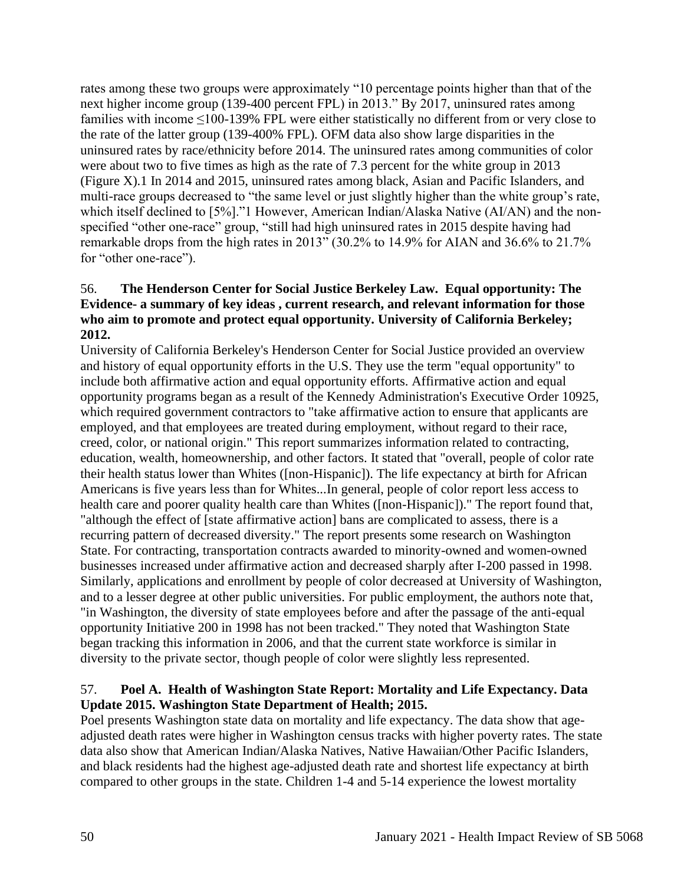rates among these two groups were approximately "10 percentage points higher than that of the next higher income group (139-400 percent FPL) in 2013." By 2017, uninsured rates among families with income ≤100-139% FPL were either statistically no different from or very close to the rate of the latter group (139-400% FPL). OFM data also show large disparities in the uninsured rates by race/ethnicity before 2014. The uninsured rates among communities of color were about two to five times as high as the rate of 7.3 percent for the white group in 2013 (Figure X).1 In 2014 and 2015, uninsured rates among black, Asian and Pacific Islanders, and multi-race groups decreased to "the same level or just slightly higher than the white group's rate, which itself declined to [5%]."1 However, American Indian/Alaska Native (AI/AN) and the nonspecified "other one-race" group, "still had high uninsured rates in 2015 despite having had remarkable drops from the high rates in 2013" (30.2% to 14.9% for AIAN and 36.6% to 21.7% for "other one-race").

#### 56. **The Henderson Center for Social Justice Berkeley Law. Equal opportunity: The Evidence- a summary of key ideas , current research, and relevant information for those who aim to promote and protect equal opportunity. University of California Berkeley; 2012.**

University of California Berkeley's Henderson Center for Social Justice provided an overview and history of equal opportunity efforts in the U.S. They use the term "equal opportunity" to include both affirmative action and equal opportunity efforts. Affirmative action and equal opportunity programs began as a result of the Kennedy Administration's Executive Order 10925, which required government contractors to "take affirmative action to ensure that applicants are employed, and that employees are treated during employment, without regard to their race, creed, color, or national origin." This report summarizes information related to contracting, education, wealth, homeownership, and other factors. It stated that "overall, people of color rate their health status lower than Whites ([non-Hispanic]). The life expectancy at birth for African Americans is five years less than for Whites...In general, people of color report less access to health care and poorer quality health care than Whites ([non-Hispanic])." The report found that, "although the effect of [state affirmative action] bans are complicated to assess, there is a recurring pattern of decreased diversity." The report presents some research on Washington State. For contracting, transportation contracts awarded to minority-owned and women-owned businesses increased under affirmative action and decreased sharply after I-200 passed in 1998. Similarly, applications and enrollment by people of color decreased at University of Washington, and to a lesser degree at other public universities. For public employment, the authors note that, "in Washington, the diversity of state employees before and after the passage of the anti-equal opportunity Initiative 200 in 1998 has not been tracked." They noted that Washington State began tracking this information in 2006, and that the current state workforce is similar in diversity to the private sector, though people of color were slightly less represented.

## 57. **Poel A. Health of Washington State Report: Mortality and Life Expectancy. Data Update 2015. Washington State Department of Health; 2015.**

Poel presents Washington state data on mortality and life expectancy. The data show that ageadjusted death rates were higher in Washington census tracks with higher poverty rates. The state data also show that American Indian/Alaska Natives, Native Hawaiian/Other Pacific Islanders, and black residents had the highest age-adjusted death rate and shortest life expectancy at birth compared to other groups in the state. Children 1-4 and 5-14 experience the lowest mortality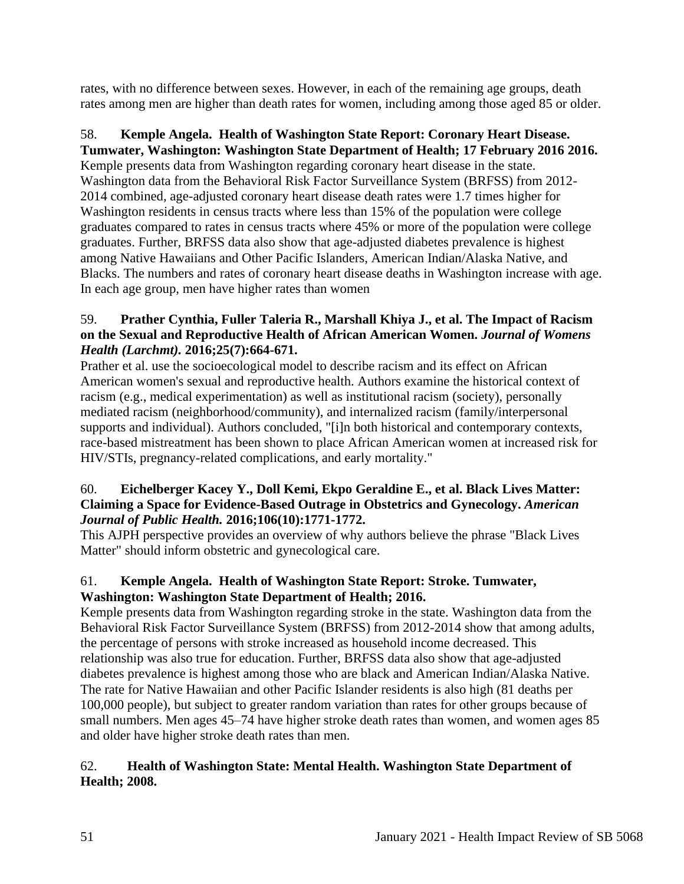rates, with no difference between sexes. However, in each of the remaining age groups, death rates among men are higher than death rates for women, including among those aged 85 or older.

#### 58. **Kemple Angela. Health of Washington State Report: Coronary Heart Disease. Tumwater, Washington: Washington State Department of Health; 17 February 2016 2016.**

Kemple presents data from Washington regarding coronary heart disease in the state. Washington data from the Behavioral Risk Factor Surveillance System (BRFSS) from 2012- 2014 combined, age-adjusted coronary heart disease death rates were 1.7 times higher for Washington residents in census tracts where less than 15% of the population were college graduates compared to rates in census tracts where 45% or more of the population were college graduates. Further, BRFSS data also show that age-adjusted diabetes prevalence is highest among Native Hawaiians and Other Pacific Islanders, American Indian/Alaska Native, and Blacks. The numbers and rates of coronary heart disease deaths in Washington increase with age. In each age group, men have higher rates than women

# 59. **Prather Cynthia, Fuller Taleria R., Marshall Khiya J., et al. The Impact of Racism on the Sexual and Reproductive Health of African American Women.** *Journal of Womens Health (Larchmt).* **2016;25(7):664-671.**

Prather et al. use the socioecological model to describe racism and its effect on African American women's sexual and reproductive health. Authors examine the historical context of racism (e.g., medical experimentation) as well as institutional racism (society), personally mediated racism (neighborhood/community), and internalized racism (family/interpersonal supports and individual). Authors concluded, "[i]n both historical and contemporary contexts, race-based mistreatment has been shown to place African American women at increased risk for HIV/STIs, pregnancy-related complications, and early mortality."

# 60. **Eichelberger Kacey Y., Doll Kemi, Ekpo Geraldine E., et al. Black Lives Matter: Claiming a Space for Evidence-Based Outrage in Obstetrics and Gynecology.** *American Journal of Public Health.* **2016;106(10):1771-1772.**

This AJPH perspective provides an overview of why authors believe the phrase "Black Lives Matter" should inform obstetric and gynecological care.

# 61. **Kemple Angela. Health of Washington State Report: Stroke. Tumwater, Washington: Washington State Department of Health; 2016.**

Kemple presents data from Washington regarding stroke in the state. Washington data from the Behavioral Risk Factor Surveillance System (BRFSS) from 2012-2014 show that among adults, the percentage of persons with stroke increased as household income decreased. This relationship was also true for education. Further, BRFSS data also show that age-adjusted diabetes prevalence is highest among those who are black and American Indian/Alaska Native. The rate for Native Hawaiian and other Pacific Islander residents is also high (81 deaths per 100,000 people), but subject to greater random variation than rates for other groups because of small numbers. Men ages 45–74 have higher stroke death rates than women, and women ages 85 and older have higher stroke death rates than men.

# 62. **Health of Washington State: Mental Health. Washington State Department of Health; 2008.**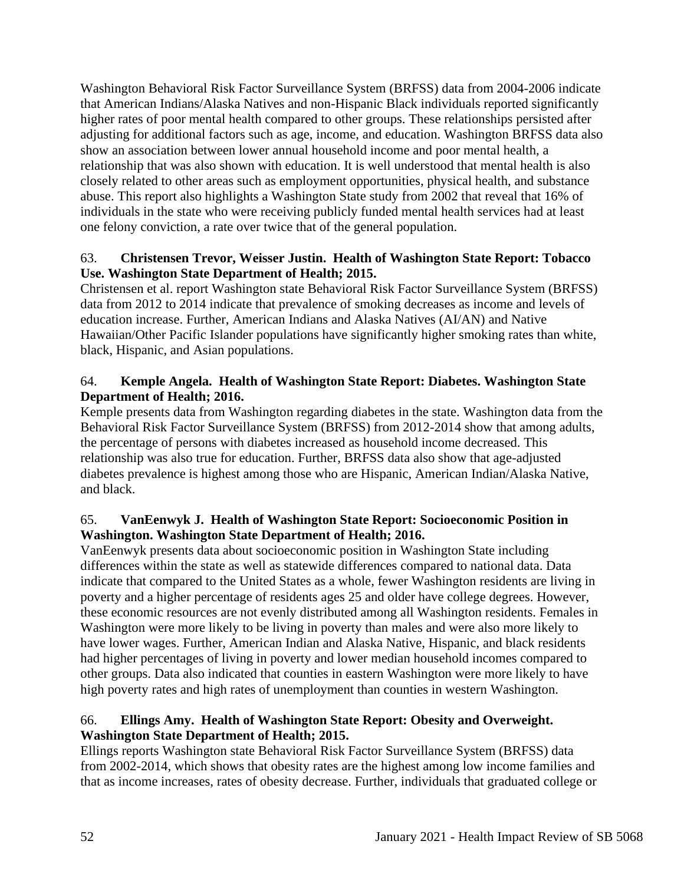Washington Behavioral Risk Factor Surveillance System (BRFSS) data from 2004-2006 indicate that American Indians/Alaska Natives and non-Hispanic Black individuals reported significantly higher rates of poor mental health compared to other groups. These relationships persisted after adjusting for additional factors such as age, income, and education. Washington BRFSS data also show an association between lower annual household income and poor mental health, a relationship that was also shown with education. It is well understood that mental health is also closely related to other areas such as employment opportunities, physical health, and substance abuse. This report also highlights a Washington State study from 2002 that reveal that 16% of individuals in the state who were receiving publicly funded mental health services had at least one felony conviction, a rate over twice that of the general population.

# 63. **Christensen Trevor, Weisser Justin. Health of Washington State Report: Tobacco Use. Washington State Department of Health; 2015.**

Christensen et al. report Washington state Behavioral Risk Factor Surveillance System (BRFSS) data from 2012 to 2014 indicate that prevalence of smoking decreases as income and levels of education increase. Further, American Indians and Alaska Natives (AI/AN) and Native Hawaiian/Other Pacific Islander populations have significantly higher smoking rates than white, black, Hispanic, and Asian populations.

# 64. **Kemple Angela. Health of Washington State Report: Diabetes. Washington State Department of Health; 2016.**

Kemple presents data from Washington regarding diabetes in the state. Washington data from the Behavioral Risk Factor Surveillance System (BRFSS) from 2012-2014 show that among adults, the percentage of persons with diabetes increased as household income decreased. This relationship was also true for education. Further, BRFSS data also show that age-adjusted diabetes prevalence is highest among those who are Hispanic, American Indian/Alaska Native, and black.

# 65. **VanEenwyk J. Health of Washington State Report: Socioeconomic Position in Washington. Washington State Department of Health; 2016.**

VanEenwyk presents data about socioeconomic position in Washington State including differences within the state as well as statewide differences compared to national data. Data indicate that compared to the United States as a whole, fewer Washington residents are living in poverty and a higher percentage of residents ages 25 and older have college degrees. However, these economic resources are not evenly distributed among all Washington residents. Females in Washington were more likely to be living in poverty than males and were also more likely to have lower wages. Further, American Indian and Alaska Native, Hispanic, and black residents had higher percentages of living in poverty and lower median household incomes compared to other groups. Data also indicated that counties in eastern Washington were more likely to have high poverty rates and high rates of unemployment than counties in western Washington.

# 66. **Ellings Amy. Health of Washington State Report: Obesity and Overweight. Washington State Department of Health; 2015.**

Ellings reports Washington state Behavioral Risk Factor Surveillance System (BRFSS) data from 2002-2014, which shows that obesity rates are the highest among low income families and that as income increases, rates of obesity decrease. Further, individuals that graduated college or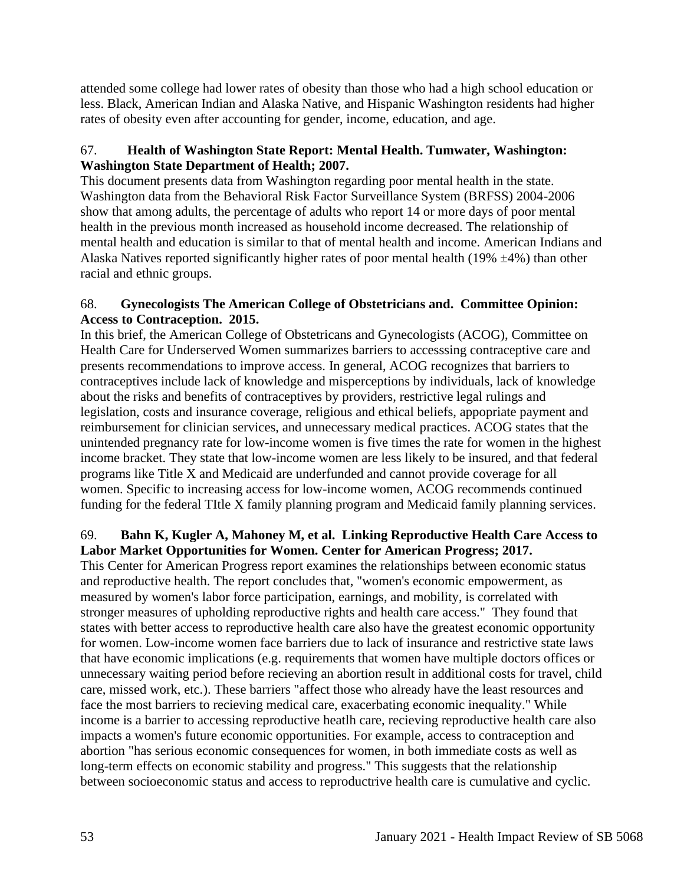attended some college had lower rates of obesity than those who had a high school education or less. Black, American Indian and Alaska Native, and Hispanic Washington residents had higher rates of obesity even after accounting for gender, income, education, and age.

# 67. **Health of Washington State Report: Mental Health. Tumwater, Washington: Washington State Department of Health; 2007.**

This document presents data from Washington regarding poor mental health in the state. Washington data from the Behavioral Risk Factor Surveillance System (BRFSS) 2004-2006 show that among adults, the percentage of adults who report 14 or more days of poor mental health in the previous month increased as household income decreased. The relationship of mental health and education is similar to that of mental health and income. American Indians and Alaska Natives reported significantly higher rates of poor mental health (19%  $\pm$ 4%) than other racial and ethnic groups.

#### 68. **Gynecologists The American College of Obstetricians and. Committee Opinion: Access to Contraception. 2015.**

In this brief, the American College of Obstetricans and Gynecologists (ACOG), Committee on Health Care for Underserved Women summarizes barriers to accesssing contraceptive care and presents recommendations to improve access. In general, ACOG recognizes that barriers to contraceptives include lack of knowledge and misperceptions by individuals, lack of knowledge about the risks and benefits of contraceptives by providers, restrictive legal rulings and legislation, costs and insurance coverage, religious and ethical beliefs, appopriate payment and reimbursement for clinician services, and unnecessary medical practices. ACOG states that the unintended pregnancy rate for low-income women is five times the rate for women in the highest income bracket. They state that low-income women are less likely to be insured, and that federal programs like Title X and Medicaid are underfunded and cannot provide coverage for all women. Specific to increasing access for low-income women, ACOG recommends continued funding for the federal TItle X family planning program and Medicaid family planning services.

# 69. **Bahn K, Kugler A, Mahoney M, et al. Linking Reproductive Health Care Access to Labor Market Opportunities for Women. Center for American Progress; 2017.**

This Center for American Progress report examines the relationships between economic status and reproductive health. The report concludes that, "women's economic empowerment, as measured by women's labor force participation, earnings, and mobility, is correlated with stronger measures of upholding reproductive rights and health care access." They found that states with better access to reproductive health care also have the greatest economic opportunity for women. Low-income women face barriers due to lack of insurance and restrictive state laws that have economic implications (e.g. requirements that women have multiple doctors offices or unnecessary waiting period before recieving an abortion result in additional costs for travel, child care, missed work, etc.). These barriers "affect those who already have the least resources and face the most barriers to recieving medical care, exacerbating economic inequality." While income is a barrier to accessing reproductive heatlh care, recieving reproductive health care also impacts a women's future economic opportunities. For example, access to contraception and abortion "has serious economic consequences for women, in both immediate costs as well as long-term effects on economic stability and progress." This suggests that the relationship between socioeconomic status and access to reproductrive health care is cumulative and cyclic.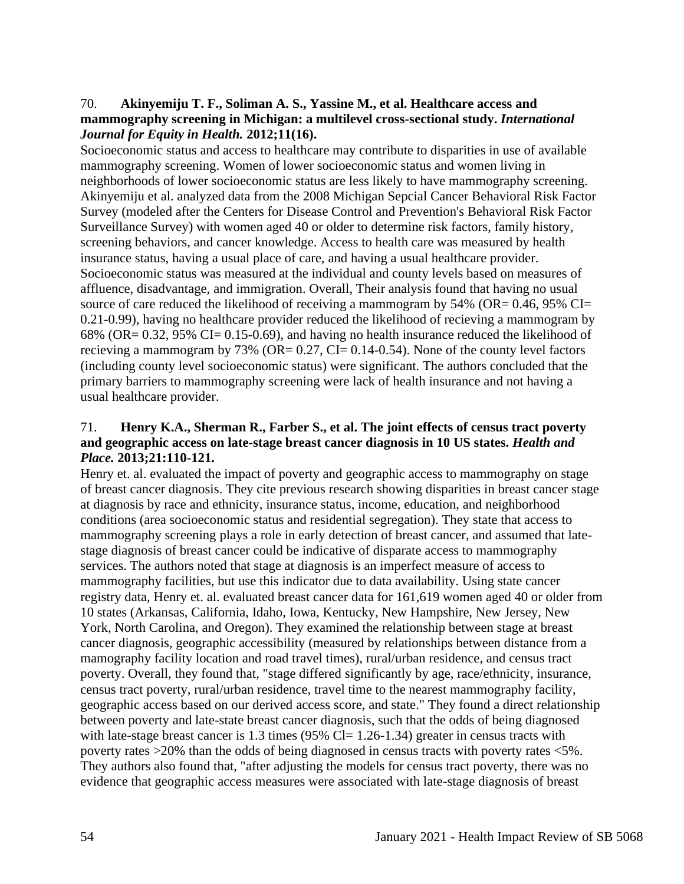#### 70. **Akinyemiju T. F., Soliman A. S., Yassine M., et al. Healthcare access and mammography screening in Michigan: a multilevel cross-sectional study.** *International Journal for Equity in Health.* **2012;11(16).**

Socioeconomic status and access to healthcare may contribute to disparities in use of available mammography screening. Women of lower socioeconomic status and women living in neighborhoods of lower socioeconomic status are less likely to have mammography screening. Akinyemiju et al. analyzed data from the 2008 Michigan Sepcial Cancer Behavioral Risk Factor Survey (modeled after the Centers for Disease Control and Prevention's Behavioral Risk Factor Surveillance Survey) with women aged 40 or older to determine risk factors, family history, screening behaviors, and cancer knowledge. Access to health care was measured by health insurance status, having a usual place of care, and having a usual healthcare provider. Socioeconomic status was measured at the individual and county levels based on measures of affluence, disadvantage, and immigration. Overall, Their analysis found that having no usual source of care reduced the likelihood of receiving a mammogram by  $54\%$  (OR= 0.46, 95% CI= 0.21-0.99), having no healthcare provider reduced the likelihood of recieving a mammogram by 68% (OR= 0.32, 95% CI= 0.15-0.69), and having no health insurance reduced the likelihood of recieving a mammogram by 73% (OR=  $0.27$ , CI=  $0.14$ - $0.54$ ). None of the county level factors (including county level socioeconomic status) were significant. The authors concluded that the primary barriers to mammography screening were lack of health insurance and not having a usual healthcare provider.

#### 71. **Henry K.A., Sherman R., Farber S., et al. The joint effects of census tract poverty and geographic access on late-stage breast cancer diagnosis in 10 US states.** *Health and Place.* **2013;21:110-121.**

Henry et. al. evaluated the impact of poverty and geographic access to mammography on stage of breast cancer diagnosis. They cite previous research showing disparities in breast cancer stage at diagnosis by race and ethnicity, insurance status, income, education, and neighborhood conditions (area socioeconomic status and residential segregation). They state that access to mammography screening plays a role in early detection of breast cancer, and assumed that latestage diagnosis of breast cancer could be indicative of disparate access to mammography services. The authors noted that stage at diagnosis is an imperfect measure of access to mammography facilities, but use this indicator due to data availability. Using state cancer registry data, Henry et. al. evaluated breast cancer data for 161,619 women aged 40 or older from 10 states (Arkansas, California, Idaho, Iowa, Kentucky, New Hampshire, New Jersey, New York, North Carolina, and Oregon). They examined the relationship between stage at breast cancer diagnosis, geographic accessibility (measured by relationships between distance from a mamography facility location and road travel times), rural/urban residence, and census tract poverty. Overall, they found that, "stage differed significantly by age, race/ethnicity, insurance, census tract poverty, rural/urban residence, travel time to the nearest mammography facility, geographic access based on our derived access score, and state." They found a direct relationship between poverty and late-state breast cancer diagnosis, such that the odds of being diagnosed with late-stage breast cancer is 1.3 times  $(95\%$  Cl= 1.26-1.34) greater in census tracts with poverty rates >20% than the odds of being diagnosed in census tracts with poverty rates <5%. They authors also found that, "after adjusting the models for census tract poverty, there was no evidence that geographic access measures were associated with late-stage diagnosis of breast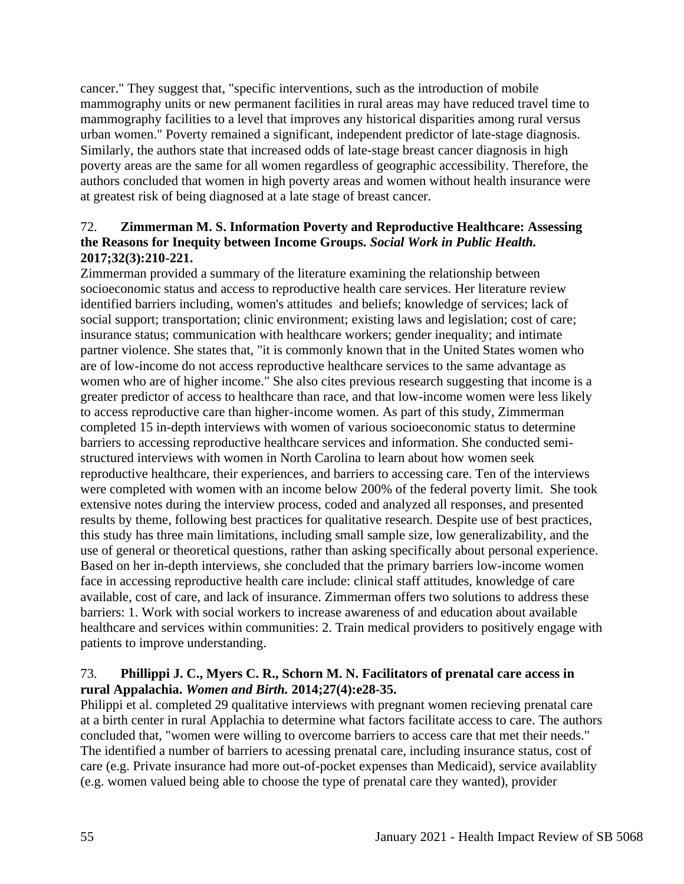cancer." They suggest that, "specific interventions, such as the introduction of mobile mammography units or new permanent facilities in rural areas may have reduced travel time to mammography facilities to a level that improves any historical disparities among rural versus urban women." Poverty remained a significant, independent predictor of late-stage diagnosis. Similarly, the authors state that increased odds of late-stage breast cancer diagnosis in high poverty areas are the same for all women regardless of geographic accessibility. Therefore, the authors concluded that women in high poverty areas and women without health insurance were at greatest risk of being diagnosed at a late stage of breast cancer.

# 72. **Zimmerman M. S. Information Poverty and Reproductive Healthcare: Assessing the Reasons for Inequity between Income Groups.** *Social Work in Public Health.*  **2017;32(3):210-221.**

Zimmerman provided a summary of the literature examining the relationship between socioeconomic status and access to reproductive health care services. Her literature review identified barriers including, women's attitudes and beliefs; knowledge of services; lack of social support; transportation; clinic environment; existing laws and legislation; cost of care; insurance status; communication with healthcare workers; gender inequality; and intimate partner violence. She states that, "it is commonly known that in the United States women who are of low-income do not access reproductive healthcare services to the same advantage as women who are of higher income." She also cites previous research suggesting that income is a greater predictor of access to healthcare than race, and that low-income women were less likely to access reproductive care than higher-income women. As part of this study, Zimmerman completed 15 in-depth interviews with women of various socioeconomic status to determine barriers to accessing reproductive healthcare services and information. She conducted semistructured interviews with women in North Carolina to learn about how women seek reproductive healthcare, their experiences, and barriers to accessing care. Ten of the interviews were completed with women with an income below 200% of the federal poverty limit. She took extensive notes during the interview process, coded and analyzed all responses, and presented results by theme, following best practices for qualitative research. Despite use of best practices, this study has three main limitations, including small sample size, low generalizability, and the use of general or theoretical questions, rather than asking specifically about personal experience. Based on her in-depth interviews, she concluded that the primary barriers low-income women face in accessing reproductive health care include: clinical staff attitudes, knowledge of care available, cost of care, and lack of insurance. Zimmerman offers two solutions to address these barriers: 1. Work with social workers to increase awareness of and education about available healthcare and services within communities: 2. Train medical providers to positively engage with patients to improve understanding.

# 73. **Phillippi J. C., Myers C. R., Schorn M. N. Facilitators of prenatal care access in rural Appalachia.** *Women and Birth.* **2014;27(4):e28-35.**

Philippi et al. completed 29 qualitative interviews with pregnant women recieving prenatal care at a birth center in rural Applachia to determine what factors facilitate access to care. The authors concluded that, "women were willing to overcome barriers to access care that met their needs." The identified a number of barriers to acessing prenatal care, including insurance status, cost of care (e.g. Private insurance had more out-of-pocket expenses than Medicaid), service availablity (e.g. women valued being able to choose the type of prenatal care they wanted), provider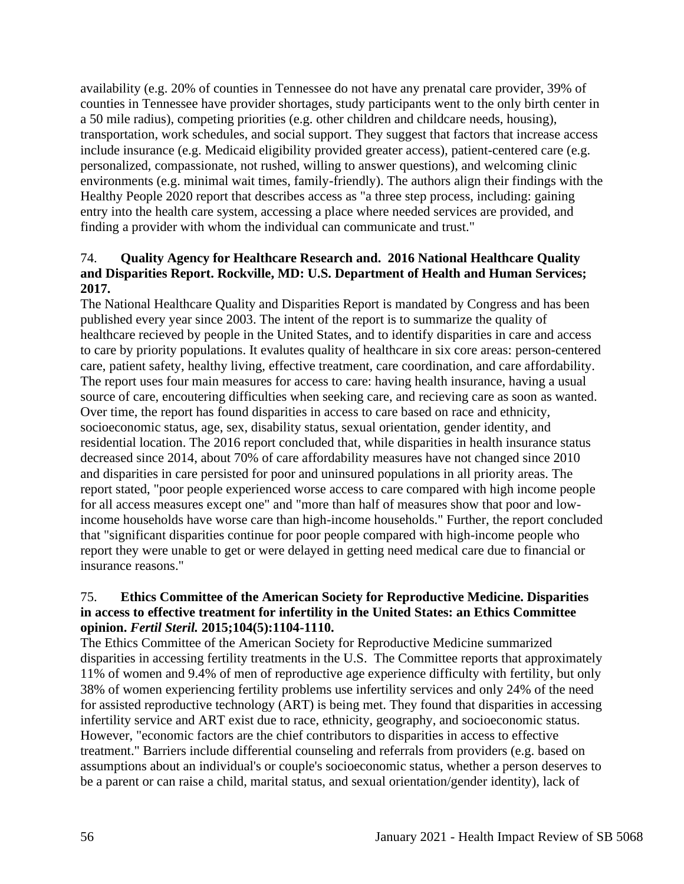availability (e.g. 20% of counties in Tennessee do not have any prenatal care provider, 39% of counties in Tennessee have provider shortages, study participants went to the only birth center in a 50 mile radius), competing priorities (e.g. other children and childcare needs, housing), transportation, work schedules, and social support. They suggest that factors that increase access include insurance (e.g. Medicaid eligibility provided greater access), patient-centered care (e.g. personalized, compassionate, not rushed, willing to answer questions), and welcoming clinic environments (e.g. minimal wait times, family-friendly). The authors align their findings with the Healthy People 2020 report that describes access as "a three step process, including: gaining entry into the health care system, accessing a place where needed services are provided, and finding a provider with whom the individual can communicate and trust."

## 74. **Quality Agency for Healthcare Research and. 2016 National Healthcare Quality and Disparities Report. Rockville, MD: U.S. Department of Health and Human Services; 2017.**

The National Healthcare Quality and Disparities Report is mandated by Congress and has been published every year since 2003. The intent of the report is to summarize the quality of healthcare recieved by people in the United States, and to identify disparities in care and access to care by priority populations. It evalutes quality of healthcare in six core areas: person-centered care, patient safety, healthy living, effective treatment, care coordination, and care affordability. The report uses four main measures for access to care: having health insurance, having a usual source of care, encoutering difficulties when seeking care, and recieving care as soon as wanted. Over time, the report has found disparities in access to care based on race and ethnicity, socioeconomic status, age, sex, disability status, sexual orientation, gender identity, and residential location. The 2016 report concluded that, while disparities in health insurance status decreased since 2014, about 70% of care affordability measures have not changed since 2010 and disparities in care persisted for poor and uninsured populations in all priority areas. The report stated, "poor people experienced worse access to care compared with high income people for all access measures except one" and "more than half of measures show that poor and lowincome households have worse care than high-income households." Further, the report concluded that "significant disparities continue for poor people compared with high-income people who report they were unable to get or were delayed in getting need medical care due to financial or insurance reasons."

## 75. **Ethics Committee of the American Society for Reproductive Medicine. Disparities in access to effective treatment for infertility in the United States: an Ethics Committee opinion.** *Fertil Steril.* **2015;104(5):1104-1110.**

The Ethics Committee of the American Society for Reproductive Medicine summarized disparities in accessing fertility treatments in the U.S. The Committee reports that approximately 11% of women and 9.4% of men of reproductive age experience difficulty with fertility, but only 38% of women experiencing fertility problems use infertility services and only 24% of the need for assisted reproductive technology (ART) is being met. They found that disparities in accessing infertility service and ART exist due to race, ethnicity, geography, and socioeconomic status. However, "economic factors are the chief contributors to disparities in access to effective treatment." Barriers include differential counseling and referrals from providers (e.g. based on assumptions about an individual's or couple's socioeconomic status, whether a person deserves to be a parent or can raise a child, marital status, and sexual orientation/gender identity), lack of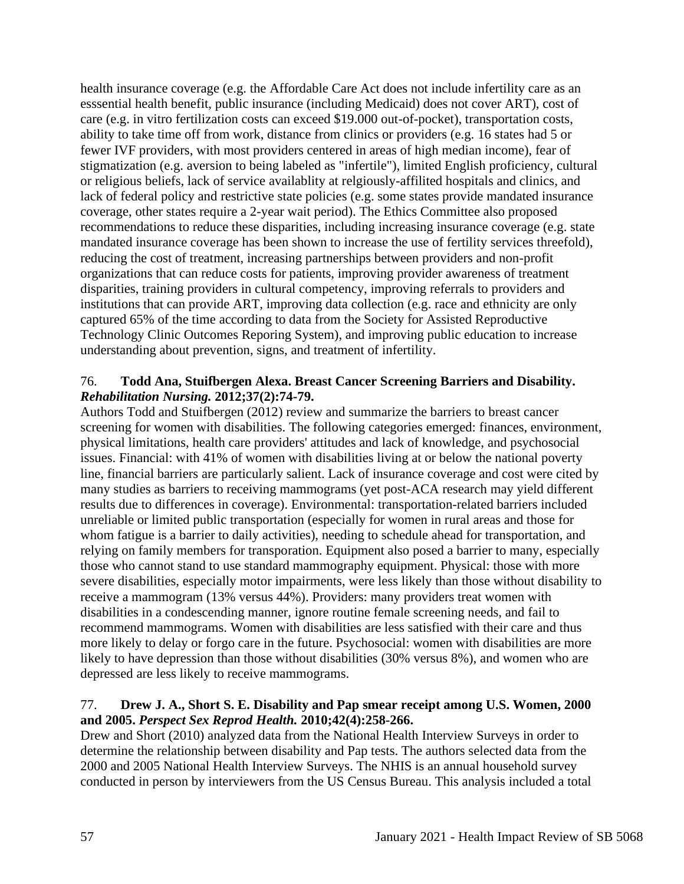health insurance coverage (e.g. the Affordable Care Act does not include infertility care as an esssential health benefit, public insurance (including Medicaid) does not cover ART), cost of care (e.g. in vitro fertilization costs can exceed \$19.000 out-of-pocket), transportation costs, ability to take time off from work, distance from clinics or providers (e.g. 16 states had 5 or fewer IVF providers, with most providers centered in areas of high median income), fear of stigmatization (e.g. aversion to being labeled as "infertile"), limited English proficiency, cultural or religious beliefs, lack of service availablity at relgiously-affilited hospitals and clinics, and lack of federal policy and restrictive state policies (e.g. some states provide mandated insurance coverage, other states require a 2-year wait period). The Ethics Committee also proposed recommendations to reduce these disparities, including increasing insurance coverage (e.g. state mandated insurance coverage has been shown to increase the use of fertility services threefold), reducing the cost of treatment, increasing partnerships between providers and non-profit organizations that can reduce costs for patients, improving provider awareness of treatment disparities, training providers in cultural competency, improving referrals to providers and institutions that can provide ART, improving data collection (e.g. race and ethnicity are only captured 65% of the time according to data from the Society for Assisted Reproductive Technology Clinic Outcomes Reporing System), and improving public education to increase understanding about prevention, signs, and treatment of infertility.

#### 76. **Todd Ana, Stuifbergen Alexa. Breast Cancer Screening Barriers and Disability.**  *Rehabilitation Nursing.* **2012;37(2):74-79.**

Authors Todd and Stuifbergen (2012) review and summarize the barriers to breast cancer screening for women with disabilities. The following categories emerged: finances, environment, physical limitations, health care providers' attitudes and lack of knowledge, and psychosocial issues. Financial: with 41% of women with disabilities living at or below the national poverty line, financial barriers are particularly salient. Lack of insurance coverage and cost were cited by many studies as barriers to receiving mammograms (yet post-ACA research may yield different results due to differences in coverage). Environmental: transportation-related barriers included unreliable or limited public transportation (especially for women in rural areas and those for whom fatigue is a barrier to daily activities), needing to schedule ahead for transportation, and relying on family members for transporation. Equipment also posed a barrier to many, especially those who cannot stand to use standard mammography equipment. Physical: those with more severe disabilities, especially motor impairments, were less likely than those without disability to receive a mammogram (13% versus 44%). Providers: many providers treat women with disabilities in a condescending manner, ignore routine female screening needs, and fail to recommend mammograms. Women with disabilities are less satisfied with their care and thus more likely to delay or forgo care in the future. Psychosocial: women with disabilities are more likely to have depression than those without disabilities (30% versus 8%), and women who are depressed are less likely to receive mammograms.

## 77. **Drew J. A., Short S. E. Disability and Pap smear receipt among U.S. Women, 2000 and 2005.** *Perspect Sex Reprod Health.* **2010;42(4):258-266.**

Drew and Short (2010) analyzed data from the National Health Interview Surveys in order to determine the relationship between disability and Pap tests. The authors selected data from the 2000 and 2005 National Health Interview Surveys. The NHIS is an annual household survey conducted in person by interviewers from the US Census Bureau. This analysis included a total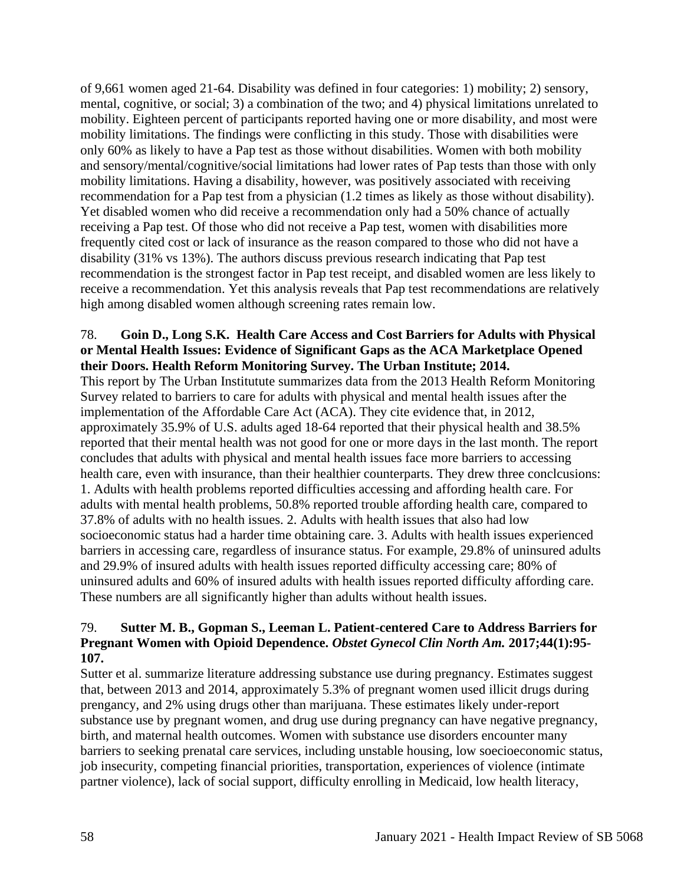of 9,661 women aged 21-64. Disability was defined in four categories: 1) mobility; 2) sensory, mental, cognitive, or social; 3) a combination of the two; and 4) physical limitations unrelated to mobility. Eighteen percent of participants reported having one or more disability, and most were mobility limitations. The findings were conflicting in this study. Those with disabilities were only 60% as likely to have a Pap test as those without disabilities. Women with both mobility and sensory/mental/cognitive/social limitations had lower rates of Pap tests than those with only mobility limitations. Having a disability, however, was positively associated with receiving recommendation for a Pap test from a physician (1.2 times as likely as those without disability). Yet disabled women who did receive a recommendation only had a 50% chance of actually receiving a Pap test. Of those who did not receive a Pap test, women with disabilities more frequently cited cost or lack of insurance as the reason compared to those who did not have a disability (31% vs 13%). The authors discuss previous research indicating that Pap test recommendation is the strongest factor in Pap test receipt, and disabled women are less likely to receive a recommendation. Yet this analysis reveals that Pap test recommendations are relatively high among disabled women although screening rates remain low.

#### 78. **Goin D., Long S.K. Health Care Access and Cost Barriers for Adults with Physical or Mental Health Issues: Evidence of Significant Gaps as the ACA Marketplace Opened their Doors. Health Reform Monitoring Survey. The Urban Institute; 2014.**

This report by The Urban Institutute summarizes data from the 2013 Health Reform Monitoring Survey related to barriers to care for adults with physical and mental health issues after the implementation of the Affordable Care Act (ACA). They cite evidence that, in 2012, approximately 35.9% of U.S. adults aged 18-64 reported that their physical health and 38.5% reported that their mental health was not good for one or more days in the last month. The report concludes that adults with physical and mental health issues face more barriers to accessing health care, even with insurance, than their healthier counterparts. They drew three conclcusions: 1. Adults with health problems reported difficulties accessing and affording health care. For adults with mental health problems, 50.8% reported trouble affording health care, compared to 37.8% of adults with no health issues. 2. Adults with health issues that also had low socioeconomic status had a harder time obtaining care. 3. Adults with health issues experienced barriers in accessing care, regardless of insurance status. For example, 29.8% of uninsured adults and 29.9% of insured adults with health issues reported difficulty accessing care; 80% of uninsured adults and 60% of insured adults with health issues reported difficulty affording care. These numbers are all significantly higher than adults without health issues.

## 79. **Sutter M. B., Gopman S., Leeman L. Patient-centered Care to Address Barriers for Pregnant Women with Opioid Dependence.** *Obstet Gynecol Clin North Am.* **2017;44(1):95- 107.**

Sutter et al. summarize literature addressing substance use during pregnancy. Estimates suggest that, between 2013 and 2014, approximately 5.3% of pregnant women used illicit drugs during prengancy, and 2% using drugs other than marijuana. These estimates likely under-report substance use by pregnant women, and drug use during pregnancy can have negative pregnancy, birth, and maternal health outcomes. Women with substance use disorders encounter many barriers to seeking prenatal care services, including unstable housing, low soecioeconomic status, job insecurity, competing financial priorities, transportation, experiences of violence (intimate partner violence), lack of social support, difficulty enrolling in Medicaid, low health literacy,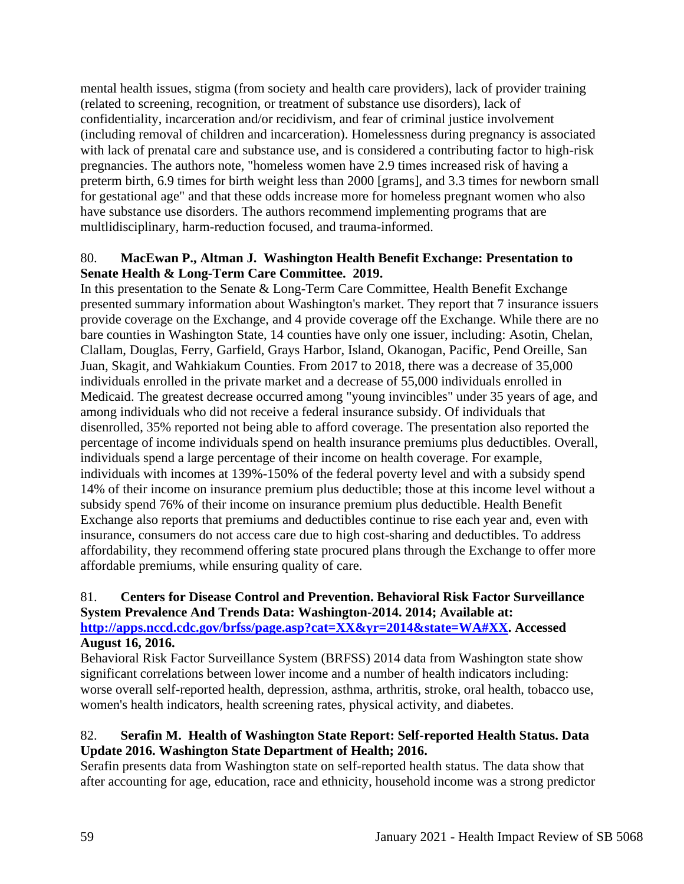mental health issues, stigma (from society and health care providers), lack of provider training (related to screening, recognition, or treatment of substance use disorders), lack of confidentiality, incarceration and/or recidivism, and fear of criminal justice involvement (including removal of children and incarceration). Homelessness during pregnancy is associated with lack of prenatal care and substance use, and is considered a contributing factor to high-risk pregnancies. The authors note, "homeless women have 2.9 times increased risk of having a preterm birth, 6.9 times for birth weight less than 2000 [grams], and 3.3 times for newborn small for gestational age" and that these odds increase more for homeless pregnant women who also have substance use disorders. The authors recommend implementing programs that are multlidisciplinary, harm-reduction focused, and trauma-informed.

# 80. **MacEwan P., Altman J. Washington Health Benefit Exchange: Presentation to Senate Health & Long-Term Care Committee. 2019.**

In this presentation to the Senate  $&$  Long-Term Care Committee, Health Benefit Exchange presented summary information about Washington's market. They report that 7 insurance issuers provide coverage on the Exchange, and 4 provide coverage off the Exchange. While there are no bare counties in Washington State, 14 counties have only one issuer, including: Asotin, Chelan, Clallam, Douglas, Ferry, Garfield, Grays Harbor, Island, Okanogan, Pacific, Pend Oreille, San Juan, Skagit, and Wahkiakum Counties. From 2017 to 2018, there was a decrease of 35,000 individuals enrolled in the private market and a decrease of 55,000 individuals enrolled in Medicaid. The greatest decrease occurred among "young invincibles" under 35 years of age, and among individuals who did not receive a federal insurance subsidy. Of individuals that disenrolled, 35% reported not being able to afford coverage. The presentation also reported the percentage of income individuals spend on health insurance premiums plus deductibles. Overall, individuals spend a large percentage of their income on health coverage. For example, individuals with incomes at 139%-150% of the federal poverty level and with a subsidy spend 14% of their income on insurance premium plus deductible; those at this income level without a subsidy spend 76% of their income on insurance premium plus deductible. Health Benefit Exchange also reports that premiums and deductibles continue to rise each year and, even with insurance, consumers do not access care due to high cost-sharing and deductibles. To address affordability, they recommend offering state procured plans through the Exchange to offer more affordable premiums, while ensuring quality of care.

# 81. **Centers for Disease Control and Prevention. Behavioral Risk Factor Surveillance System Prevalence And Trends Data: Washington-2014. 2014; Available at: [http://apps.nccd.cdc.gov/brfss/page.asp?cat=XX&yr=2014&state=WA#XX.](http://apps.nccd.cdc.gov/brfss/page.asp?cat=XX&yr=2014&state=WA#XX) Accessed**

#### **August 16, 2016.**

Behavioral Risk Factor Surveillance System (BRFSS) 2014 data from Washington state show significant correlations between lower income and a number of health indicators including: worse overall self-reported health, depression, asthma, arthritis, stroke, oral health, tobacco use, women's health indicators, health screening rates, physical activity, and diabetes.

## 82. **Serafin M. Health of Washington State Report: Self-reported Health Status. Data Update 2016. Washington State Department of Health; 2016.**

Serafin presents data from Washington state on self-reported health status. The data show that after accounting for age, education, race and ethnicity, household income was a strong predictor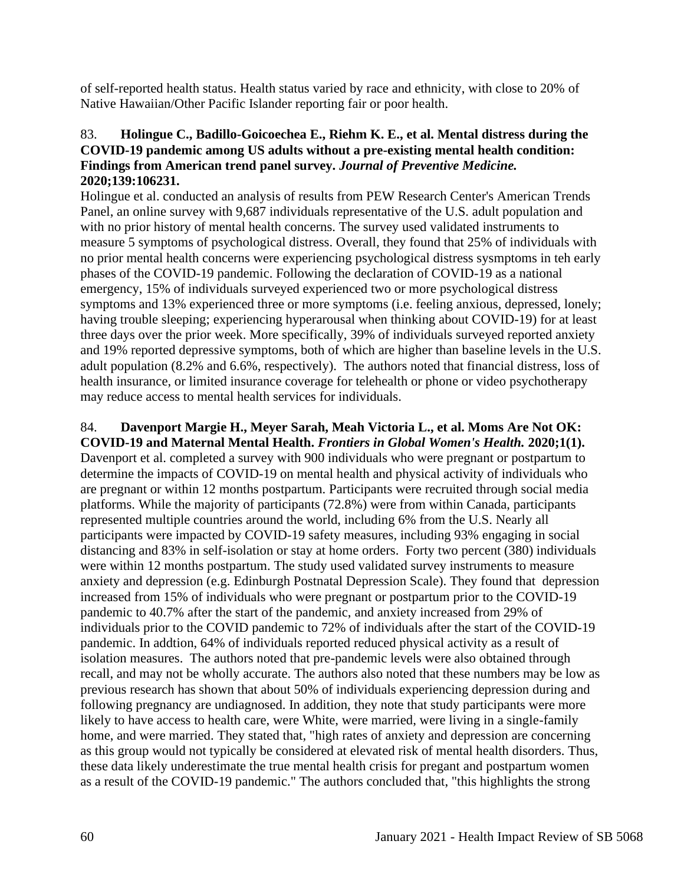of self-reported health status. Health status varied by race and ethnicity, with close to 20% of Native Hawaiian/Other Pacific Islander reporting fair or poor health.

#### 83. **Holingue C., Badillo-Goicoechea E., Riehm K. E., et al. Mental distress during the COVID-19 pandemic among US adults without a pre-existing mental health condition: Findings from American trend panel survey.** *Journal of Preventive Medicine.*  **2020;139:106231.**

Holingue et al. conducted an analysis of results from PEW Research Center's American Trends Panel, an online survey with 9,687 individuals representative of the U.S. adult population and with no prior history of mental health concerns. The survey used validated instruments to measure 5 symptoms of psychological distress. Overall, they found that 25% of individuals with no prior mental health concerns were experiencing psychological distress sysmptoms in teh early phases of the COVID-19 pandemic. Following the declaration of COVID-19 as a national emergency, 15% of individuals surveyed experienced two or more psychological distress symptoms and 13% experienced three or more symptoms (i.e. feeling anxious, depressed, lonely; having trouble sleeping; experiencing hyperarousal when thinking about COVID-19) for at least three days over the prior week. More specifically, 39% of individuals surveyed reported anxiety and 19% reported depressive symptoms, both of which are higher than baseline levels in the U.S. adult population (8.2% and 6.6%, respectively). The authors noted that financial distress, loss of health insurance, or limited insurance coverage for telehealth or phone or video psychotherapy may reduce access to mental health services for individuals.

# 84. **Davenport Margie H., Meyer Sarah, Meah Victoria L., et al. Moms Are Not OK:**

**COVID-19 and Maternal Mental Health.** *Frontiers in Global Women's Health.* **2020;1(1).** Davenport et al. completed a survey with 900 individuals who were pregnant or postpartum to determine the impacts of COVID-19 on mental health and physical activity of individuals who are pregnant or within 12 months postpartum. Participants were recruited through social media platforms. While the majority of participants (72.8%) were from within Canada, participants represented multiple countries around the world, including 6% from the U.S. Nearly all participants were impacted by COVID-19 safety measures, including 93% engaging in social distancing and 83% in self-isolation or stay at home orders. Forty two percent (380) individuals were within 12 months postpartum. The study used validated survey instruments to measure anxiety and depression (e.g. Edinburgh Postnatal Depression Scale). They found that depression increased from 15% of individuals who were pregnant or postpartum prior to the COVID-19 pandemic to 40.7% after the start of the pandemic, and anxiety increased from 29% of individuals prior to the COVID pandemic to 72% of individuals after the start of the COVID-19 pandemic. In addtion, 64% of individuals reported reduced physical activity as a result of isolation measures. The authors noted that pre-pandemic levels were also obtained through recall, and may not be wholly accurate. The authors also noted that these numbers may be low as previous research has shown that about 50% of individuals experiencing depression during and following pregnancy are undiagnosed. In addition, they note that study participants were more likely to have access to health care, were White, were married, were living in a single-family home, and were married. They stated that, "high rates of anxiety and depression are concerning as this group would not typically be considered at elevated risk of mental health disorders. Thus, these data likely underestimate the true mental health crisis for pregant and postpartum women as a result of the COVID-19 pandemic." The authors concluded that, "this highlights the strong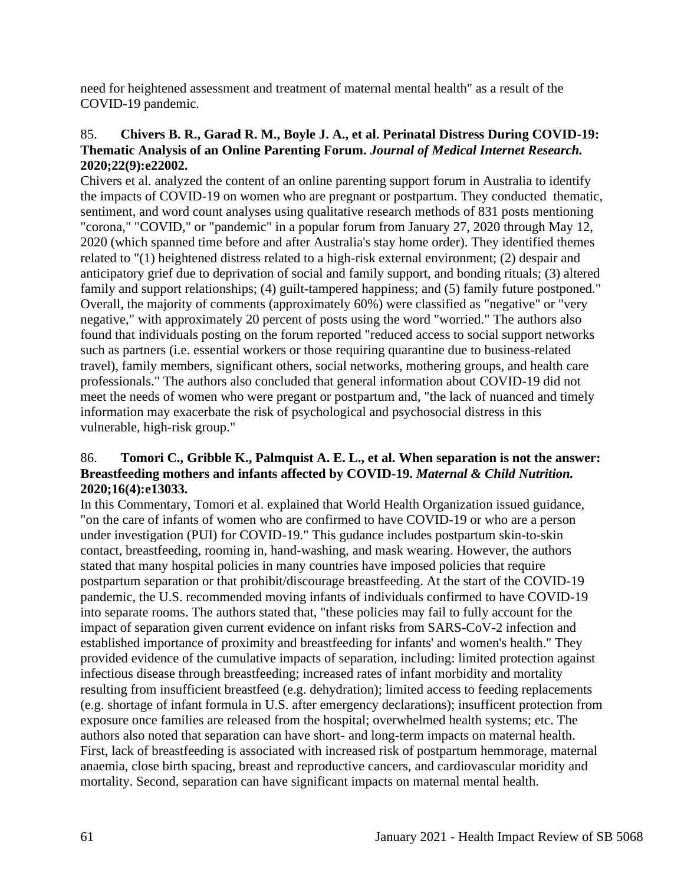need for heightened assessment and treatment of maternal mental health" as a result of the COVID-19 pandemic.

## 85. **Chivers B. R., Garad R. M., Boyle J. A., et al. Perinatal Distress During COVID-19: Thematic Analysis of an Online Parenting Forum.** *Journal of Medical Internet Research.*  **2020;22(9):e22002.**

Chivers et al. analyzed the content of an online parenting support forum in Australia to identify the impacts of COVID-19 on women who are pregnant or postpartum. They conducted thematic, sentiment, and word count analyses using qualitative research methods of 831 posts mentioning "corona," "COVID," or "pandemic" in a popular forum from January 27, 2020 through May 12, 2020 (which spanned time before and after Australia's stay home order). They identified themes related to "(1) heightened distress related to a high-risk external environment; (2) despair and anticipatory grief due to deprivation of social and family support, and bonding rituals; (3) altered family and support relationships; (4) guilt-tampered happiness; and (5) family future postponed." Overall, the majority of comments (approximately 60%) were classified as "negative" or "very negative," with approximately 20 percent of posts using the word "worried." The authors also found that individuals posting on the forum reported "reduced access to social support networks such as partners (i.e. essential workers or those requiring quarantine due to business-related travel), family members, significant others, social networks, mothering groups, and health care professionals." The authors also concluded that general information about COVID-19 did not meet the needs of women who were pregant or postpartum and, "the lack of nuanced and timely information may exacerbate the risk of psychological and psychosocial distress in this vulnerable, high-risk group."

#### 86. **Tomori C., Gribble K., Palmquist A. E. L., et al. When separation is not the answer: Breastfeeding mothers and infants affected by COVID-19.** *Maternal & Child Nutrition.*  **2020;16(4):e13033.**

In this Commentary, Tomori et al. explained that World Health Organization issued guidance, "on the care of infants of women who are confirmed to have COVID-19 or who are a person under investigation (PUI) for COVID-19." This gudance includes postpartum skin-to-skin contact, breastfeeding, rooming in, hand-washing, and mask wearing. However, the authors stated that many hospital policies in many countries have imposed policies that require postpartum separation or that prohibit/discourage breastfeeding. At the start of the COVID-19 pandemic, the U.S. recommended moving infants of individuals confirmed to have COVID-19 into separate rooms. The authors stated that, "these policies may fail to fully account for the impact of separation given current evidence on infant risks from SARS-CoV-2 infection and established importance of proximity and breastfeeding for infants' and women's health." They provided evidence of the cumulative impacts of separation, including: limited protection against infectious disease through breastfeeding; increased rates of infant morbidity and mortality resulting from insufficient breastfeed (e.g. dehydration); limited access to feeding replacements (e.g. shortage of infant formula in U.S. after emergency declarations); insufficent protection from exposure once families are released from the hospital; overwhelmed health systems; etc. The authors also noted that separation can have short- and long-term impacts on maternal health. First, lack of breastfeeding is associated with increased risk of postpartum hemmorage, maternal anaemia, close birth spacing, breast and reproductive cancers, and cardiovascular moridity and mortality. Second, separation can have significant impacts on maternal mental health.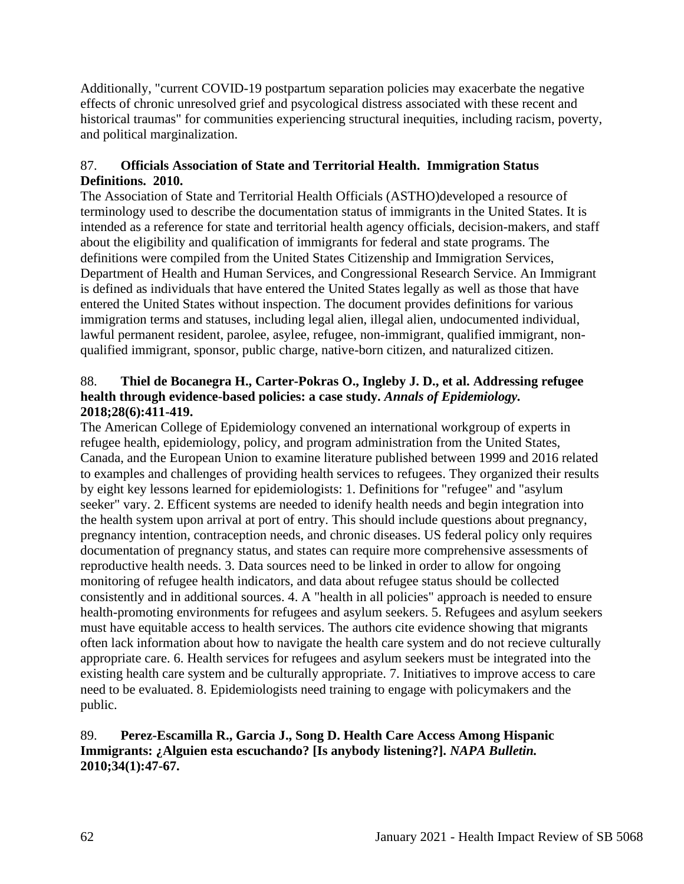Additionally, "current COVID-19 postpartum separation policies may exacerbate the negative effects of chronic unresolved grief and psycological distress associated with these recent and historical traumas" for communities experiencing structural inequities, including racism, poverty, and political marginalization.

## 87. **Officials Association of State and Territorial Health. Immigration Status Definitions. 2010.**

The Association of State and Territorial Health Officials (ASTHO)developed a resource of terminology used to describe the documentation status of immigrants in the United States. It is intended as a reference for state and territorial health agency officials, decision-makers, and staff about the eligibility and qualification of immigrants for federal and state programs. The definitions were compiled from the United States Citizenship and Immigration Services, Department of Health and Human Services, and Congressional Research Service. An Immigrant is defined as individuals that have entered the United States legally as well as those that have entered the United States without inspection. The document provides definitions for various immigration terms and statuses, including legal alien, illegal alien, undocumented individual, lawful permanent resident, parolee, asylee, refugee, non-immigrant, qualified immigrant, nonqualified immigrant, sponsor, public charge, native-born citizen, and naturalized citizen.

# 88. **Thiel de Bocanegra H., Carter-Pokras O., Ingleby J. D., et al. Addressing refugee health through evidence-based policies: a case study.** *Annals of Epidemiology.*  **2018;28(6):411-419.**

The American College of Epidemiology convened an international workgroup of experts in refugee health, epidemiology, policy, and program administration from the United States, Canada, and the European Union to examine literature published between 1999 and 2016 related to examples and challenges of providing health services to refugees. They organized their results by eight key lessons learned for epidemiologists: 1. Definitions for "refugee" and "asylum seeker" vary. 2. Efficent systems are needed to idenify health needs and begin integration into the health system upon arrival at port of entry. This should include questions about pregnancy, pregnancy intention, contraception needs, and chronic diseases. US federal policy only requires documentation of pregnancy status, and states can require more comprehensive assessments of reproductive health needs. 3. Data sources need to be linked in order to allow for ongoing monitoring of refugee health indicators, and data about refugee status should be collected consistently and in additional sources. 4. A "health in all policies" approach is needed to ensure health-promoting environments for refugees and asylum seekers. 5. Refugees and asylum seekers must have equitable access to health services. The authors cite evidence showing that migrants often lack information about how to navigate the health care system and do not recieve culturally appropriate care. 6. Health services for refugees and asylum seekers must be integrated into the existing health care system and be culturally appropriate. 7. Initiatives to improve access to care need to be evaluated. 8. Epidemiologists need training to engage with policymakers and the public.

## 89. **Perez-Escamilla R., Garcia J., Song D. Health Care Access Among Hispanic Immigrants: ¿Alguien esta escuchando? [Is anybody listening?].** *NAPA Bulletin.*  **2010;34(1):47-67.**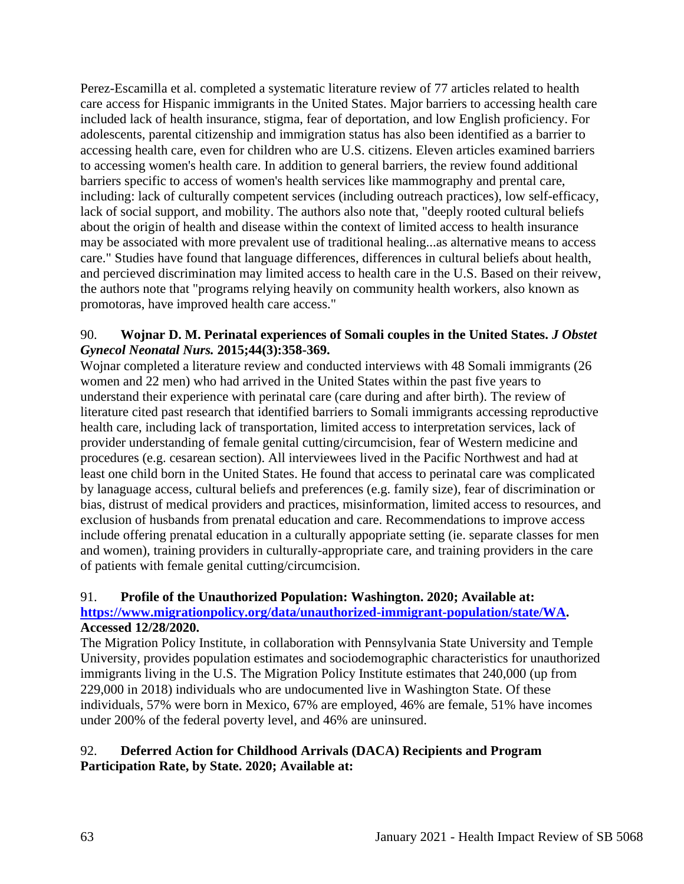Perez-Escamilla et al. completed a systematic literature review of 77 articles related to health care access for Hispanic immigrants in the United States. Major barriers to accessing health care included lack of health insurance, stigma, fear of deportation, and low English proficiency. For adolescents, parental citizenship and immigration status has also been identified as a barrier to accessing health care, even for children who are U.S. citizens. Eleven articles examined barriers to accessing women's health care. In addition to general barriers, the review found additional barriers specific to access of women's health services like mammography and prental care, including: lack of culturally competent services (including outreach practices), low self-efficacy, lack of social support, and mobility. The authors also note that, "deeply rooted cultural beliefs about the origin of health and disease within the context of limited access to health insurance may be associated with more prevalent use of traditional healing...as alternative means to access care." Studies have found that language differences, differences in cultural beliefs about health, and percieved discrimination may limited access to health care in the U.S. Based on their reivew, the authors note that "programs relying heavily on community health workers, also known as promotoras, have improved health care access."

## 90. **Wojnar D. M. Perinatal experiences of Somali couples in the United States.** *J Obstet Gynecol Neonatal Nurs.* **2015;44(3):358-369.**

Wojnar completed a literature review and conducted interviews with 48 Somali immigrants (26 women and 22 men) who had arrived in the United States within the past five years to understand their experience with perinatal care (care during and after birth). The review of literature cited past research that identified barriers to Somali immigrants accessing reproductive health care, including lack of transportation, limited access to interpretation services, lack of provider understanding of female genital cutting/circumcision, fear of Western medicine and procedures (e.g. cesarean section). All interviewees lived in the Pacific Northwest and had at least one child born in the United States. He found that access to perinatal care was complicated by lanaguage access, cultural beliefs and preferences (e.g. family size), fear of discrimination or bias, distrust of medical providers and practices, misinformation, limited access to resources, and exclusion of husbands from prenatal education and care. Recommendations to improve access include offering prenatal education in a culturally appopriate setting (ie. separate classes for men and women), training providers in culturally-appropriate care, and training providers in the care of patients with female genital cutting/circumcision.

# 91. **Profile of the Unauthorized Population: Washington. 2020; Available at: [https://www.migrationpolicy.org/data/unauthorized-immigrant-population/state/WA.](https://www.migrationpolicy.org/data/unauthorized-immigrant-population/state/WA) Accessed 12/28/2020.**

The Migration Policy Institute, in collaboration with Pennsylvania State University and Temple University, provides population estimates and sociodemographic characteristics for unauthorized immigrants living in the U.S. The Migration Policy Institute estimates that 240,000 (up from 229,000 in 2018) individuals who are undocumented live in Washington State. Of these individuals, 57% were born in Mexico, 67% are employed, 46% are female, 51% have incomes under 200% of the federal poverty level, and 46% are uninsured.

# 92. **Deferred Action for Childhood Arrivals (DACA) Recipients and Program Participation Rate, by State. 2020; Available at:**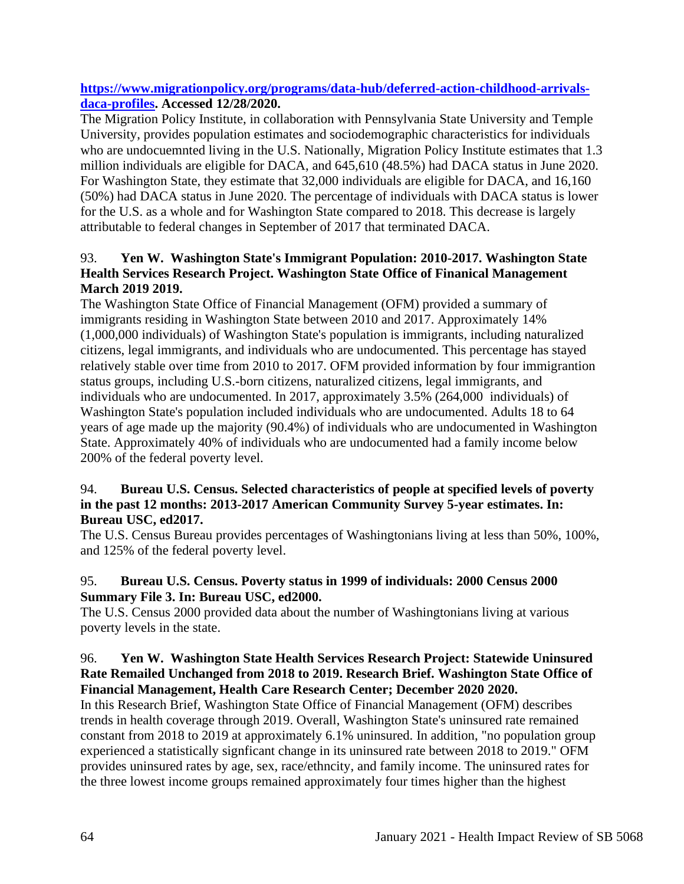## **[https://www.migrationpolicy.org/programs/data-hub/deferred-action-childhood-arrivals](https://www.migrationpolicy.org/programs/data-hub/deferred-action-childhood-arrivals-daca-profiles)[daca-profiles.](https://www.migrationpolicy.org/programs/data-hub/deferred-action-childhood-arrivals-daca-profiles) Accessed 12/28/2020.**

The Migration Policy Institute, in collaboration with Pennsylvania State University and Temple University, provides population estimates and sociodemographic characteristics for individuals who are undocuemnted living in the U.S. Nationally, Migration Policy Institute estimates that 1.3 million individuals are eligible for DACA, and 645,610 (48.5%) had DACA status in June 2020. For Washington State, they estimate that 32,000 individuals are eligible for DACA, and 16,160 (50%) had DACA status in June 2020. The percentage of individuals with DACA status is lower for the U.S. as a whole and for Washington State compared to 2018. This decrease is largely attributable to federal changes in September of 2017 that terminated DACA.

# 93. **Yen W. Washington State's Immigrant Population: 2010-2017. Washington State Health Services Research Project. Washington State Office of Finanical Management March 2019 2019.**

The Washington State Office of Financial Management (OFM) provided a summary of immigrants residing in Washington State between 2010 and 2017. Approximately 14% (1,000,000 individuals) of Washington State's population is immigrants, including naturalized citizens, legal immigrants, and individuals who are undocumented. This percentage has stayed relatively stable over time from 2010 to 2017. OFM provided information by four immigrantion status groups, including U.S.-born citizens, naturalized citizens, legal immigrants, and individuals who are undocumented. In 2017, approximately 3.5% (264,000 individuals) of Washington State's population included individuals who are undocumented. Adults 18 to 64 years of age made up the majority (90.4%) of individuals who are undocumented in Washington State. Approximately 40% of individuals who are undocumented had a family income below 200% of the federal poverty level.

## 94. **Bureau U.S. Census. Selected characteristics of people at specified levels of poverty in the past 12 months: 2013-2017 American Community Survey 5-year estimates. In: Bureau USC, ed2017.**

The U.S. Census Bureau provides percentages of Washingtonians living at less than 50%, 100%, and 125% of the federal poverty level.

## 95. **Bureau U.S. Census. Poverty status in 1999 of individuals: 2000 Census 2000 Summary File 3. In: Bureau USC, ed2000.**

The U.S. Census 2000 provided data about the number of Washingtonians living at various poverty levels in the state.

## 96. **Yen W. Washington State Health Services Research Project: Statewide Uninsured Rate Remailed Unchanged from 2018 to 2019. Research Brief. Washington State Office of Financial Management, Health Care Research Center; December 2020 2020.**

In this Research Brief, Washington State Office of Financial Management (OFM) describes trends in health coverage through 2019. Overall, Washington State's uninsured rate remained constant from 2018 to 2019 at approximately 6.1% uninsured. In addition, "no population group experienced a statistically signficant change in its uninsured rate between 2018 to 2019." OFM provides uninsured rates by age, sex, race/ethncity, and family income. The uninsured rates for the three lowest income groups remained approximately four times higher than the highest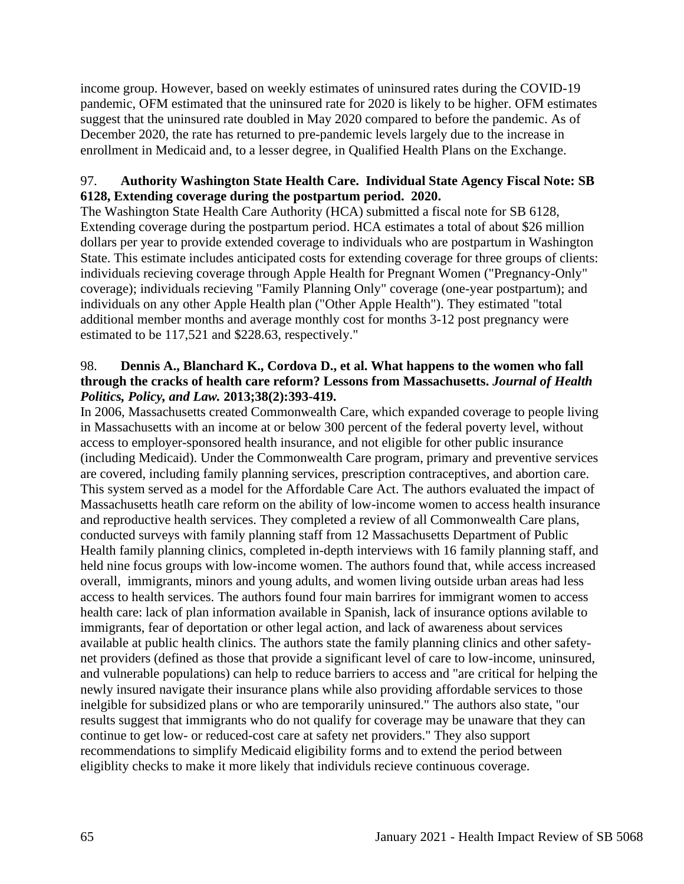income group. However, based on weekly estimates of uninsured rates during the COVID-19 pandemic, OFM estimated that the uninsured rate for 2020 is likely to be higher. OFM estimates suggest that the uninsured rate doubled in May 2020 compared to before the pandemic. As of December 2020, the rate has returned to pre-pandemic levels largely due to the increase in enrollment in Medicaid and, to a lesser degree, in Qualified Health Plans on the Exchange.

## 97. **Authority Washington State Health Care. Individual State Agency Fiscal Note: SB 6128, Extending coverage during the postpartum period. 2020.**

The Washington State Health Care Authority (HCA) submitted a fiscal note for SB 6128, Extending coverage during the postpartum period. HCA estimates a total of about \$26 million dollars per year to provide extended coverage to individuals who are postpartum in Washington State. This estimate includes anticipated costs for extending coverage for three groups of clients: individuals recieving coverage through Apple Health for Pregnant Women ("Pregnancy-Only" coverage); individuals recieving "Family Planning Only" coverage (one-year postpartum); and individuals on any other Apple Health plan ("Other Apple Health"). They estimated "total additional member months and average monthly cost for months 3-12 post pregnancy were estimated to be 117,521 and \$228.63, respectively."

#### 98. **Dennis A., Blanchard K., Cordova D., et al. What happens to the women who fall through the cracks of health care reform? Lessons from Massachusetts.** *Journal of Health Politics, Policy, and Law.* **2013;38(2):393-419.**

In 2006, Massachusetts created Commonwealth Care, which expanded coverage to people living in Massachusetts with an income at or below 300 percent of the federal poverty level, without access to employer-sponsored health insurance, and not eligible for other public insurance (including Medicaid). Under the Commonwealth Care program, primary and preventive services are covered, including family planning services, prescription contraceptives, and abortion care. This system served as a model for the Affordable Care Act. The authors evaluated the impact of Massachusetts heatlh care reform on the ability of low-income women to access health insurance and reproductive health services. They completed a review of all Commonwealth Care plans, conducted surveys with family planning staff from 12 Massachusetts Department of Public Health family planning clinics, completed in-depth interviews with 16 family planning staff, and held nine focus groups with low-income women. The authors found that, while access increased overall, immigrants, minors and young adults, and women living outside urban areas had less access to health services. The authors found four main barrires for immigrant women to access health care: lack of plan information available in Spanish, lack of insurance options avilable to immigrants, fear of deportation or other legal action, and lack of awareness about services available at public health clinics. The authors state the family planning clinics and other safetynet providers (defined as those that provide a significant level of care to low-income, uninsured, and vulnerable populations) can help to reduce barriers to access and "are critical for helping the newly insured navigate their insurance plans while also providing affordable services to those inelgible for subsidized plans or who are temporarily uninsured." The authors also state, "our results suggest that immigrants who do not qualify for coverage may be unaware that they can continue to get low- or reduced-cost care at safety net providers." They also support recommendations to simplify Medicaid eligibility forms and to extend the period between eligiblity checks to make it more likely that individuls recieve continuous coverage.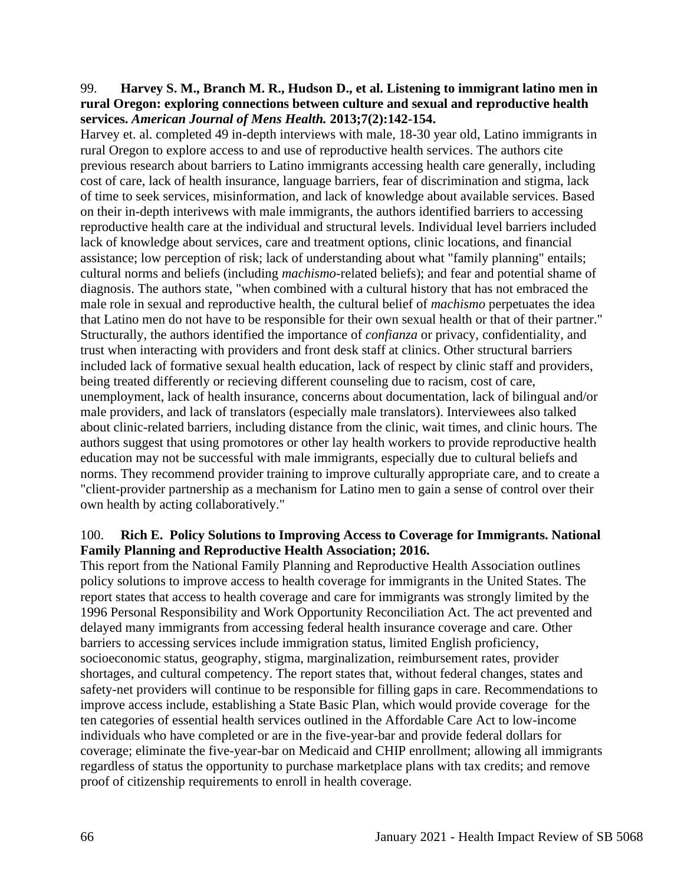#### 99. **Harvey S. M., Branch M. R., Hudson D., et al. Listening to immigrant latino men in rural Oregon: exploring connections between culture and sexual and reproductive health services.** *American Journal of Mens Health.* **2013;7(2):142-154.**

Harvey et. al. completed 49 in-depth interviews with male, 18-30 year old, Latino immigrants in rural Oregon to explore access to and use of reproductive health services. The authors cite previous research about barriers to Latino immigrants accessing health care generally, including cost of care, lack of health insurance, language barriers, fear of discrimination and stigma, lack of time to seek services, misinformation, and lack of knowledge about available services. Based on their in-depth interivews with male immigrants, the authors identified barriers to accessing reproductive health care at the individual and structural levels. Individual level barriers included lack of knowledge about services, care and treatment options, clinic locations, and financial assistance; low perception of risk; lack of understanding about what "family planning" entails; cultural norms and beliefs (including *machismo*-related beliefs); and fear and potential shame of diagnosis. The authors state, "when combined with a cultural history that has not embraced the male role in sexual and reproductive health, the cultural belief of *machismo* perpetuates the idea that Latino men do not have to be responsible for their own sexual health or that of their partner." Structurally, the authors identified the importance of *confianza* or privacy, confidentiality, and trust when interacting with providers and front desk staff at clinics. Other structural barriers included lack of formative sexual health education, lack of respect by clinic staff and providers, being treated differently or recieving different counseling due to racism, cost of care, unemployment, lack of health insurance, concerns about documentation, lack of bilingual and/or male providers, and lack of translators (especially male translators). Interviewees also talked about clinic-related barriers, including distance from the clinic, wait times, and clinic hours. The authors suggest that using promotores or other lay health workers to provide reproductive health education may not be successful with male immigrants, especially due to cultural beliefs and norms. They recommend provider training to improve culturally appropriate care, and to create a "client-provider partnership as a mechanism for Latino men to gain a sense of control over their own health by acting collaboratively."

#### 100. **Rich E. Policy Solutions to Improving Access to Coverage for Immigrants. National Family Planning and Reproductive Health Association; 2016.**

This report from the National Family Planning and Reproductive Health Association outlines policy solutions to improve access to health coverage for immigrants in the United States. The report states that access to health coverage and care for immigrants was strongly limited by the 1996 Personal Responsibility and Work Opportunity Reconciliation Act. The act prevented and delayed many immigrants from accessing federal health insurance coverage and care. Other barriers to accessing services include immigration status, limited English proficiency, socioeconomic status, geography, stigma, marginalization, reimbursement rates, provider shortages, and cultural competency. The report states that, without federal changes, states and safety-net providers will continue to be responsible for filling gaps in care. Recommendations to improve access include, establishing a State Basic Plan, which would provide coverage for the ten categories of essential health services outlined in the Affordable Care Act to low-income individuals who have completed or are in the five-year-bar and provide federal dollars for coverage; eliminate the five-year-bar on Medicaid and CHIP enrollment; allowing all immigrants regardless of status the opportunity to purchase marketplace plans with tax credits; and remove proof of citizenship requirements to enroll in health coverage.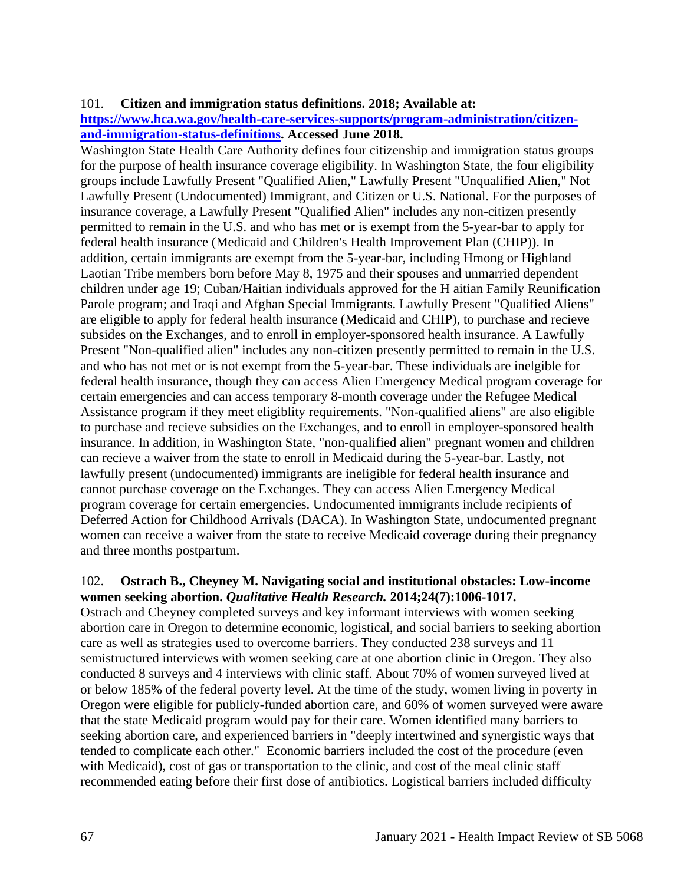#### 101. **Citizen and immigration status definitions. 2018; Available at:**

#### **[https://www.hca.wa.gov/health-care-services-supports/program-administration/citizen](https://www.hca.wa.gov/health-care-services-supports/program-administration/citizen-and-immigration-status-definitions)[and-immigration-status-definitions.](https://www.hca.wa.gov/health-care-services-supports/program-administration/citizen-and-immigration-status-definitions) Accessed June 2018.**

Washington State Health Care Authority defines four citizenship and immigration status groups for the purpose of health insurance coverage eligibility. In Washington State, the four eligibility groups include Lawfully Present "Qualified Alien," Lawfully Present "Unqualified Alien," Not Lawfully Present (Undocumented) Immigrant, and Citizen or U.S. National. For the purposes of insurance coverage, a Lawfully Present "Qualified Alien" includes any non-citizen presently permitted to remain in the U.S. and who has met or is exempt from the 5-year-bar to apply for federal health insurance (Medicaid and Children's Health Improvement Plan (CHIP)). In addition, certain immigrants are exempt from the 5-year-bar, including Hmong or Highland Laotian Tribe members born before May 8, 1975 and their spouses and unmarried dependent children under age 19; Cuban/Haitian individuals approved for the H aitian Family Reunification Parole program; and Iraqi and Afghan Special Immigrants. Lawfully Present "Qualified Aliens" are eligible to apply for federal health insurance (Medicaid and CHIP), to purchase and recieve subsides on the Exchanges, and to enroll in employer-sponsored health insurance. A Lawfully Present "Non-qualified alien" includes any non-citizen presently permitted to remain in the U.S. and who has not met or is not exempt from the 5-year-bar. These individuals are inelgible for federal health insurance, though they can access Alien Emergency Medical program coverage for certain emergencies and can access temporary 8-month coverage under the Refugee Medical Assistance program if they meet eligiblity requirements. "Non-qualified aliens" are also eligible to purchase and recieve subsidies on the Exchanges, and to enroll in employer-sponsored health insurance. In addition, in Washington State, "non-qualified alien" pregnant women and children can recieve a waiver from the state to enroll in Medicaid during the 5-year-bar. Lastly, not lawfully present (undocumented) immigrants are ineligible for federal health insurance and cannot purchase coverage on the Exchanges. They can access Alien Emergency Medical program coverage for certain emergencies. Undocumented immigrants include recipients of Deferred Action for Childhood Arrivals (DACA). In Washington State, undocumented pregnant women can receive a waiver from the state to receive Medicaid coverage during their pregnancy and three months postpartum.

#### 102. **Ostrach B., Cheyney M. Navigating social and institutional obstacles: Low-income women seeking abortion.** *Qualitative Health Research.* **2014;24(7):1006-1017.**

Ostrach and Cheyney completed surveys and key informant interviews with women seeking abortion care in Oregon to determine economic, logistical, and social barriers to seeking abortion care as well as strategies used to overcome barriers. They conducted 238 surveys and 11 semistructured interviews with women seeking care at one abortion clinic in Oregon. They also conducted 8 surveys and 4 interviews with clinic staff. About 70% of women surveyed lived at or below 185% of the federal poverty level. At the time of the study, women living in poverty in Oregon were eligible for publicly-funded abortion care, and 60% of women surveyed were aware that the state Medicaid program would pay for their care. Women identified many barriers to seeking abortion care, and experienced barriers in "deeply intertwined and synergistic ways that tended to complicate each other." Economic barriers included the cost of the procedure (even with Medicaid), cost of gas or transportation to the clinic, and cost of the meal clinic staff recommended eating before their first dose of antibiotics. Logistical barriers included difficulty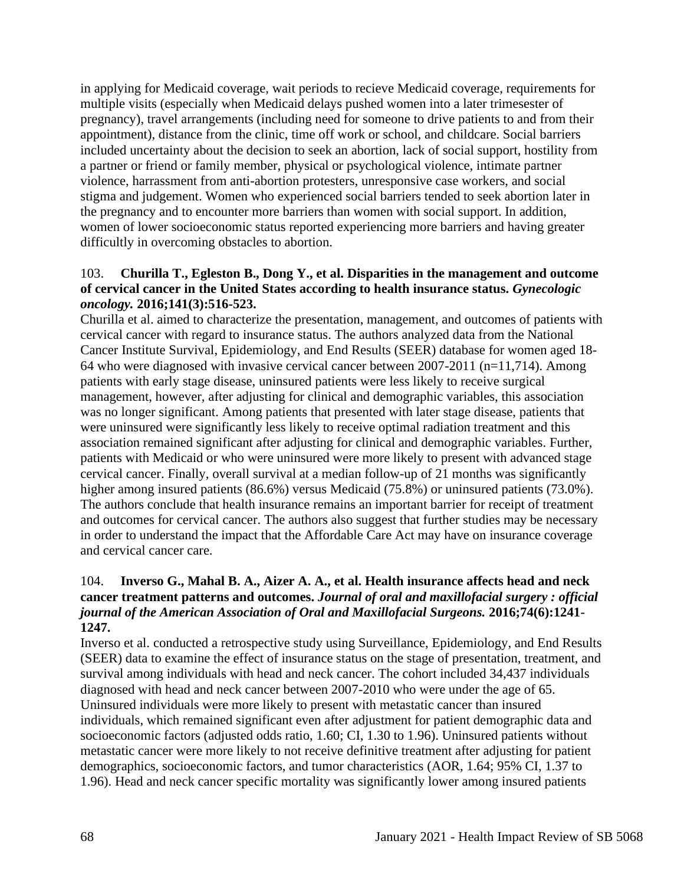in applying for Medicaid coverage, wait periods to recieve Medicaid coverage, requirements for multiple visits (especially when Medicaid delays pushed women into a later trimesester of pregnancy), travel arrangements (including need for someone to drive patients to and from their appointment), distance from the clinic, time off work or school, and childcare. Social barriers included uncertainty about the decision to seek an abortion, lack of social support, hostility from a partner or friend or family member, physical or psychological violence, intimate partner violence, harrassment from anti-abortion protesters, unresponsive case workers, and social stigma and judgement. Women who experienced social barriers tended to seek abortion later in the pregnancy and to encounter more barriers than women with social support. In addition, women of lower socioeconomic status reported experiencing more barriers and having greater difficultly in overcoming obstacles to abortion.

#### 103. **Churilla T., Egleston B., Dong Y., et al. Disparities in the management and outcome of cervical cancer in the United States according to health insurance status.** *Gynecologic oncology.* **2016;141(3):516-523.**

Churilla et al. aimed to characterize the presentation, management, and outcomes of patients with cervical cancer with regard to insurance status. The authors analyzed data from the National Cancer Institute Survival, Epidemiology, and End Results (SEER) database for women aged 18- 64 who were diagnosed with invasive cervical cancer between 2007-2011 (n=11,714). Among patients with early stage disease, uninsured patients were less likely to receive surgical management, however, after adjusting for clinical and demographic variables, this association was no longer significant. Among patients that presented with later stage disease, patients that were uninsured were significantly less likely to receive optimal radiation treatment and this association remained significant after adjusting for clinical and demographic variables. Further, patients with Medicaid or who were uninsured were more likely to present with advanced stage cervical cancer. Finally, overall survival at a median follow-up of 21 months was significantly higher among insured patients (86.6%) versus Medicaid (75.8%) or uninsured patients (73.0%). The authors conclude that health insurance remains an important barrier for receipt of treatment and outcomes for cervical cancer. The authors also suggest that further studies may be necessary in order to understand the impact that the Affordable Care Act may have on insurance coverage and cervical cancer care.

#### 104. **Inverso G., Mahal B. A., Aizer A. A., et al. Health insurance affects head and neck cancer treatment patterns and outcomes.** *Journal of oral and maxillofacial surgery : official journal of the American Association of Oral and Maxillofacial Surgeons.* **2016;74(6):1241- 1247.**

Inverso et al. conducted a retrospective study using Surveillance, Epidemiology, and End Results (SEER) data to examine the effect of insurance status on the stage of presentation, treatment, and survival among individuals with head and neck cancer. The cohort included 34,437 individuals diagnosed with head and neck cancer between 2007-2010 who were under the age of 65. Uninsured individuals were more likely to present with metastatic cancer than insured individuals, which remained significant even after adjustment for patient demographic data and socioeconomic factors (adjusted odds ratio, 1.60; CI, 1.30 to 1.96). Uninsured patients without metastatic cancer were more likely to not receive definitive treatment after adjusting for patient demographics, socioeconomic factors, and tumor characteristics (AOR, 1.64; 95% CI, 1.37 to 1.96). Head and neck cancer specific mortality was significantly lower among insured patients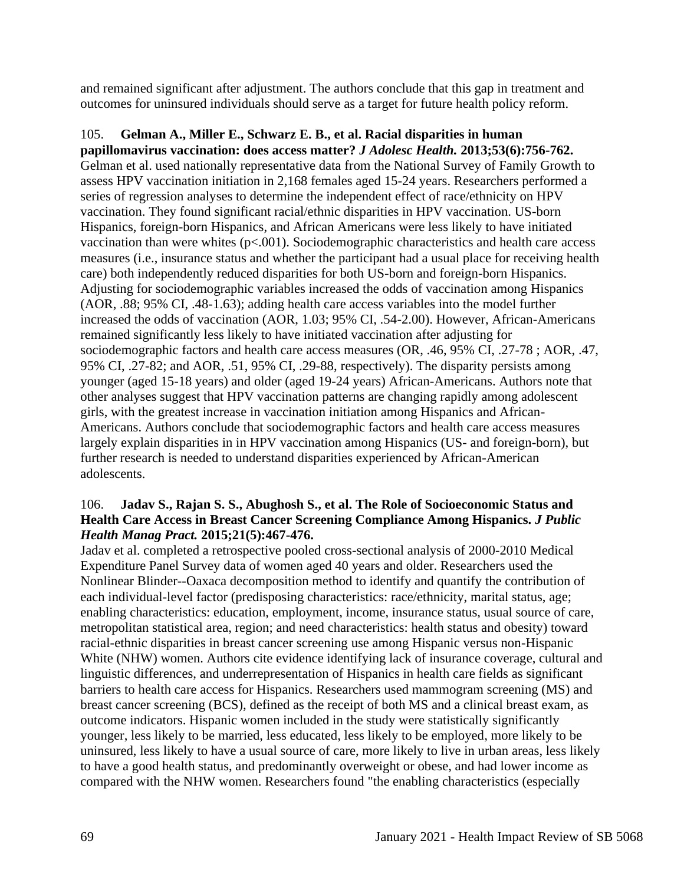and remained significant after adjustment. The authors conclude that this gap in treatment and outcomes for uninsured individuals should serve as a target for future health policy reform.

## 105. **Gelman A., Miller E., Schwarz E. B., et al. Racial disparities in human**

**papillomavirus vaccination: does access matter?** *J Adolesc Health.* **2013;53(6):756-762.** Gelman et al. used nationally representative data from the National Survey of Family Growth to assess HPV vaccination initiation in 2,168 females aged 15-24 years. Researchers performed a series of regression analyses to determine the independent effect of race/ethnicity on HPV vaccination. They found significant racial/ethnic disparities in HPV vaccination. US-born Hispanics, foreign-born Hispanics, and African Americans were less likely to have initiated vaccination than were whites  $(p<.001)$ . Sociodemographic characteristics and health care access measures (i.e., insurance status and whether the participant had a usual place for receiving health care) both independently reduced disparities for both US-born and foreign-born Hispanics. Adjusting for sociodemographic variables increased the odds of vaccination among Hispanics (AOR, .88; 95% CI, .48-1.63); adding health care access variables into the model further increased the odds of vaccination (AOR, 1.03; 95% CI, .54-2.00). However, African-Americans remained significantly less likely to have initiated vaccination after adjusting for sociodemographic factors and health care access measures (OR, .46, 95% CI, .27-78 ; AOR, .47, 95% CI, .27-82; and AOR, .51, 95% CI, .29-88, respectively). The disparity persists among younger (aged 15-18 years) and older (aged 19-24 years) African-Americans. Authors note that other analyses suggest that HPV vaccination patterns are changing rapidly among adolescent girls, with the greatest increase in vaccination initiation among Hispanics and African-Americans. Authors conclude that sociodemographic factors and health care access measures largely explain disparities in in HPV vaccination among Hispanics (US- and foreign-born), but further research is needed to understand disparities experienced by African-American adolescents.

#### 106. **Jadav S., Rajan S. S., Abughosh S., et al. The Role of Socioeconomic Status and Health Care Access in Breast Cancer Screening Compliance Among Hispanics.** *J Public Health Manag Pract.* **2015;21(5):467-476.**

Jadav et al. completed a retrospective pooled cross-sectional analysis of 2000-2010 Medical Expenditure Panel Survey data of women aged 40 years and older. Researchers used the Nonlinear Blinder--Oaxaca decomposition method to identify and quantify the contribution of each individual-level factor (predisposing characteristics: race/ethnicity, marital status, age; enabling characteristics: education, employment, income, insurance status, usual source of care, metropolitan statistical area, region; and need characteristics: health status and obesity) toward racial-ethnic disparities in breast cancer screening use among Hispanic versus non-Hispanic White (NHW) women. Authors cite evidence identifying lack of insurance coverage, cultural and linguistic differences, and underrepresentation of Hispanics in health care fields as significant barriers to health care access for Hispanics. Researchers used mammogram screening (MS) and breast cancer screening (BCS), defined as the receipt of both MS and a clinical breast exam, as outcome indicators. Hispanic women included in the study were statistically significantly younger, less likely to be married, less educated, less likely to be employed, more likely to be uninsured, less likely to have a usual source of care, more likely to live in urban areas, less likely to have a good health status, and predominantly overweight or obese, and had lower income as compared with the NHW women. Researchers found "the enabling characteristics (especially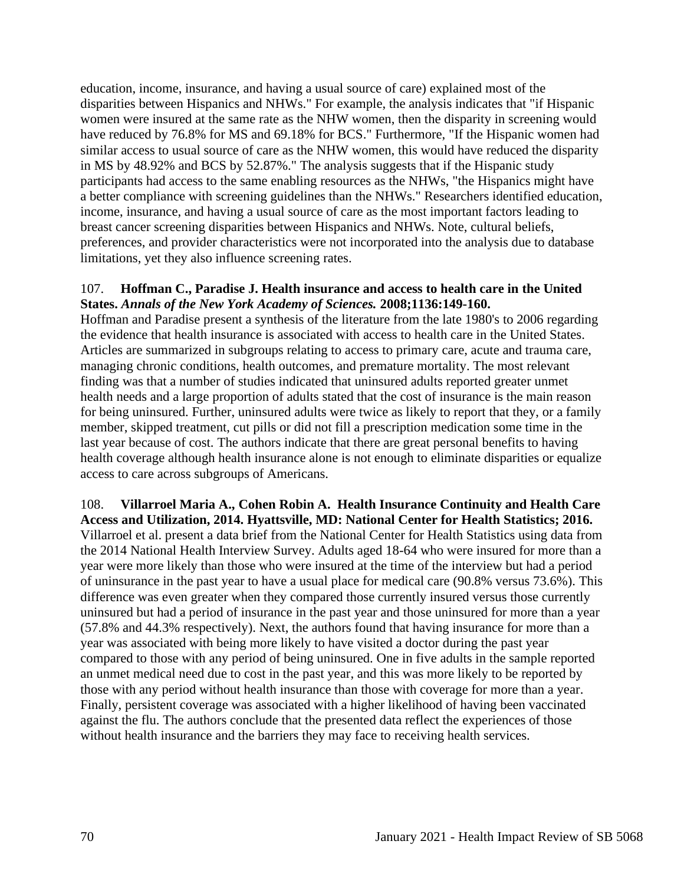education, income, insurance, and having a usual source of care) explained most of the disparities between Hispanics and NHWs." For example, the analysis indicates that "if Hispanic women were insured at the same rate as the NHW women, then the disparity in screening would have reduced by 76.8% for MS and 69.18% for BCS." Furthermore, "If the Hispanic women had similar access to usual source of care as the NHW women, this would have reduced the disparity in MS by 48.92% and BCS by 52.87%." The analysis suggests that if the Hispanic study participants had access to the same enabling resources as the NHWs, "the Hispanics might have a better compliance with screening guidelines than the NHWs." Researchers identified education, income, insurance, and having a usual source of care as the most important factors leading to breast cancer screening disparities between Hispanics and NHWs. Note, cultural beliefs, preferences, and provider characteristics were not incorporated into the analysis due to database limitations, yet they also influence screening rates.

#### 107. **Hoffman C., Paradise J. Health insurance and access to health care in the United States.** *Annals of the New York Academy of Sciences.* **2008;1136:149-160.**

Hoffman and Paradise present a synthesis of the literature from the late 1980's to 2006 regarding the evidence that health insurance is associated with access to health care in the United States. Articles are summarized in subgroups relating to access to primary care, acute and trauma care, managing chronic conditions, health outcomes, and premature mortality. The most relevant finding was that a number of studies indicated that uninsured adults reported greater unmet health needs and a large proportion of adults stated that the cost of insurance is the main reason for being uninsured. Further, uninsured adults were twice as likely to report that they, or a family member, skipped treatment, cut pills or did not fill a prescription medication some time in the last year because of cost. The authors indicate that there are great personal benefits to having health coverage although health insurance alone is not enough to eliminate disparities or equalize access to care across subgroups of Americans.

## 108. **Villarroel Maria A., Cohen Robin A. Health Insurance Continuity and Health Care**

**Access and Utilization, 2014. Hyattsville, MD: National Center for Health Statistics; 2016.** Villarroel et al. present a data brief from the National Center for Health Statistics using data from the 2014 National Health Interview Survey. Adults aged 18-64 who were insured for more than a year were more likely than those who were insured at the time of the interview but had a period of uninsurance in the past year to have a usual place for medical care (90.8% versus 73.6%). This difference was even greater when they compared those currently insured versus those currently uninsured but had a period of insurance in the past year and those uninsured for more than a year (57.8% and 44.3% respectively). Next, the authors found that having insurance for more than a year was associated with being more likely to have visited a doctor during the past year compared to those with any period of being uninsured. One in five adults in the sample reported an unmet medical need due to cost in the past year, and this was more likely to be reported by those with any period without health insurance than those with coverage for more than a year. Finally, persistent coverage was associated with a higher likelihood of having been vaccinated against the flu. The authors conclude that the presented data reflect the experiences of those without health insurance and the barriers they may face to receiving health services.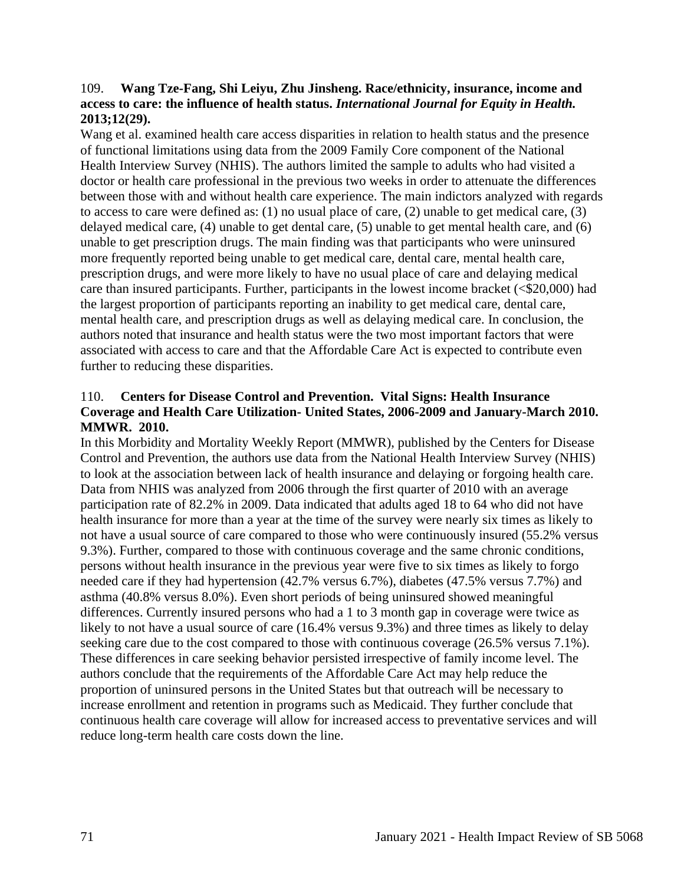#### 109. **Wang Tze-Fang, Shi Leiyu, Zhu Jinsheng. Race/ethnicity, insurance, income and access to care: the influence of health status.** *International Journal for Equity in Health.*  **2013;12(29).**

Wang et al. examined health care access disparities in relation to health status and the presence of functional limitations using data from the 2009 Family Core component of the National Health Interview Survey (NHIS). The authors limited the sample to adults who had visited a doctor or health care professional in the previous two weeks in order to attenuate the differences between those with and without health care experience. The main indictors analyzed with regards to access to care were defined as: (1) no usual place of care, (2) unable to get medical care, (3) delayed medical care, (4) unable to get dental care, (5) unable to get mental health care, and (6) unable to get prescription drugs. The main finding was that participants who were uninsured more frequently reported being unable to get medical care, dental care, mental health care, prescription drugs, and were more likely to have no usual place of care and delaying medical care than insured participants. Further, participants in the lowest income bracket (<\$20,000) had the largest proportion of participants reporting an inability to get medical care, dental care, mental health care, and prescription drugs as well as delaying medical care. In conclusion, the authors noted that insurance and health status were the two most important factors that were associated with access to care and that the Affordable Care Act is expected to contribute even further to reducing these disparities.

#### 110. **Centers for Disease Control and Prevention. Vital Signs: Health Insurance Coverage and Health Care Utilization- United States, 2006-2009 and January-March 2010. MMWR. 2010.**

In this Morbidity and Mortality Weekly Report (MMWR), published by the Centers for Disease Control and Prevention, the authors use data from the National Health Interview Survey (NHIS) to look at the association between lack of health insurance and delaying or forgoing health care. Data from NHIS was analyzed from 2006 through the first quarter of 2010 with an average participation rate of 82.2% in 2009. Data indicated that adults aged 18 to 64 who did not have health insurance for more than a year at the time of the survey were nearly six times as likely to not have a usual source of care compared to those who were continuously insured (55.2% versus 9.3%). Further, compared to those with continuous coverage and the same chronic conditions, persons without health insurance in the previous year were five to six times as likely to forgo needed care if they had hypertension (42.7% versus 6.7%), diabetes (47.5% versus 7.7%) and asthma (40.8% versus 8.0%). Even short periods of being uninsured showed meaningful differences. Currently insured persons who had a 1 to 3 month gap in coverage were twice as likely to not have a usual source of care (16.4% versus 9.3%) and three times as likely to delay seeking care due to the cost compared to those with continuous coverage (26.5% versus 7.1%). These differences in care seeking behavior persisted irrespective of family income level. The authors conclude that the requirements of the Affordable Care Act may help reduce the proportion of uninsured persons in the United States but that outreach will be necessary to increase enrollment and retention in programs such as Medicaid. They further conclude that continuous health care coverage will allow for increased access to preventative services and will reduce long-term health care costs down the line.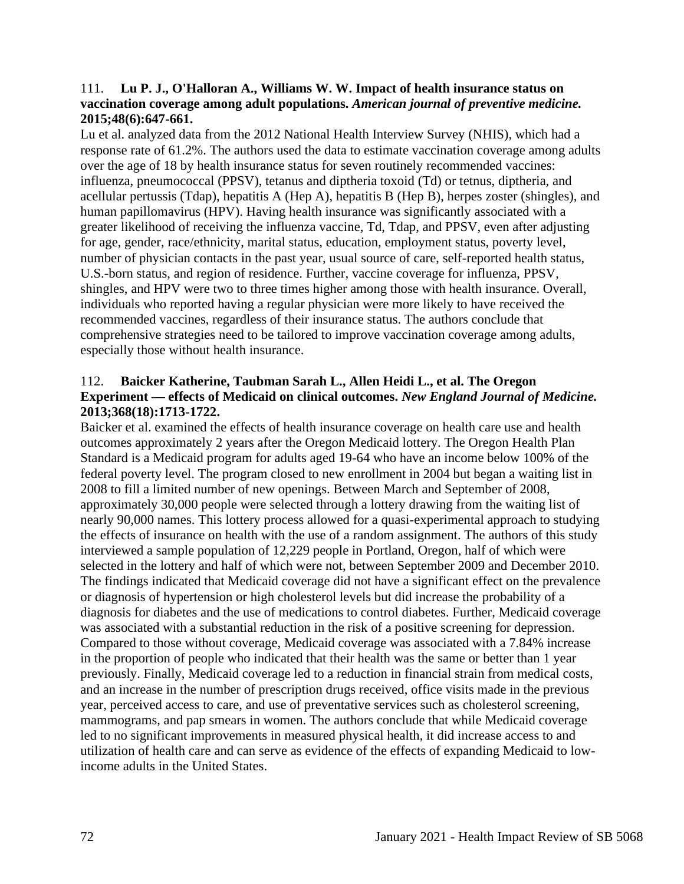#### 111. **Lu P. J., O'Halloran A., Williams W. W. Impact of health insurance status on vaccination coverage among adult populations.** *American journal of preventive medicine.*  **2015;48(6):647-661.**

Lu et al. analyzed data from the 2012 National Health Interview Survey (NHIS), which had a response rate of 61.2%. The authors used the data to estimate vaccination coverage among adults over the age of 18 by health insurance status for seven routinely recommended vaccines: influenza, pneumococcal (PPSV), tetanus and diptheria toxoid (Td) or tetnus, diptheria, and acellular pertussis (Tdap), hepatitis A (Hep A), hepatitis B (Hep B), herpes zoster (shingles), and human papillomavirus (HPV). Having health insurance was significantly associated with a greater likelihood of receiving the influenza vaccine, Td, Tdap, and PPSV, even after adjusting for age, gender, race/ethnicity, marital status, education, employment status, poverty level, number of physician contacts in the past year, usual source of care, self-reported health status, U.S.-born status, and region of residence. Further, vaccine coverage for influenza, PPSV, shingles, and HPV were two to three times higher among those with health insurance. Overall, individuals who reported having a regular physician were more likely to have received the recommended vaccines, regardless of their insurance status. The authors conclude that comprehensive strategies need to be tailored to improve vaccination coverage among adults, especially those without health insurance.

## 112. **Baicker Katherine, Taubman Sarah L., Allen Heidi L., et al. The Oregon Experiment — effects of Medicaid on clinical outcomes.** *New England Journal of Medicine.*  **2013;368(18):1713-1722.**

Baicker et al. examined the effects of health insurance coverage on health care use and health outcomes approximately 2 years after the Oregon Medicaid lottery. The Oregon Health Plan Standard is a Medicaid program for adults aged 19-64 who have an income below 100% of the federal poverty level. The program closed to new enrollment in 2004 but began a waiting list in 2008 to fill a limited number of new openings. Between March and September of 2008, approximately 30,000 people were selected through a lottery drawing from the waiting list of nearly 90,000 names. This lottery process allowed for a quasi-experimental approach to studying the effects of insurance on health with the use of a random assignment. The authors of this study interviewed a sample population of 12,229 people in Portland, Oregon, half of which were selected in the lottery and half of which were not, between September 2009 and December 2010. The findings indicated that Medicaid coverage did not have a significant effect on the prevalence or diagnosis of hypertension or high cholesterol levels but did increase the probability of a diagnosis for diabetes and the use of medications to control diabetes. Further, Medicaid coverage was associated with a substantial reduction in the risk of a positive screening for depression. Compared to those without coverage, Medicaid coverage was associated with a 7.84% increase in the proportion of people who indicated that their health was the same or better than 1 year previously. Finally, Medicaid coverage led to a reduction in financial strain from medical costs, and an increase in the number of prescription drugs received, office visits made in the previous year, perceived access to care, and use of preventative services such as cholesterol screening, mammograms, and pap smears in women. The authors conclude that while Medicaid coverage led to no significant improvements in measured physical health, it did increase access to and utilization of health care and can serve as evidence of the effects of expanding Medicaid to lowincome adults in the United States.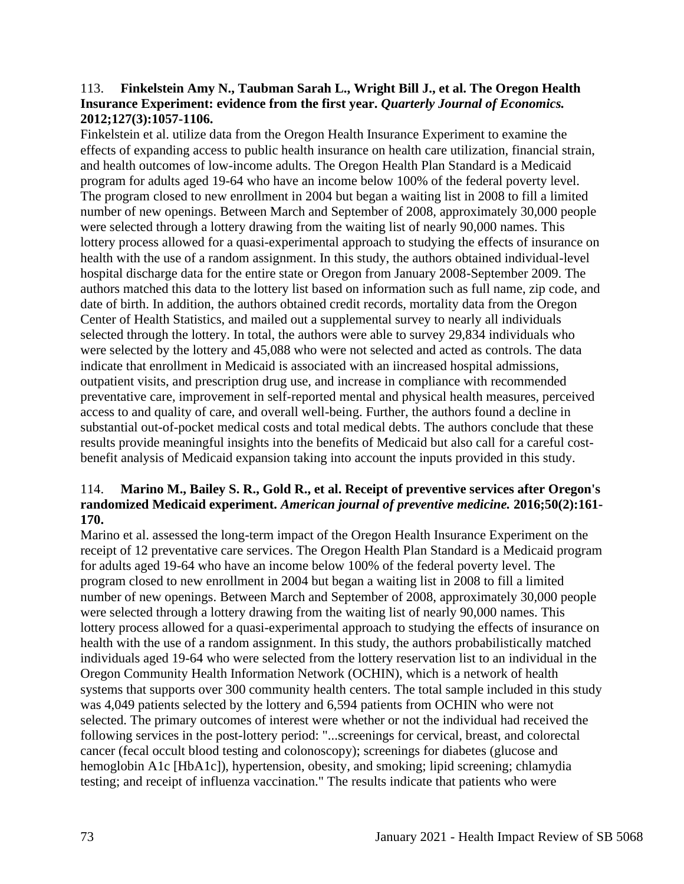#### 113. **Finkelstein Amy N., Taubman Sarah L., Wright Bill J., et al. The Oregon Health Insurance Experiment: evidence from the first year.** *Quarterly Journal of Economics.*  **2012;127(3):1057-1106.**

Finkelstein et al. utilize data from the Oregon Health Insurance Experiment to examine the effects of expanding access to public health insurance on health care utilization, financial strain, and health outcomes of low-income adults. The Oregon Health Plan Standard is a Medicaid program for adults aged 19-64 who have an income below 100% of the federal poverty level. The program closed to new enrollment in 2004 but began a waiting list in 2008 to fill a limited number of new openings. Between March and September of 2008, approximately 30,000 people were selected through a lottery drawing from the waiting list of nearly 90,000 names. This lottery process allowed for a quasi-experimental approach to studying the effects of insurance on health with the use of a random assignment. In this study, the authors obtained individual-level hospital discharge data for the entire state or Oregon from January 2008-September 2009. The authors matched this data to the lottery list based on information such as full name, zip code, and date of birth. In addition, the authors obtained credit records, mortality data from the Oregon Center of Health Statistics, and mailed out a supplemental survey to nearly all individuals selected through the lottery. In total, the authors were able to survey 29,834 individuals who were selected by the lottery and 45,088 who were not selected and acted as controls. The data indicate that enrollment in Medicaid is associated with an iincreased hospital admissions, outpatient visits, and prescription drug use, and increase in compliance with recommended preventative care, improvement in self-reported mental and physical health measures, perceived access to and quality of care, and overall well-being. Further, the authors found a decline in substantial out-of-pocket medical costs and total medical debts. The authors conclude that these results provide meaningful insights into the benefits of Medicaid but also call for a careful costbenefit analysis of Medicaid expansion taking into account the inputs provided in this study.

# 114. **Marino M., Bailey S. R., Gold R., et al. Receipt of preventive services after Oregon's randomized Medicaid experiment.** *American journal of preventive medicine.* **2016;50(2):161- 170.**

Marino et al. assessed the long-term impact of the Oregon Health Insurance Experiment on the receipt of 12 preventative care services. The Oregon Health Plan Standard is a Medicaid program for adults aged 19-64 who have an income below 100% of the federal poverty level. The program closed to new enrollment in 2004 but began a waiting list in 2008 to fill a limited number of new openings. Between March and September of 2008, approximately 30,000 people were selected through a lottery drawing from the waiting list of nearly 90,000 names. This lottery process allowed for a quasi-experimental approach to studying the effects of insurance on health with the use of a random assignment. In this study, the authors probabilistically matched individuals aged 19-64 who were selected from the lottery reservation list to an individual in the Oregon Community Health Information Network (OCHIN), which is a network of health systems that supports over 300 community health centers. The total sample included in this study was 4,049 patients selected by the lottery and 6,594 patients from OCHIN who were not selected. The primary outcomes of interest were whether or not the individual had received the following services in the post-lottery period: "...screenings for cervical, breast, and colorectal cancer (fecal occult blood testing and colonoscopy); screenings for diabetes (glucose and hemoglobin A1c [HbA1c]), hypertension, obesity, and smoking; lipid screening; chlamydia testing; and receipt of influenza vaccination." The results indicate that patients who were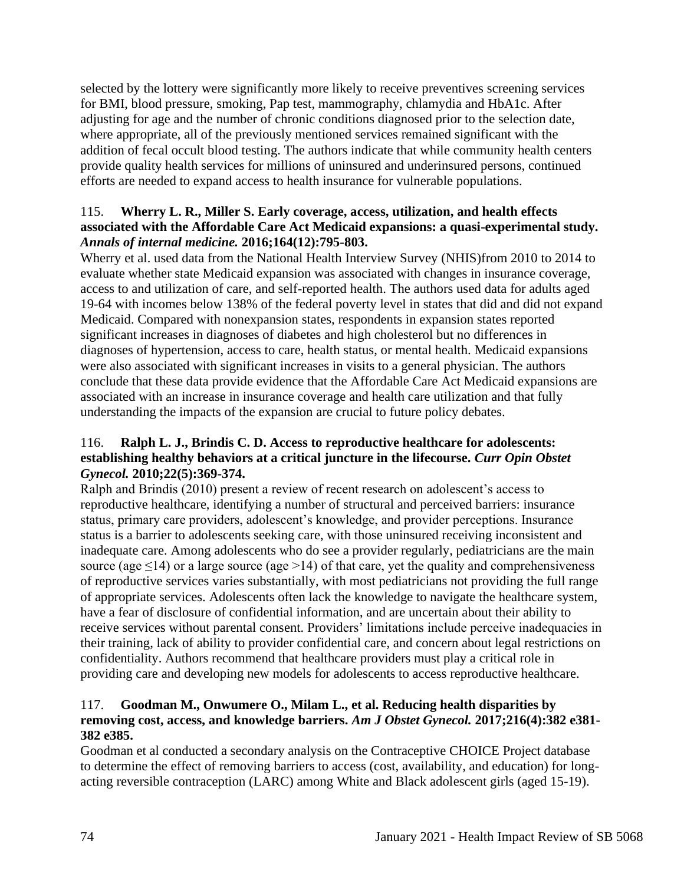selected by the lottery were significantly more likely to receive preventives screening services for BMI, blood pressure, smoking, Pap test, mammography, chlamydia and HbA1c. After adjusting for age and the number of chronic conditions diagnosed prior to the selection date, where appropriate, all of the previously mentioned services remained significant with the addition of fecal occult blood testing. The authors indicate that while community health centers provide quality health services for millions of uninsured and underinsured persons, continued efforts are needed to expand access to health insurance for vulnerable populations.

# 115. **Wherry L. R., Miller S. Early coverage, access, utilization, and health effects associated with the Affordable Care Act Medicaid expansions: a quasi-experimental study.**  *Annals of internal medicine.* **2016;164(12):795-803.**

Wherry et al. used data from the National Health Interview Survey (NHIS)from 2010 to 2014 to evaluate whether state Medicaid expansion was associated with changes in insurance coverage, access to and utilization of care, and self-reported health. The authors used data for adults aged 19-64 with incomes below 138% of the federal poverty level in states that did and did not expand Medicaid. Compared with nonexpansion states, respondents in expansion states reported significant increases in diagnoses of diabetes and high cholesterol but no differences in diagnoses of hypertension, access to care, health status, or mental health. Medicaid expansions were also associated with significant increases in visits to a general physician. The authors conclude that these data provide evidence that the Affordable Care Act Medicaid expansions are associated with an increase in insurance coverage and health care utilization and that fully understanding the impacts of the expansion are crucial to future policy debates.

# 116. **Ralph L. J., Brindis C. D. Access to reproductive healthcare for adolescents: establishing healthy behaviors at a critical juncture in the lifecourse.** *Curr Opin Obstet Gynecol.* **2010;22(5):369-374.**

Ralph and Brindis (2010) present a review of recent research on adolescent's access to reproductive healthcare, identifying a number of structural and perceived barriers: insurance status, primary care providers, adolescent's knowledge, and provider perceptions. Insurance status is a barrier to adolescents seeking care, with those uninsured receiving inconsistent and inadequate care. Among adolescents who do see a provider regularly, pediatricians are the main source (age  $\leq$ 14) or a large source (age  $\geq$ 14) of that care, yet the quality and comprehensiveness of reproductive services varies substantially, with most pediatricians not providing the full range of appropriate services. Adolescents often lack the knowledge to navigate the healthcare system, have a fear of disclosure of confidential information, and are uncertain about their ability to receive services without parental consent. Providers' limitations include perceive inadequacies in their training, lack of ability to provider confidential care, and concern about legal restrictions on confidentiality. Authors recommend that healthcare providers must play a critical role in providing care and developing new models for adolescents to access reproductive healthcare.

# 117. **Goodman M., Onwumere O., Milam L., et al. Reducing health disparities by removing cost, access, and knowledge barriers.** *Am J Obstet Gynecol.* **2017;216(4):382 e381- 382 e385.**

Goodman et al conducted a secondary analysis on the Contraceptive CHOICE Project database to determine the effect of removing barriers to access (cost, availability, and education) for longacting reversible contraception (LARC) among White and Black adolescent girls (aged 15-19).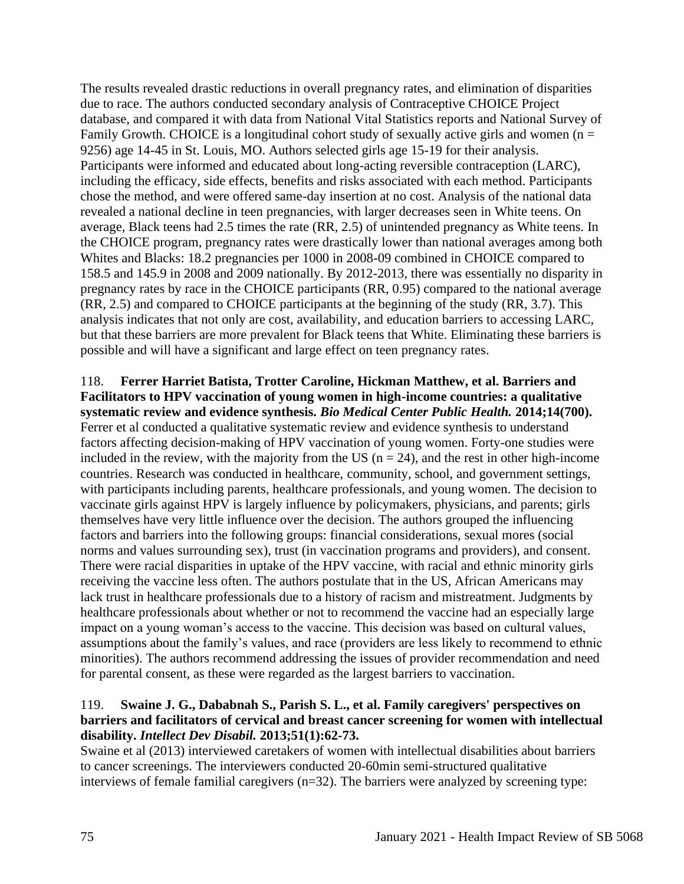The results revealed drastic reductions in overall pregnancy rates, and elimination of disparities due to race. The authors conducted secondary analysis of Contraceptive CHOICE Project database, and compared it with data from National Vital Statistics reports and National Survey of Family Growth. CHOICE is a longitudinal cohort study of sexually active girls and women ( $n =$ 9256) age 14-45 in St. Louis, MO. Authors selected girls age 15-19 for their analysis. Participants were informed and educated about long-acting reversible contraception (LARC), including the efficacy, side effects, benefits and risks associated with each method. Participants chose the method, and were offered same-day insertion at no cost. Analysis of the national data revealed a national decline in teen pregnancies, with larger decreases seen in White teens. On average, Black teens had 2.5 times the rate (RR, 2.5) of unintended pregnancy as White teens. In the CHOICE program, pregnancy rates were drastically lower than national averages among both Whites and Blacks: 18.2 pregnancies per 1000 in 2008-09 combined in CHOICE compared to 158.5 and 145.9 in 2008 and 2009 nationally. By 2012-2013, there was essentially no disparity in pregnancy rates by race in the CHOICE participants (RR, 0.95) compared to the national average (RR, 2.5) and compared to CHOICE participants at the beginning of the study (RR, 3.7). This analysis indicates that not only are cost, availability, and education barriers to accessing LARC, but that these barriers are more prevalent for Black teens that White. Eliminating these barriers is possible and will have a significant and large effect on teen pregnancy rates.

# 118. **Ferrer Harriet Batista, Trotter Caroline, Hickman Matthew, et al. Barriers and Facilitators to HPV vaccination of young women in high-income countries: a qualitative systematic review and evidence synthesis.** *Bio Medical Center Public Health.* **2014;14(700).** Ferrer et al conducted a qualitative systematic review and evidence synthesis to understand

factors affecting decision-making of HPV vaccination of young women. Forty-one studies were included in the review, with the majority from the US ( $n = 24$ ), and the rest in other high-income countries. Research was conducted in healthcare, community, school, and government settings, with participants including parents, healthcare professionals, and young women. The decision to vaccinate girls against HPV is largely influence by policymakers, physicians, and parents; girls themselves have very little influence over the decision. The authors grouped the influencing factors and barriers into the following groups: financial considerations, sexual mores (social norms and values surrounding sex), trust (in vaccination programs and providers), and consent. There were racial disparities in uptake of the HPV vaccine, with racial and ethnic minority girls receiving the vaccine less often. The authors postulate that in the US, African Americans may lack trust in healthcare professionals due to a history of racism and mistreatment. Judgments by healthcare professionals about whether or not to recommend the vaccine had an especially large impact on a young woman's access to the vaccine. This decision was based on cultural values, assumptions about the family's values, and race (providers are less likely to recommend to ethnic minorities). The authors recommend addressing the issues of provider recommendation and need for parental consent, as these were regarded as the largest barriers to vaccination.

# 119. **Swaine J. G., Dababnah S., Parish S. L., et al. Family caregivers' perspectives on barriers and facilitators of cervical and breast cancer screening for women with intellectual disability.** *Intellect Dev Disabil.* **2013;51(1):62-73.**

Swaine et al (2013) interviewed caretakers of women with intellectual disabilities about barriers to cancer screenings. The interviewers conducted 20-60min semi-structured qualitative interviews of female familial caregivers (n=32). The barriers were analyzed by screening type: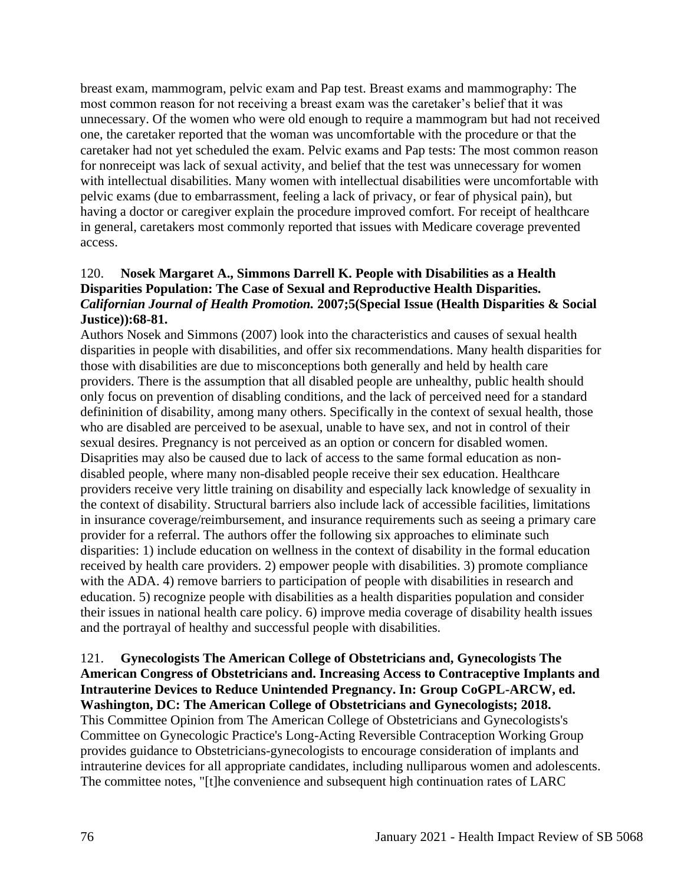breast exam, mammogram, pelvic exam and Pap test. Breast exams and mammography: The most common reason for not receiving a breast exam was the caretaker's belief that it was unnecessary. Of the women who were old enough to require a mammogram but had not received one, the caretaker reported that the woman was uncomfortable with the procedure or that the caretaker had not yet scheduled the exam. Pelvic exams and Pap tests: The most common reason for nonreceipt was lack of sexual activity, and belief that the test was unnecessary for women with intellectual disabilities. Many women with intellectual disabilities were uncomfortable with pelvic exams (due to embarrassment, feeling a lack of privacy, or fear of physical pain), but having a doctor or caregiver explain the procedure improved comfort. For receipt of healthcare in general, caretakers most commonly reported that issues with Medicare coverage prevented access.

### 120. **Nosek Margaret A., Simmons Darrell K. People with Disabilities as a Health Disparities Population: The Case of Sexual and Reproductive Health Disparities.**  *Californian Journal of Health Promotion.* **2007;5(Special Issue (Health Disparities & Social Justice)):68-81.**

Authors Nosek and Simmons (2007) look into the characteristics and causes of sexual health disparities in people with disabilities, and offer six recommendations. Many health disparities for those with disabilities are due to misconceptions both generally and held by health care providers. There is the assumption that all disabled people are unhealthy, public health should only focus on prevention of disabling conditions, and the lack of perceived need for a standard defininition of disability, among many others. Specifically in the context of sexual health, those who are disabled are perceived to be asexual, unable to have sex, and not in control of their sexual desires. Pregnancy is not perceived as an option or concern for disabled women. Disaprities may also be caused due to lack of access to the same formal education as nondisabled people, where many non-disabled people receive their sex education. Healthcare providers receive very little training on disability and especially lack knowledge of sexuality in the context of disability. Structural barriers also include lack of accessible facilities, limitations in insurance coverage/reimbursement, and insurance requirements such as seeing a primary care provider for a referral. The authors offer the following six approaches to eliminate such disparities: 1) include education on wellness in the context of disability in the formal education received by health care providers. 2) empower people with disabilities. 3) promote compliance with the ADA. 4) remove barriers to participation of people with disabilities in research and education. 5) recognize people with disabilities as a health disparities population and consider their issues in national health care policy. 6) improve media coverage of disability health issues and the portrayal of healthy and successful people with disabilities.

#### 121. **Gynecologists The American College of Obstetricians and, Gynecologists The American Congress of Obstetricians and. Increasing Access to Contraceptive Implants and Intrauterine Devices to Reduce Unintended Pregnancy. In: Group CoGPL-ARCW, ed. Washington, DC: The American College of Obstetricians and Gynecologists; 2018.**

This Committee Opinion from The American College of Obstetricians and Gynecologists's Committee on Gynecologic Practice's Long-Acting Reversible Contraception Working Group provides guidance to Obstetricians-gynecologists to encourage consideration of implants and intrauterine devices for all appropriate candidates, including nulliparous women and adolescents. The committee notes, "[t]he convenience and subsequent high continuation rates of LARC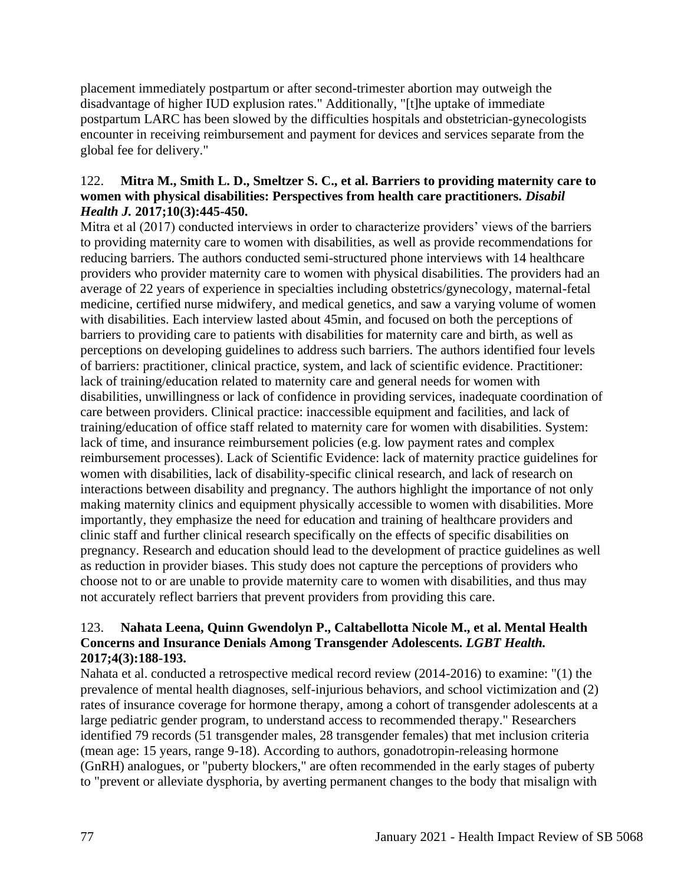placement immediately postpartum or after second-trimester abortion may outweigh the disadvantage of higher IUD explusion rates." Additionally, "[t]he uptake of immediate postpartum LARC has been slowed by the difficulties hospitals and obstetrician-gynecologists encounter in receiving reimbursement and payment for devices and services separate from the global fee for delivery."

### 122. **Mitra M., Smith L. D., Smeltzer S. C., et al. Barriers to providing maternity care to women with physical disabilities: Perspectives from health care practitioners.** *Disabil Health J.* **2017;10(3):445-450.**

Mitra et al (2017) conducted interviews in order to characterize providers' views of the barriers to providing maternity care to women with disabilities, as well as provide recommendations for reducing barriers. The authors conducted semi-structured phone interviews with 14 healthcare providers who provider maternity care to women with physical disabilities. The providers had an average of 22 years of experience in specialties including obstetrics/gynecology, maternal-fetal medicine, certified nurse midwifery, and medical genetics, and saw a varying volume of women with disabilities. Each interview lasted about 45min, and focused on both the perceptions of barriers to providing care to patients with disabilities for maternity care and birth, as well as perceptions on developing guidelines to address such barriers. The authors identified four levels of barriers: practitioner, clinical practice, system, and lack of scientific evidence. Practitioner: lack of training/education related to maternity care and general needs for women with disabilities, unwillingness or lack of confidence in providing services, inadequate coordination of care between providers. Clinical practice: inaccessible equipment and facilities, and lack of training/education of office staff related to maternity care for women with disabilities. System: lack of time, and insurance reimbursement policies (e.g. low payment rates and complex reimbursement processes). Lack of Scientific Evidence: lack of maternity practice guidelines for women with disabilities, lack of disability-specific clinical research, and lack of research on interactions between disability and pregnancy. The authors highlight the importance of not only making maternity clinics and equipment physically accessible to women with disabilities. More importantly, they emphasize the need for education and training of healthcare providers and clinic staff and further clinical research specifically on the effects of specific disabilities on pregnancy. Research and education should lead to the development of practice guidelines as well as reduction in provider biases. This study does not capture the perceptions of providers who choose not to or are unable to provide maternity care to women with disabilities, and thus may not accurately reflect barriers that prevent providers from providing this care.

# 123. **Nahata Leena, Quinn Gwendolyn P., Caltabellotta Nicole M., et al. Mental Health Concerns and Insurance Denials Among Transgender Adolescents.** *LGBT Health.*  **2017;4(3):188-193.**

Nahata et al. conducted a retrospective medical record review (2014-2016) to examine: "(1) the prevalence of mental health diagnoses, self-injurious behaviors, and school victimization and (2) rates of insurance coverage for hormone therapy, among a cohort of transgender adolescents at a large pediatric gender program, to understand access to recommended therapy." Researchers identified 79 records (51 transgender males, 28 transgender females) that met inclusion criteria (mean age: 15 years, range 9-18). According to authors, gonadotropin-releasing hormone (GnRH) analogues, or "puberty blockers," are often recommended in the early stages of puberty to "prevent or alleviate dysphoria, by averting permanent changes to the body that misalign with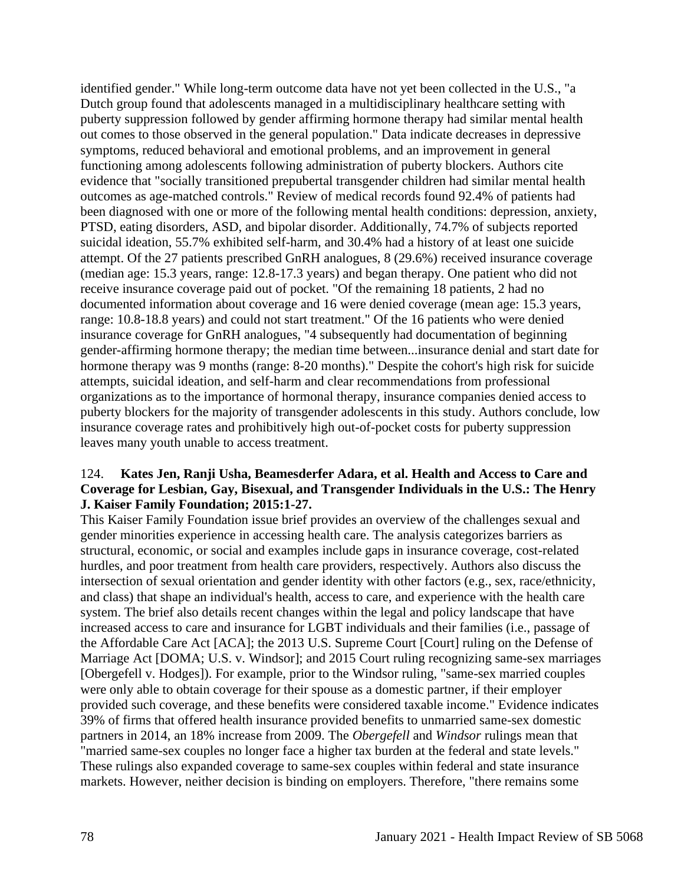identified gender." While long-term outcome data have not yet been collected in the U.S., "a Dutch group found that adolescents managed in a multidisciplinary healthcare setting with puberty suppression followed by gender affirming hormone therapy had similar mental health out comes to those observed in the general population." Data indicate decreases in depressive symptoms, reduced behavioral and emotional problems, and an improvement in general functioning among adolescents following administration of puberty blockers. Authors cite evidence that "socially transitioned prepubertal transgender children had similar mental health outcomes as age-matched controls." Review of medical records found 92.4% of patients had been diagnosed with one or more of the following mental health conditions: depression, anxiety, PTSD, eating disorders, ASD, and bipolar disorder. Additionally, 74.7% of subjects reported suicidal ideation, 55.7% exhibited self-harm, and 30.4% had a history of at least one suicide attempt. Of the 27 patients prescribed GnRH analogues, 8 (29.6%) received insurance coverage (median age: 15.3 years, range: 12.8-17.3 years) and began therapy. One patient who did not receive insurance coverage paid out of pocket. "Of the remaining 18 patients, 2 had no documented information about coverage and 16 were denied coverage (mean age: 15.3 years, range: 10.8-18.8 years) and could not start treatment." Of the 16 patients who were denied insurance coverage for GnRH analogues, "4 subsequently had documentation of beginning gender-affirming hormone therapy; the median time between...insurance denial and start date for hormone therapy was 9 months (range: 8-20 months)." Despite the cohort's high risk for suicide attempts, suicidal ideation, and self-harm and clear recommendations from professional organizations as to the importance of hormonal therapy, insurance companies denied access to puberty blockers for the majority of transgender adolescents in this study. Authors conclude, low insurance coverage rates and prohibitively high out-of-pocket costs for puberty suppression leaves many youth unable to access treatment.

### 124. **Kates Jen, Ranji Usha, Beamesderfer Adara, et al. Health and Access to Care and Coverage for Lesbian, Gay, Bisexual, and Transgender Individuals in the U.S.: The Henry J. Kaiser Family Foundation; 2015:1-27.**

This Kaiser Family Foundation issue brief provides an overview of the challenges sexual and gender minorities experience in accessing health care. The analysis categorizes barriers as structural, economic, or social and examples include gaps in insurance coverage, cost-related hurdles, and poor treatment from health care providers, respectively. Authors also discuss the intersection of sexual orientation and gender identity with other factors (e.g., sex, race/ethnicity, and class) that shape an individual's health, access to care, and experience with the health care system. The brief also details recent changes within the legal and policy landscape that have increased access to care and insurance for LGBT individuals and their families (i.e., passage of the Affordable Care Act [ACA]; the 2013 U.S. Supreme Court [Court] ruling on the Defense of Marriage Act [DOMA; U.S. v. Windsor]; and 2015 Court ruling recognizing same-sex marriages [Obergefell v. Hodges]). For example, prior to the Windsor ruling, "same-sex married couples were only able to obtain coverage for their spouse as a domestic partner, if their employer provided such coverage, and these benefits were considered taxable income." Evidence indicates 39% of firms that offered health insurance provided benefits to unmarried same-sex domestic partners in 2014, an 18% increase from 2009. The *Obergefell* and *Windsor* rulings mean that "married same-sex couples no longer face a higher tax burden at the federal and state levels." These rulings also expanded coverage to same-sex couples within federal and state insurance markets. However, neither decision is binding on employers. Therefore, "there remains some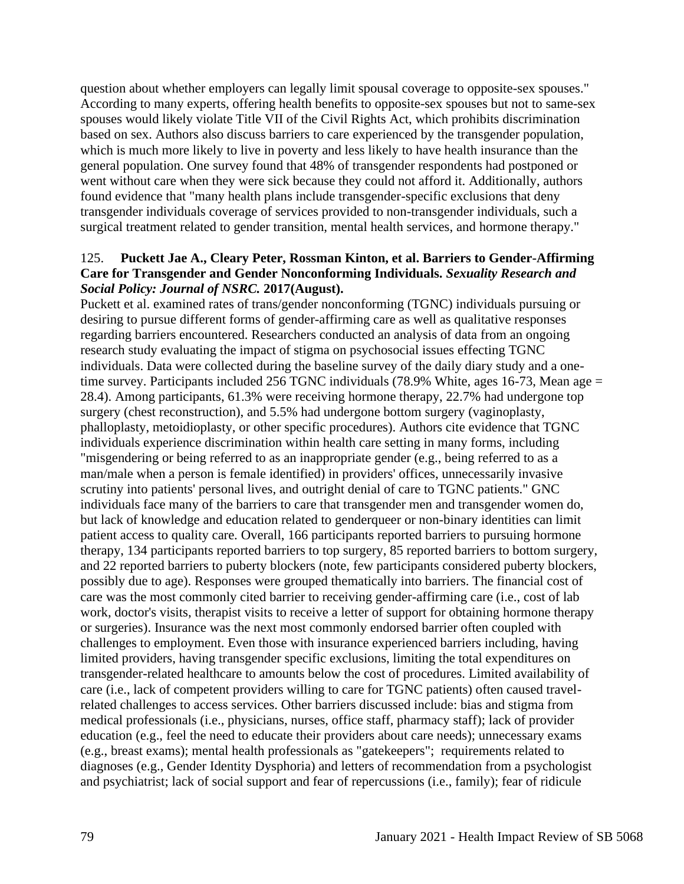question about whether employers can legally limit spousal coverage to opposite-sex spouses." According to many experts, offering health benefits to opposite-sex spouses but not to same-sex spouses would likely violate Title VII of the Civil Rights Act, which prohibits discrimination based on sex. Authors also discuss barriers to care experienced by the transgender population, which is much more likely to live in poverty and less likely to have health insurance than the general population. One survey found that 48% of transgender respondents had postponed or went without care when they were sick because they could not afford it. Additionally, authors found evidence that "many health plans include transgender-specific exclusions that deny transgender individuals coverage of services provided to non-transgender individuals, such a surgical treatment related to gender transition, mental health services, and hormone therapy."

### 125. **Puckett Jae A., Cleary Peter, Rossman Kinton, et al. Barriers to Gender-Affirming Care for Transgender and Gender Nonconforming Individuals.** *Sexuality Research and Social Policy: Journal of NSRC.* **2017(August).**

Puckett et al. examined rates of trans/gender nonconforming (TGNC) individuals pursuing or desiring to pursue different forms of gender-affirming care as well as qualitative responses regarding barriers encountered. Researchers conducted an analysis of data from an ongoing research study evaluating the impact of stigma on psychosocial issues effecting TGNC individuals. Data were collected during the baseline survey of the daily diary study and a onetime survey. Participants included 256 TGNC individuals (78.9% White, ages 16-73, Mean age = 28.4). Among participants, 61.3% were receiving hormone therapy, 22.7% had undergone top surgery (chest reconstruction), and 5.5% had undergone bottom surgery (vaginoplasty, phalloplasty, metoidioplasty, or other specific procedures). Authors cite evidence that TGNC individuals experience discrimination within health care setting in many forms, including "misgendering or being referred to as an inappropriate gender (e.g., being referred to as a man/male when a person is female identified) in providers' offices, unnecessarily invasive scrutiny into patients' personal lives, and outright denial of care to TGNC patients." GNC individuals face many of the barriers to care that transgender men and transgender women do, but lack of knowledge and education related to genderqueer or non-binary identities can limit patient access to quality care. Overall, 166 participants reported barriers to pursuing hormone therapy, 134 participants reported barriers to top surgery, 85 reported barriers to bottom surgery, and 22 reported barriers to puberty blockers (note, few participants considered puberty blockers, possibly due to age). Responses were grouped thematically into barriers. The financial cost of care was the most commonly cited barrier to receiving gender-affirming care (i.e., cost of lab work, doctor's visits, therapist visits to receive a letter of support for obtaining hormone therapy or surgeries). Insurance was the next most commonly endorsed barrier often coupled with challenges to employment. Even those with insurance experienced barriers including, having limited providers, having transgender specific exclusions, limiting the total expenditures on transgender-related healthcare to amounts below the cost of procedures. Limited availability of care (i.e., lack of competent providers willing to care for TGNC patients) often caused travelrelated challenges to access services. Other barriers discussed include: bias and stigma from medical professionals (i.e., physicians, nurses, office staff, pharmacy staff); lack of provider education (e.g., feel the need to educate their providers about care needs); unnecessary exams (e.g., breast exams); mental health professionals as "gatekeepers"; requirements related to diagnoses (e.g., Gender Identity Dysphoria) and letters of recommendation from a psychologist and psychiatrist; lack of social support and fear of repercussions (i.e., family); fear of ridicule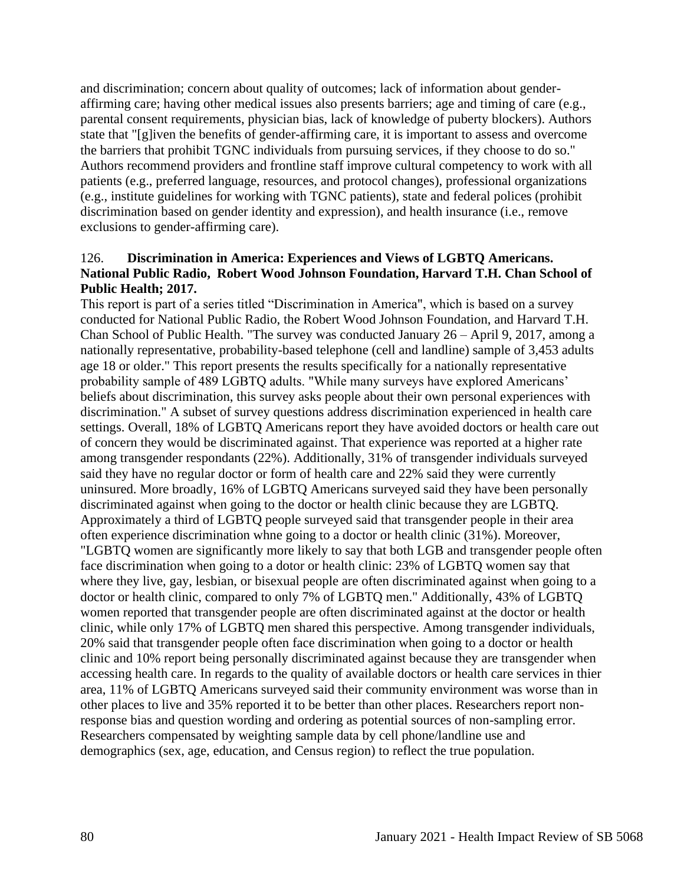and discrimination; concern about quality of outcomes; lack of information about genderaffirming care; having other medical issues also presents barriers; age and timing of care (e.g., parental consent requirements, physician bias, lack of knowledge of puberty blockers). Authors state that "[g]iven the benefits of gender-affirming care, it is important to assess and overcome the barriers that prohibit TGNC individuals from pursuing services, if they choose to do so." Authors recommend providers and frontline staff improve cultural competency to work with all patients (e.g., preferred language, resources, and protocol changes), professional organizations (e.g., institute guidelines for working with TGNC patients), state and federal polices (prohibit discrimination based on gender identity and expression), and health insurance (i.e., remove exclusions to gender-affirming care).

### 126. **Discrimination in America: Experiences and Views of LGBTQ Americans. National Public Radio, Robert Wood Johnson Foundation, Harvard T.H. Chan School of Public Health; 2017.**

This report is part of a series titled "Discrimination in America", which is based on a survey conducted for National Public Radio, the Robert Wood Johnson Foundation, and Harvard T.H. Chan School of Public Health. "The survey was conducted January 26 – April 9, 2017, among a nationally representative, probability-based telephone (cell and landline) sample of 3,453 adults age 18 or older." This report presents the results specifically for a nationally representative probability sample of 489 LGBTQ adults. "While many surveys have explored Americans' beliefs about discrimination, this survey asks people about their own personal experiences with discrimination." A subset of survey questions address discrimination experienced in health care settings. Overall, 18% of LGBTQ Americans report they have avoided doctors or health care out of concern they would be discriminated against. That experience was reported at a higher rate among transgender respondants (22%). Additionally, 31% of transgender individuals surveyed said they have no regular doctor or form of health care and 22% said they were currently uninsured. More broadly, 16% of LGBTQ Americans surveyed said they have been personally discriminated against when going to the doctor or health clinic because they are LGBTQ. Approximately a third of LGBTQ people surveyed said that transgender people in their area often experience discrimination whne going to a doctor or health clinic (31%). Moreover, "LGBTQ women are significantly more likely to say that both LGB and transgender people often face discrimination when going to a dotor or health clinic: 23% of LGBTQ women say that where they live, gay, lesbian, or bisexual people are often discriminated against when going to a doctor or health clinic, compared to only 7% of LGBTQ men." Additionally, 43% of LGBTQ women reported that transgender people are often discriminated against at the doctor or health clinic, while only 17% of LGBTQ men shared this perspective. Among transgender individuals, 20% said that transgender people often face discrimination when going to a doctor or health clinic and 10% report being personally discriminated against because they are transgender when accessing health care. In regards to the quality of available doctors or health care services in thier area, 11% of LGBTQ Americans surveyed said their community environment was worse than in other places to live and 35% reported it to be better than other places. Researchers report nonresponse bias and question wording and ordering as potential sources of non-sampling error. Researchers compensated by weighting sample data by cell phone/landline use and demographics (sex, age, education, and Census region) to reflect the true population.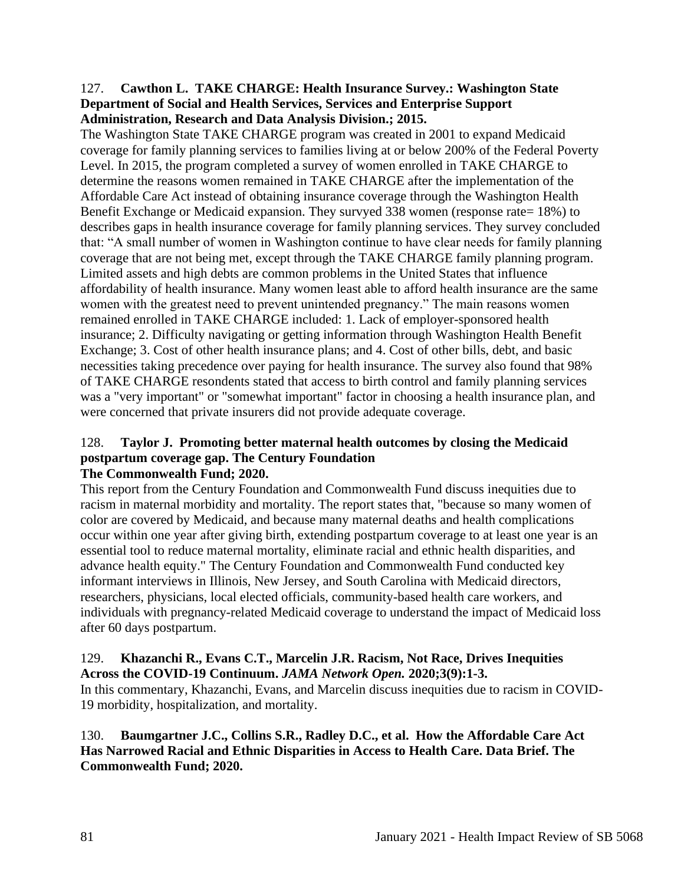#### 127. **Cawthon L. TAKE CHARGE: Health Insurance Survey.: Washington State Department of Social and Health Services, Services and Enterprise Support Administration, Research and Data Analysis Division.; 2015.**

The Washington State TAKE CHARGE program was created in 2001 to expand Medicaid coverage for family planning services to families living at or below 200% of the Federal Poverty Level. In 2015, the program completed a survey of women enrolled in TAKE CHARGE to determine the reasons women remained in TAKE CHARGE after the implementation of the Affordable Care Act instead of obtaining insurance coverage through the Washington Health Benefit Exchange or Medicaid expansion. They survyed 338 women (response rate= 18%) to describes gaps in health insurance coverage for family planning services. They survey concluded that: "A small number of women in Washington continue to have clear needs for family planning coverage that are not being met, except through the TAKE CHARGE family planning program. Limited assets and high debts are common problems in the United States that influence affordability of health insurance. Many women least able to afford health insurance are the same women with the greatest need to prevent unintended pregnancy." The main reasons women remained enrolled in TAKE CHARGE included: 1. Lack of employer-sponsored health insurance; 2. Difficulty navigating or getting information through Washington Health Benefit Exchange; 3. Cost of other health insurance plans; and 4. Cost of other bills, debt, and basic necessities taking precedence over paying for health insurance. The survey also found that 98% of TAKE CHARGE resondents stated that access to birth control and family planning services was a "very important" or "somewhat important" factor in choosing a health insurance plan, and were concerned that private insurers did not provide adequate coverage.

#### 128. **Taylor J. Promoting better maternal health outcomes by closing the Medicaid postpartum coverage gap. The Century Foundation The Commonwealth Fund; 2020.**

This report from the Century Foundation and Commonwealth Fund discuss inequities due to racism in maternal morbidity and mortality. The report states that, "because so many women of color are covered by Medicaid, and because many maternal deaths and health complications occur within one year after giving birth, extending postpartum coverage to at least one year is an essential tool to reduce maternal mortality, eliminate racial and ethnic health disparities, and advance health equity." The Century Foundation and Commonwealth Fund conducted key informant interviews in Illinois, New Jersey, and South Carolina with Medicaid directors, researchers, physicians, local elected officials, community-based health care workers, and individuals with pregnancy-related Medicaid coverage to understand the impact of Medicaid loss after 60 days postpartum.

#### 129. **Khazanchi R., Evans C.T., Marcelin J.R. Racism, Not Race, Drives Inequities Across the COVID-19 Continuum.** *JAMA Network Open.* **2020;3(9):1-3.**

In this commentary, Khazanchi, Evans, and Marcelin discuss inequities due to racism in COVID-19 morbidity, hospitalization, and mortality.

130. **Baumgartner J.C., Collins S.R., Radley D.C., et al. How the Affordable Care Act Has Narrowed Racial and Ethnic Disparities in Access to Health Care. Data Brief. The Commonwealth Fund; 2020.**